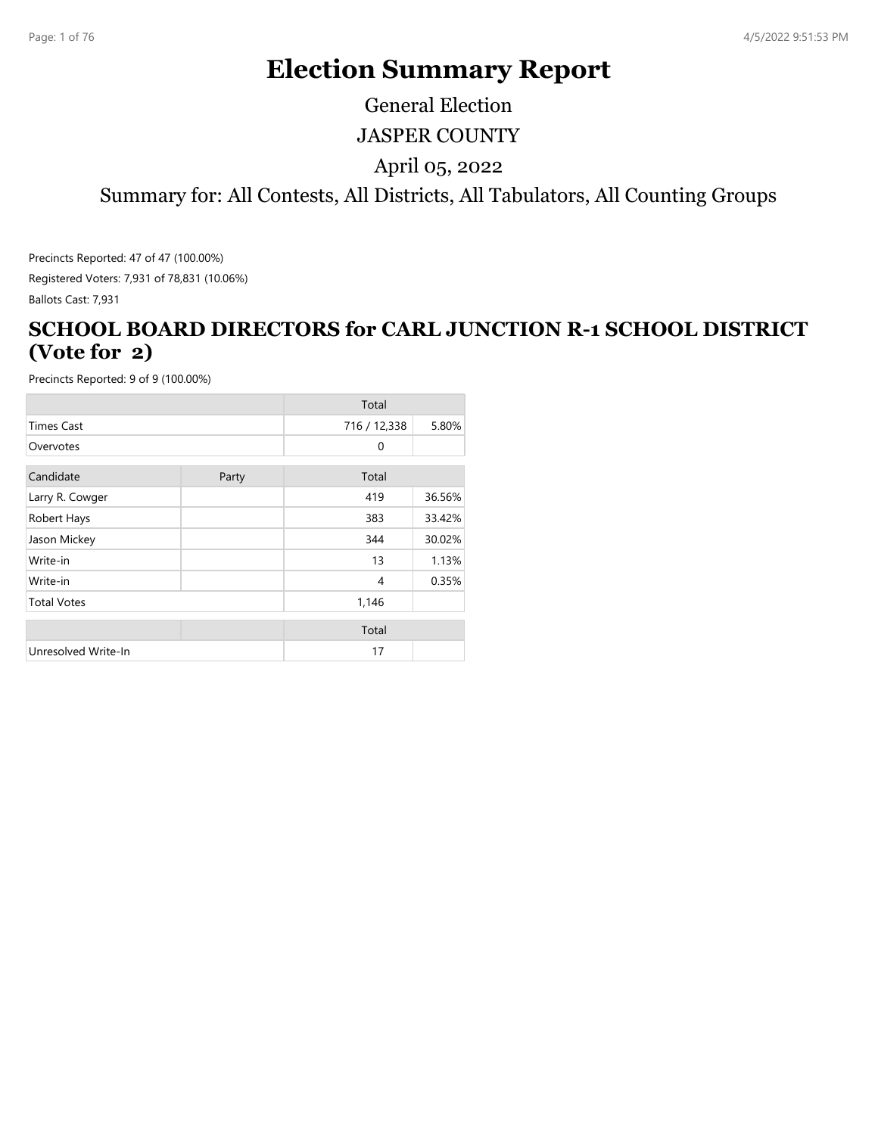# **Election Summary Report**

JASPER COUNTY Summary for: All Contests, All Districts, All Tabulators, All Counting Groups April 05, 2022 General Election

Precincts Reported: 47 of 47 (100.00%) Registered Voters: 7,931 of 78,831 (10.06%)

#### Ballots Cast: 7,931

#### **SCHOOL BOARD DIRECTORS for CARL JUNCTION R-1 SCHOOL DISTRICT (Vote for 2)**

|                     |       | Total        |        |
|---------------------|-------|--------------|--------|
| <b>Times Cast</b>   |       | 716 / 12,338 | 5.80%  |
| Overvotes           |       | $\mathbf{0}$ |        |
| Candidate           | Party | Total        |        |
| Larry R. Cowger     |       | 419          | 36.56% |
| Robert Hays         |       | 383          | 33.42% |
| Jason Mickey        |       | 344          | 30.02% |
| Write-in            |       | 13           | 1.13%  |
| Write-in            |       | 4            | 0.35%  |
| <b>Total Votes</b>  |       | 1,146        |        |
|                     |       | Total        |        |
| Unresolved Write-In |       | 17           |        |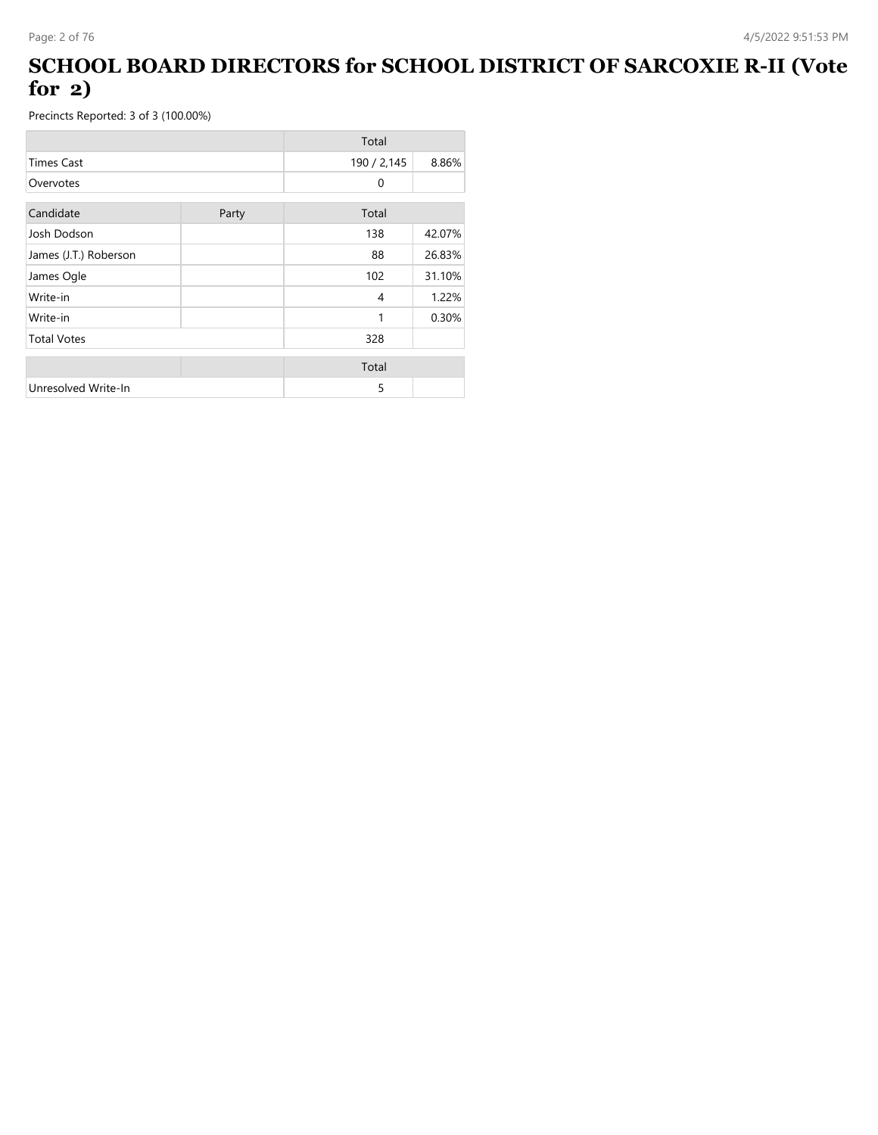#### **SCHOOL BOARD DIRECTORS for SCHOOL DISTRICT OF SARCOXIE R-II (Vote for 2)**

|                       |       | Total        |        |
|-----------------------|-------|--------------|--------|
| <b>Times Cast</b>     |       | 190 / 2,145  | 8.86%  |
| Overvotes             |       | $\mathbf{0}$ |        |
| Candidate             | Party | Total        |        |
| Josh Dodson           |       | 138          | 42.07% |
| James (J.T.) Roberson |       | 88           | 26.83% |
| James Ogle            |       | 102          | 31.10% |
| Write-in              |       | 4            | 1.22%  |
| Write-in              |       | 1            | 0.30%  |
| <b>Total Votes</b>    |       | 328          |        |
|                       |       | Total        |        |
| Unresolved Write-In   |       | 5            |        |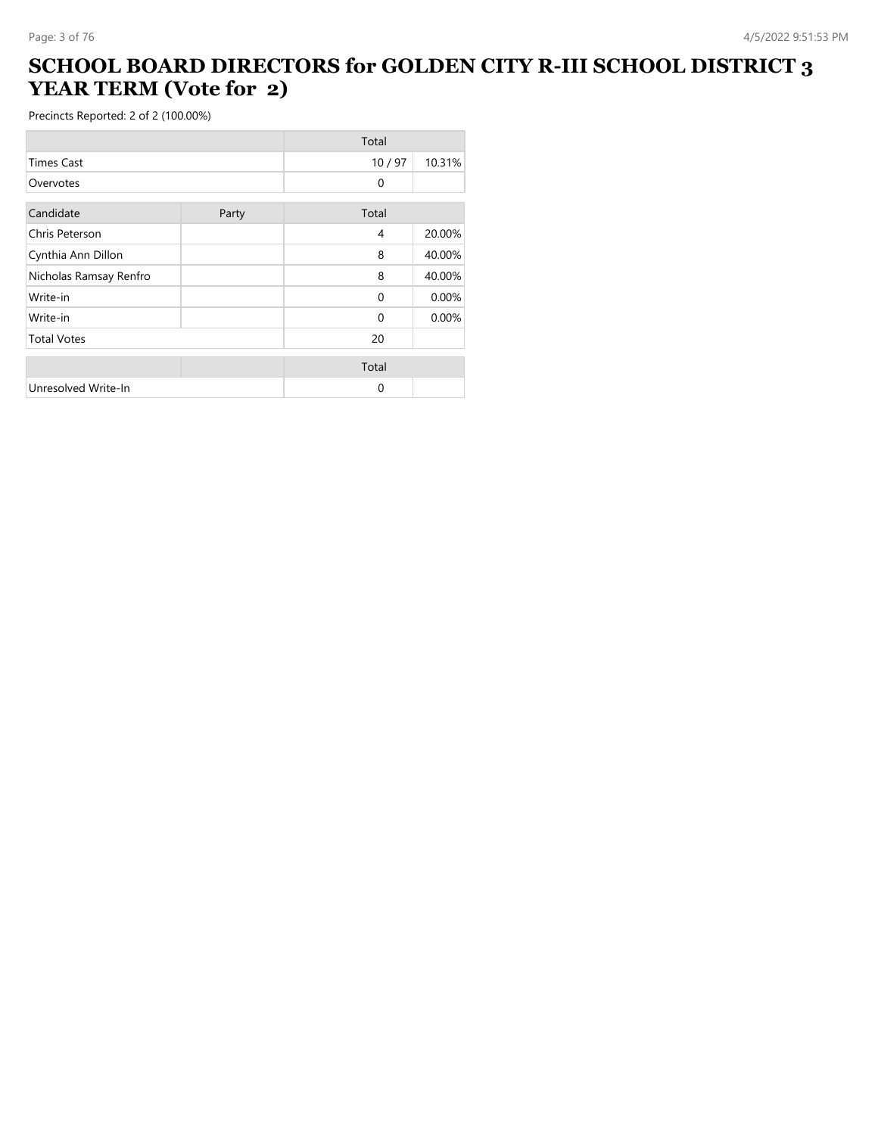#### **SCHOOL BOARD DIRECTORS for GOLDEN CITY R-III SCHOOL DISTRICT 3 YEAR TERM (Vote for 2)**

|                        |       | Total        |        |
|------------------------|-------|--------------|--------|
| <b>Times Cast</b>      |       | 10/97        | 10.31% |
| Overvotes              |       | $\mathbf{0}$ |        |
| Candidate              | Party | Total        |        |
| Chris Peterson         |       | 4            | 20.00% |
| Cynthia Ann Dillon     |       | 8            | 40.00% |
| Nicholas Ramsay Renfro |       | 8            | 40.00% |
| Write-in               |       | $\Omega$     | 0.00%  |
| Write-in               |       | $\Omega$     | 0.00%  |
| <b>Total Votes</b>     |       | 20           |        |
|                        |       | Total        |        |
| Unresolved Write-In    |       | 0            |        |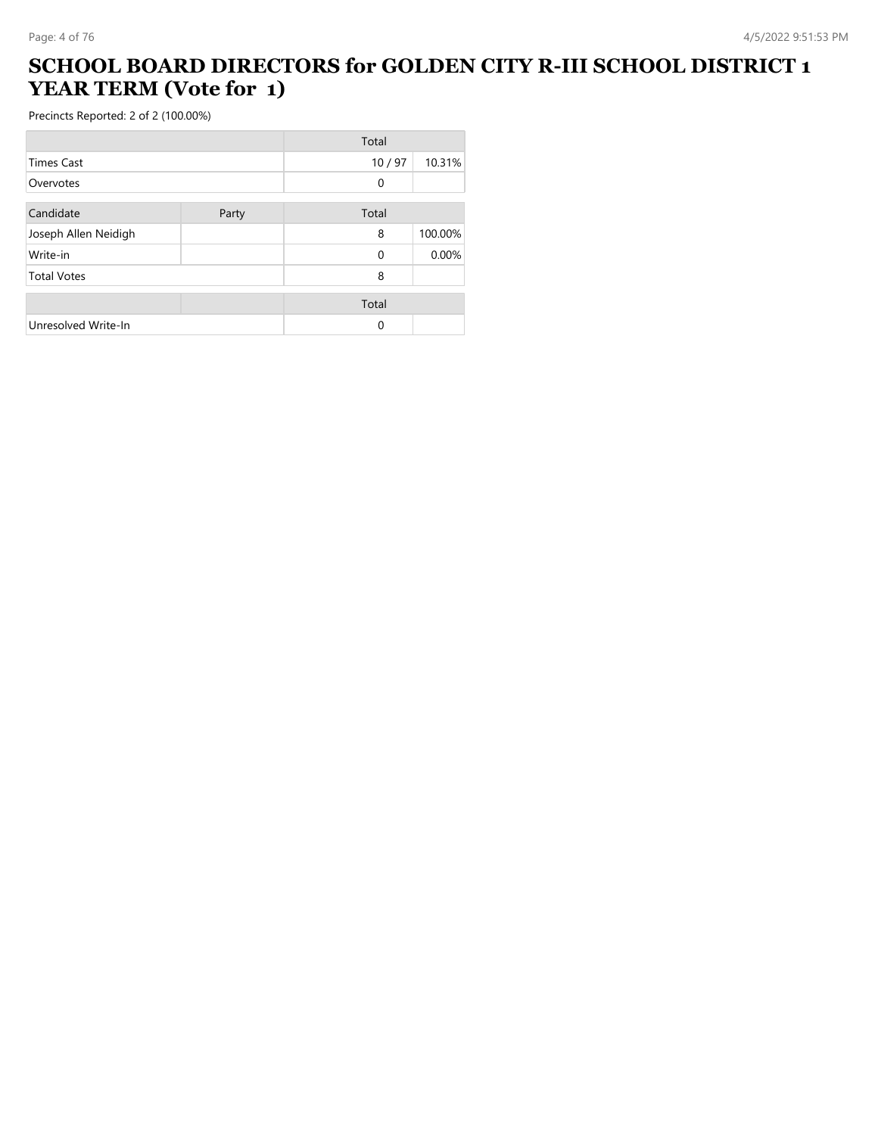#### **SCHOOL BOARD DIRECTORS for GOLDEN CITY R-III SCHOOL DISTRICT 1 YEAR TERM (Vote for 1)**

|                      |       | Total    |         |
|----------------------|-------|----------|---------|
| <b>Times Cast</b>    |       | 10/97    | 10.31%  |
| Overvotes            |       | 0        |         |
| Candidate            | Party | Total    |         |
| Joseph Allen Neidigh |       | 8        | 100.00% |
| Write-in             |       | $\Omega$ | 0.00%   |
| <b>Total Votes</b>   |       | 8        |         |
|                      |       | Total    |         |
| Unresolved Write-In  |       | $\Omega$ |         |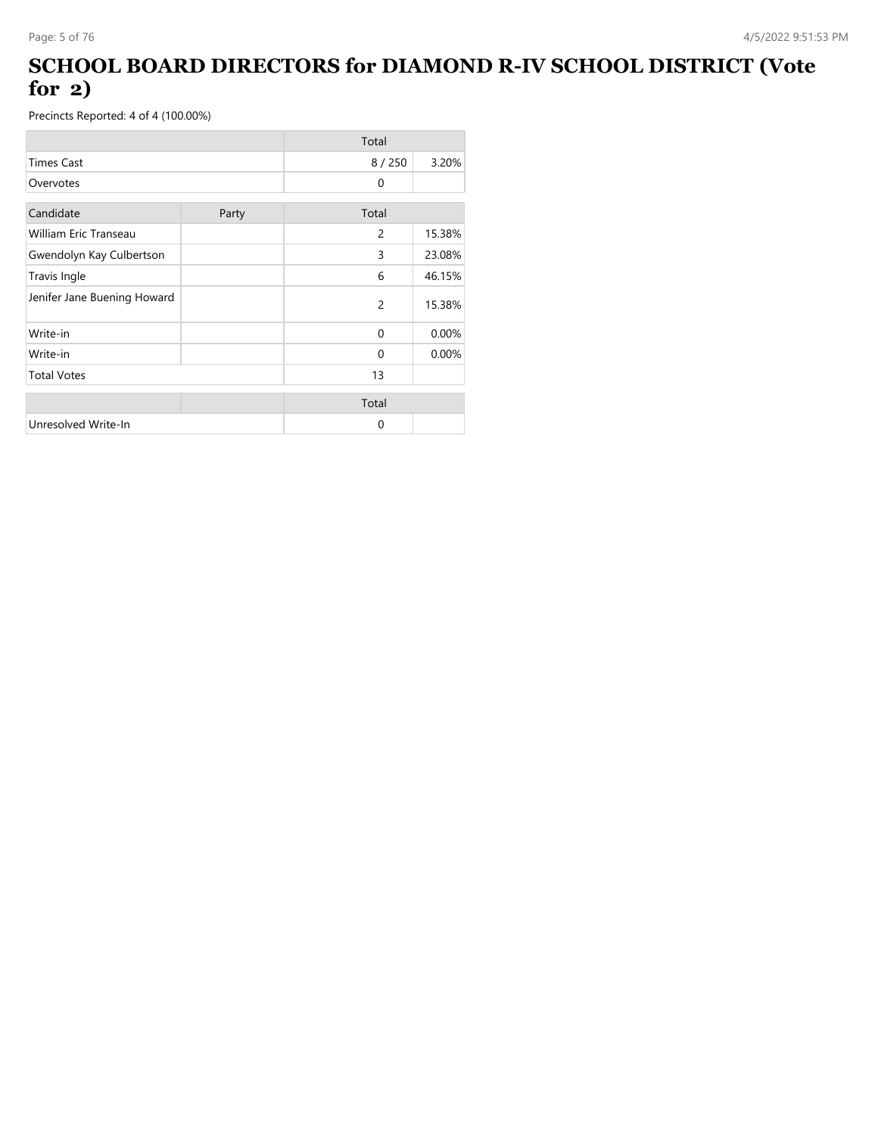#### **SCHOOL BOARD DIRECTORS for DIAMOND R-IV SCHOOL DISTRICT (Vote for 2)**

|                              |       | Total          |        |
|------------------------------|-------|----------------|--------|
| <b>Times Cast</b>            |       | 8/250          | 3.20%  |
| Overvotes                    |       | $\Omega$       |        |
| Candidate                    | Party | Total          |        |
| <b>William Eric Transeau</b> |       | 2              | 15.38% |
| Gwendolyn Kay Culbertson     |       | 3              | 23.08% |
| Travis Ingle                 |       | 6              | 46.15% |
| Jenifer Jane Buening Howard  |       | $\overline{2}$ | 15.38% |
| Write-in                     |       | $\Omega$       | 0.00%  |
| Write-in                     |       | $\Omega$       | 0.00%  |
| <b>Total Votes</b>           |       | 13             |        |
|                              |       | Total          |        |
| Unresolved Write-In          |       | 0              |        |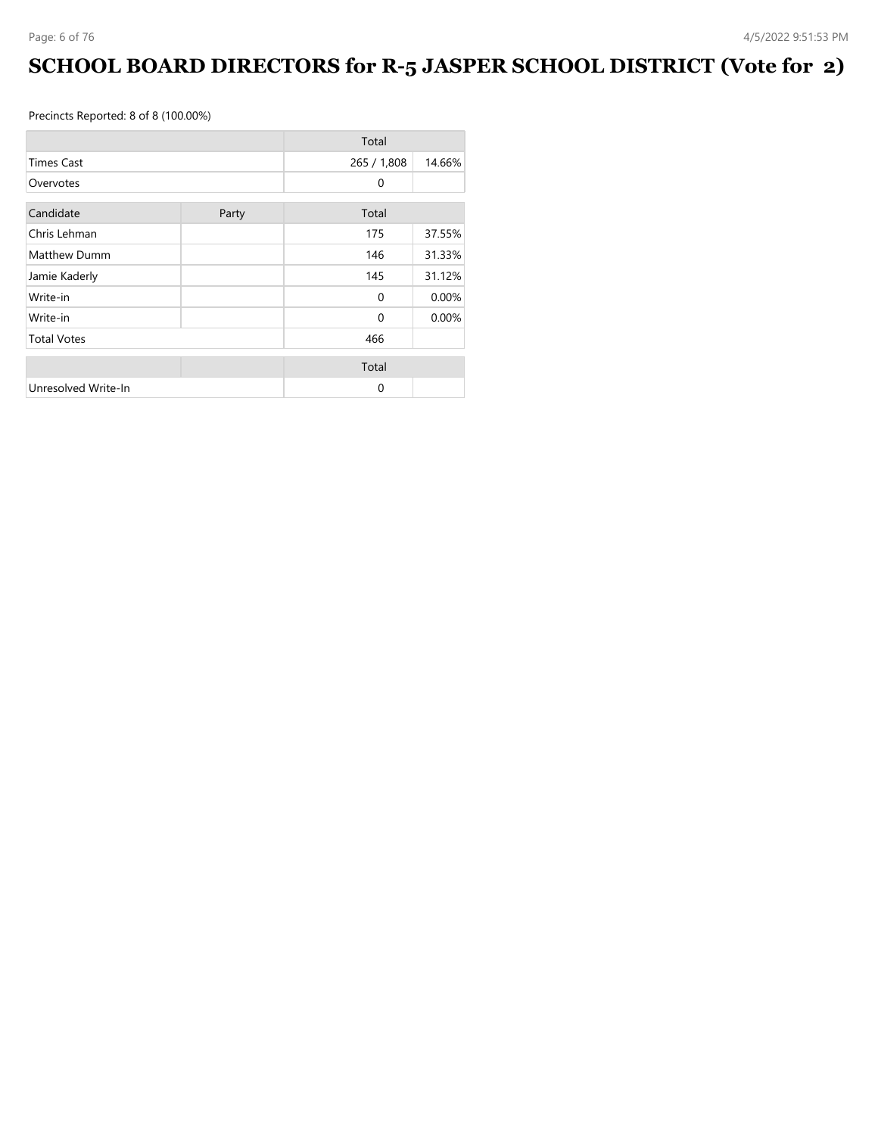## **SCHOOL BOARD DIRECTORS for R-5 JASPER SCHOOL DISTRICT (Vote for 2)**

|                     |       | Total        |        |
|---------------------|-------|--------------|--------|
| <b>Times Cast</b>   |       | 265 / 1,808  | 14.66% |
| Overvotes           |       | 0            |        |
| Candidate           | Party | Total        |        |
| Chris Lehman        |       | 175          | 37.55% |
| Matthew Dumm        |       | 146          | 31.33% |
| Jamie Kaderly       |       | 145          | 31.12% |
| Write-in            |       | $\Omega$     | 0.00%  |
| Write-in            |       | $\mathbf{0}$ | 0.00%  |
| <b>Total Votes</b>  |       | 466          |        |
|                     |       | Total        |        |
| Unresolved Write-In |       | $\Omega$     |        |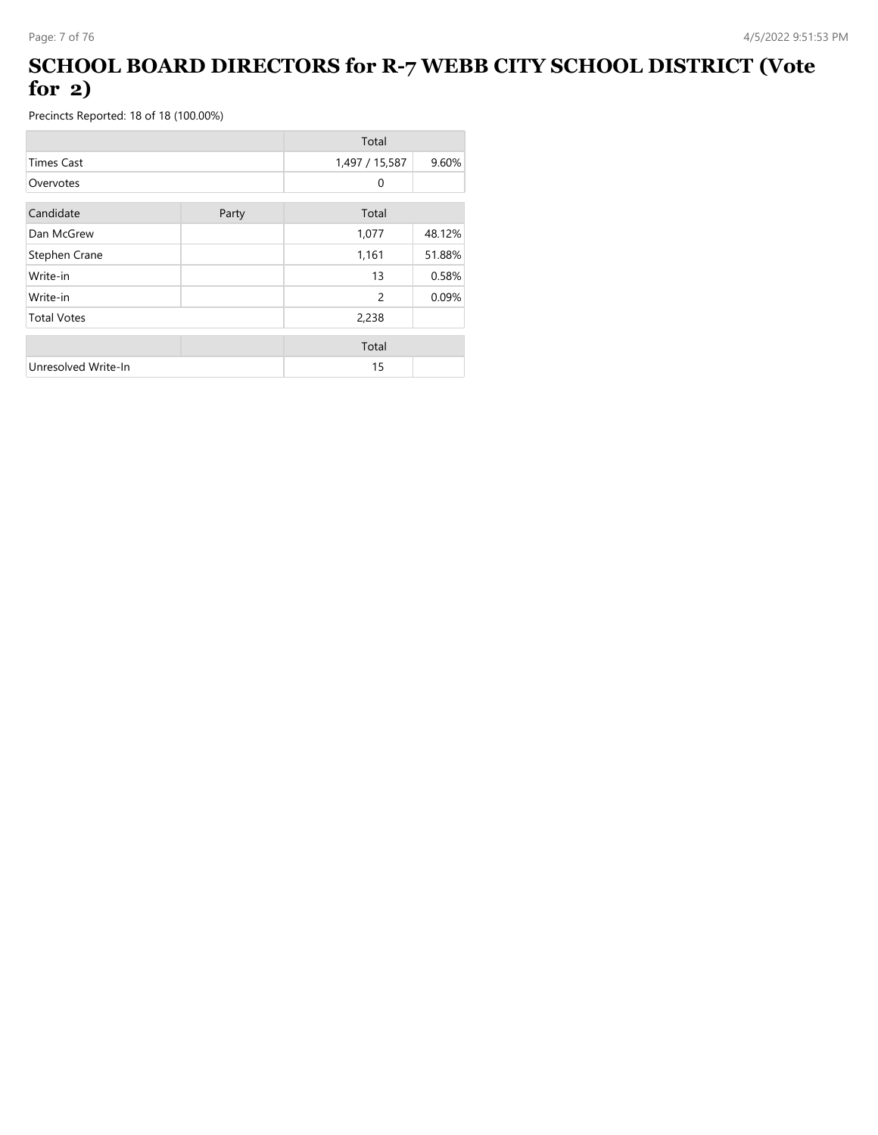#### **SCHOOL BOARD DIRECTORS for R-7 WEBB CITY SCHOOL DISTRICT (Vote for 2)**

|                     |       | Total          |        |
|---------------------|-------|----------------|--------|
| <b>Times Cast</b>   |       | 1,497 / 15,587 | 9.60%  |
| Overvotes           |       | $\Omega$       |        |
| Candidate           | Party | Total          |        |
| Dan McGrew          |       | 1,077          | 48.12% |
| Stephen Crane       |       | 1,161          | 51.88% |
| Write-in            |       | 13             | 0.58%  |
| Write-in            |       | 2              | 0.09%  |
| <b>Total Votes</b>  |       | 2,238          |        |
|                     |       | Total          |        |
| Unresolved Write-In |       | 15             |        |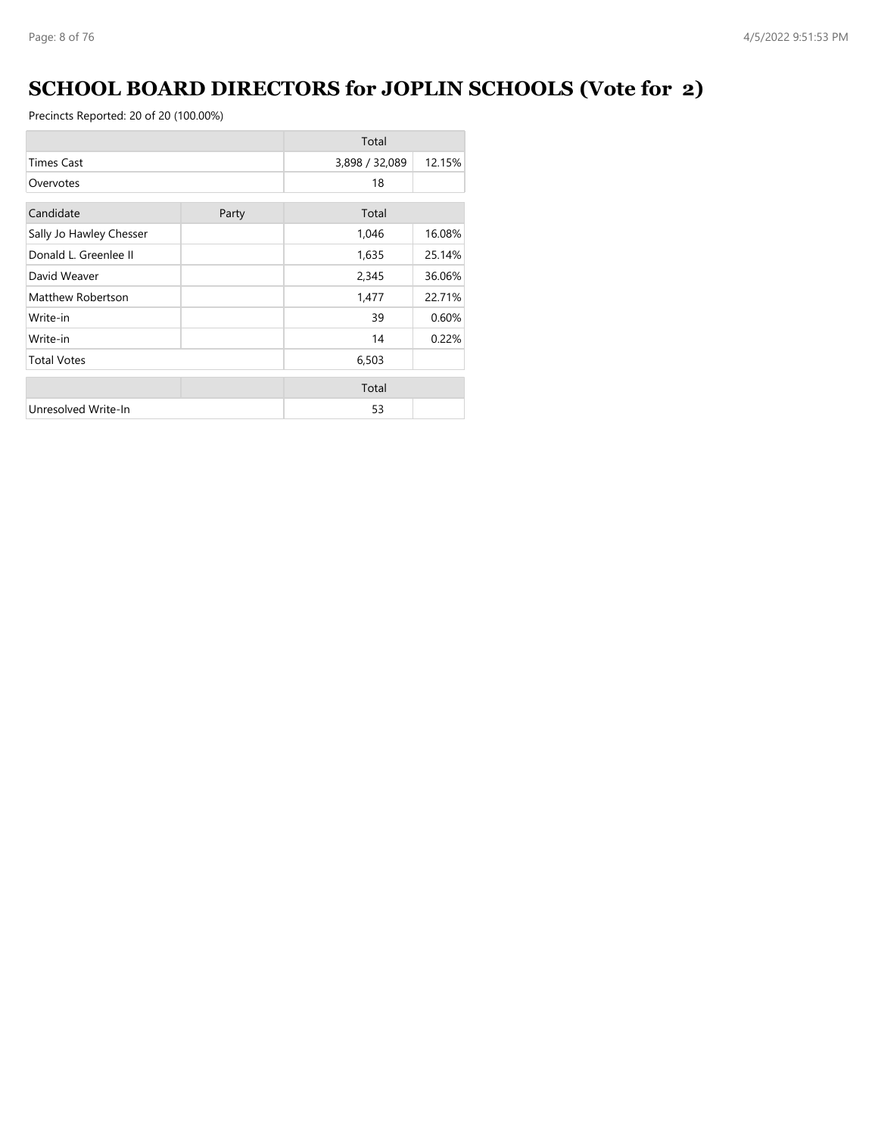## **SCHOOL BOARD DIRECTORS for JOPLIN SCHOOLS (Vote for 2)**

|                         |       | Total          |        |
|-------------------------|-------|----------------|--------|
| <b>Times Cast</b>       |       | 3,898 / 32,089 | 12.15% |
| Overvotes               |       | 18             |        |
| Candidate               | Party | Total          |        |
| Sally Jo Hawley Chesser |       | 1,046          | 16.08% |
| Donald L. Greenlee II   |       | 1,635          | 25.14% |
| David Weaver            |       | 2,345          | 36.06% |
| Matthew Robertson       |       | 1,477          | 22.71% |
| Write-in                |       | 39             | 0.60%  |
| Write-in                |       | 14             | 0.22%  |
| <b>Total Votes</b>      |       | 6,503          |        |
|                         |       | Total          |        |
| Unresolved Write-In     |       | 53             |        |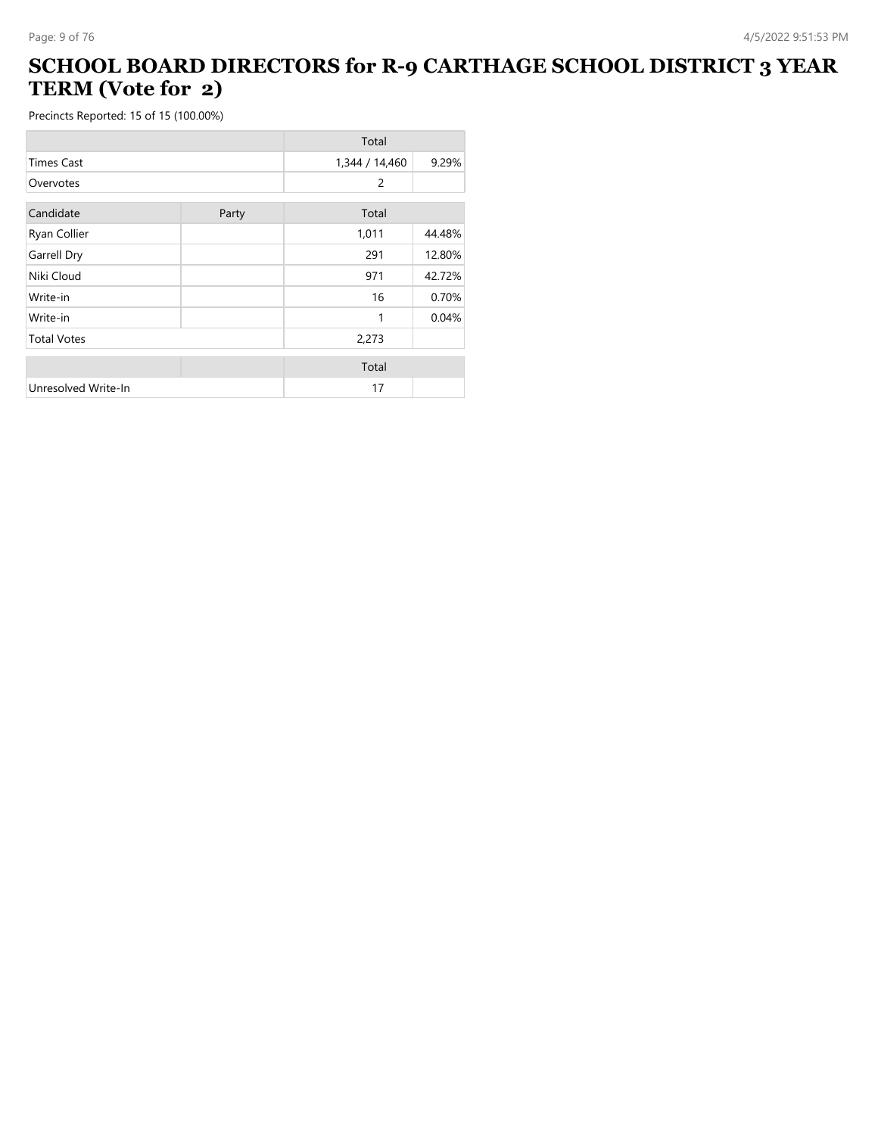#### **SCHOOL BOARD DIRECTORS for R-9 CARTHAGE SCHOOL DISTRICT 3 YEAR TERM (Vote for 2)**

|                     |       | Total          |        |
|---------------------|-------|----------------|--------|
| <b>Times Cast</b>   |       | 1,344 / 14,460 | 9.29%  |
| Overvotes           |       | 2              |        |
| Candidate           | Party | Total          |        |
| Ryan Collier        |       | 1,011          | 44.48% |
| Garrell Dry         |       | 291            | 12.80% |
| Niki Cloud          |       | 971            | 42.72% |
| Write-in            |       | 16             | 0.70%  |
| Write-in            |       | 1              | 0.04%  |
| <b>Total Votes</b>  |       | 2,273          |        |
|                     |       | Total          |        |
| Unresolved Write-In |       | 17             |        |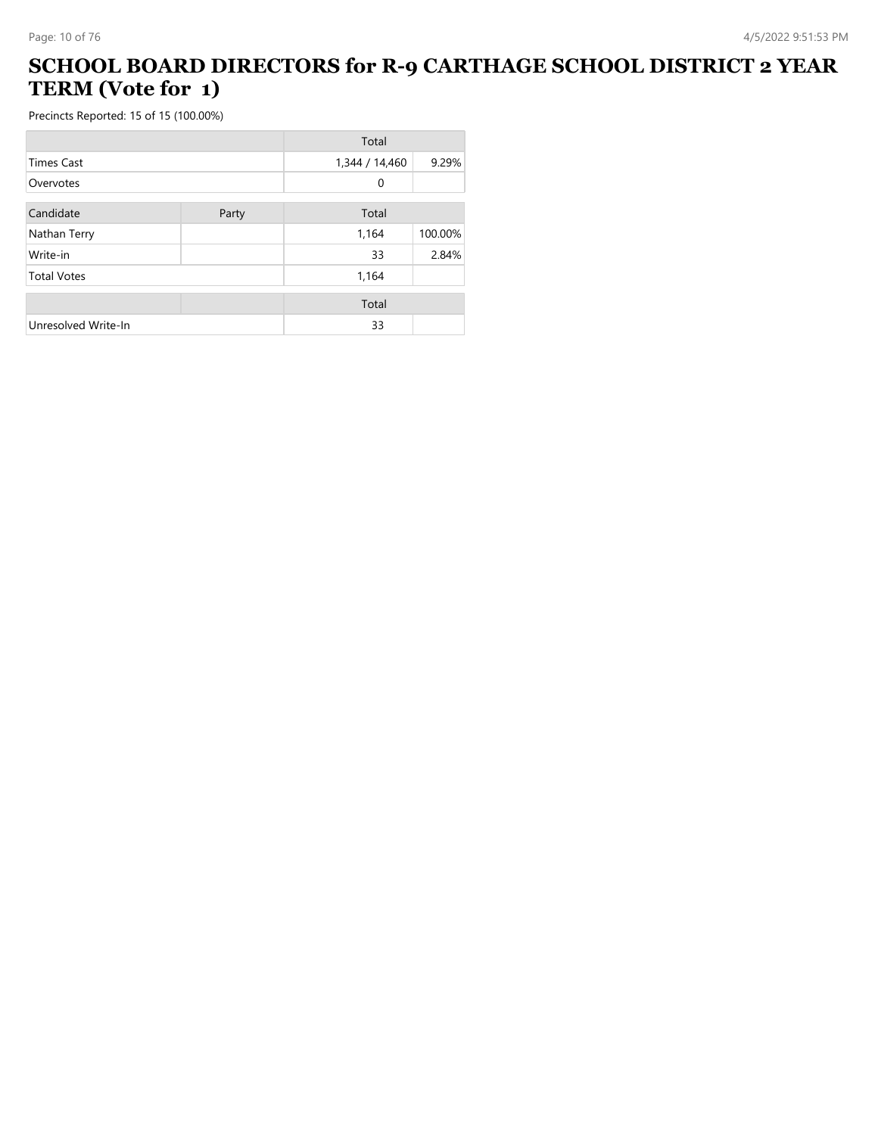#### **SCHOOL BOARD DIRECTORS for R-9 CARTHAGE SCHOOL DISTRICT 2 YEAR TERM (Vote for 1)**

|                     |       | Total          |         |
|---------------------|-------|----------------|---------|
| <b>Times Cast</b>   |       | 1,344 / 14,460 | 9.29%   |
| Overvotes           |       | 0              |         |
| Candidate           | Party | Total          |         |
| Nathan Terry        |       | 1,164          | 100.00% |
| Write-in            |       | 33             | 2.84%   |
| <b>Total Votes</b>  |       | 1,164          |         |
|                     |       | Total          |         |
| Unresolved Write-In |       | 33             |         |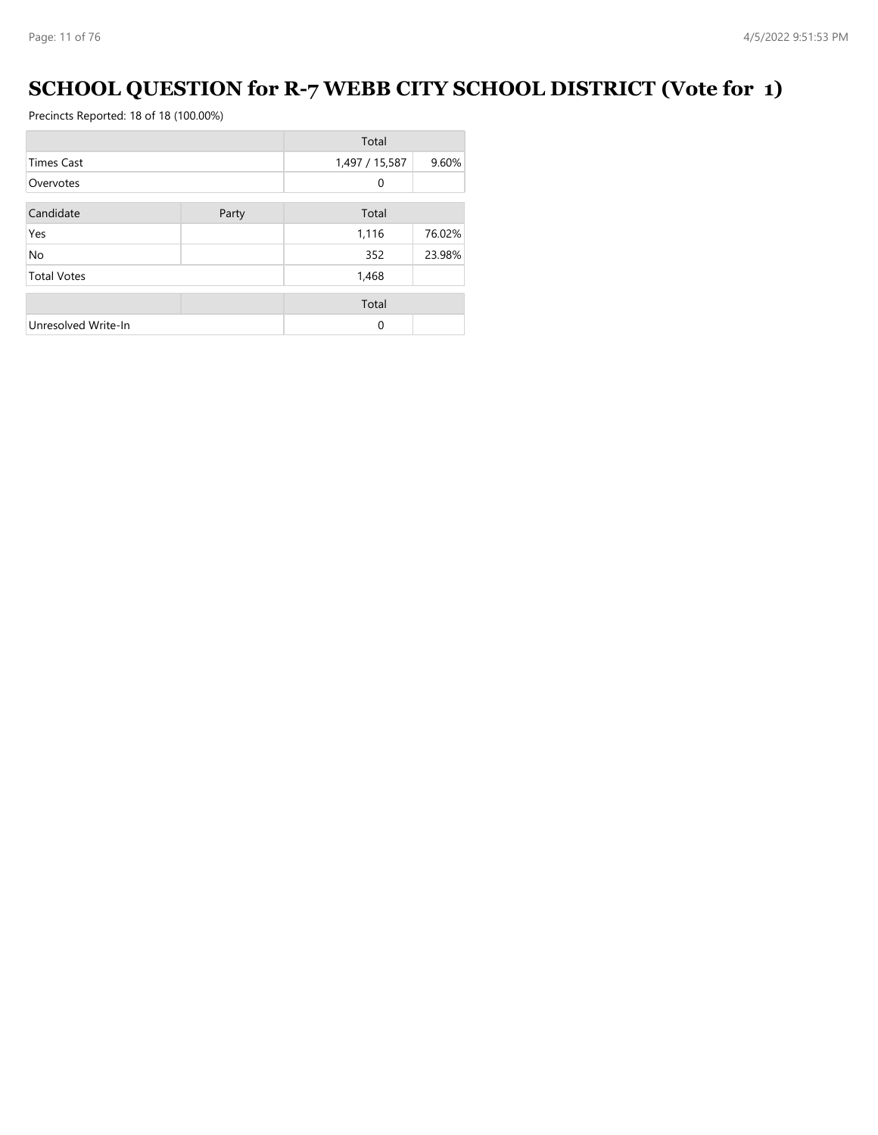## **SCHOOL QUESTION for R-7 WEBB CITY SCHOOL DISTRICT (Vote for 1)**

|                     |       | Total          |        |
|---------------------|-------|----------------|--------|
| <b>Times Cast</b>   |       | 1,497 / 15,587 | 9.60%  |
| Overvotes           |       | 0              |        |
| Candidate           | Party | Total          |        |
| Yes                 |       | 1,116          | 76.02% |
| <b>No</b>           |       | 352            | 23.98% |
| <b>Total Votes</b>  |       | 1,468          |        |
|                     |       | Total          |        |
| Unresolved Write-In |       | $\Omega$       |        |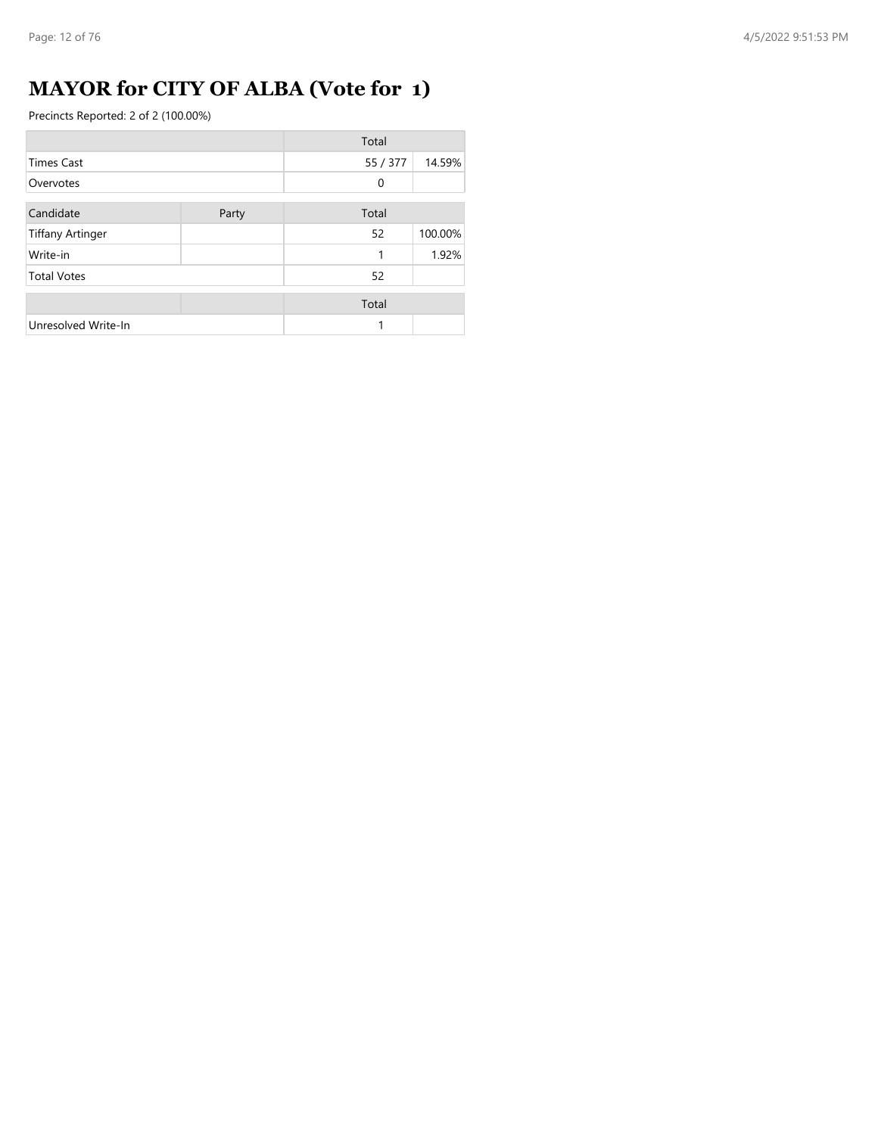## **MAYOR for CITY OF ALBA (Vote for 1)**

|                         |       | Total    |         |
|-------------------------|-------|----------|---------|
| <b>Times Cast</b>       |       | 55 / 377 | 14.59%  |
| Overvotes               |       | 0        |         |
| Candidate               | Party | Total    |         |
| <b>Tiffany Artinger</b> |       | 52       | 100.00% |
| Write-in                |       | 1        | 1.92%   |
| <b>Total Votes</b>      |       | 52       |         |
|                         |       | Total    |         |
| Unresolved Write-In     |       | 1        |         |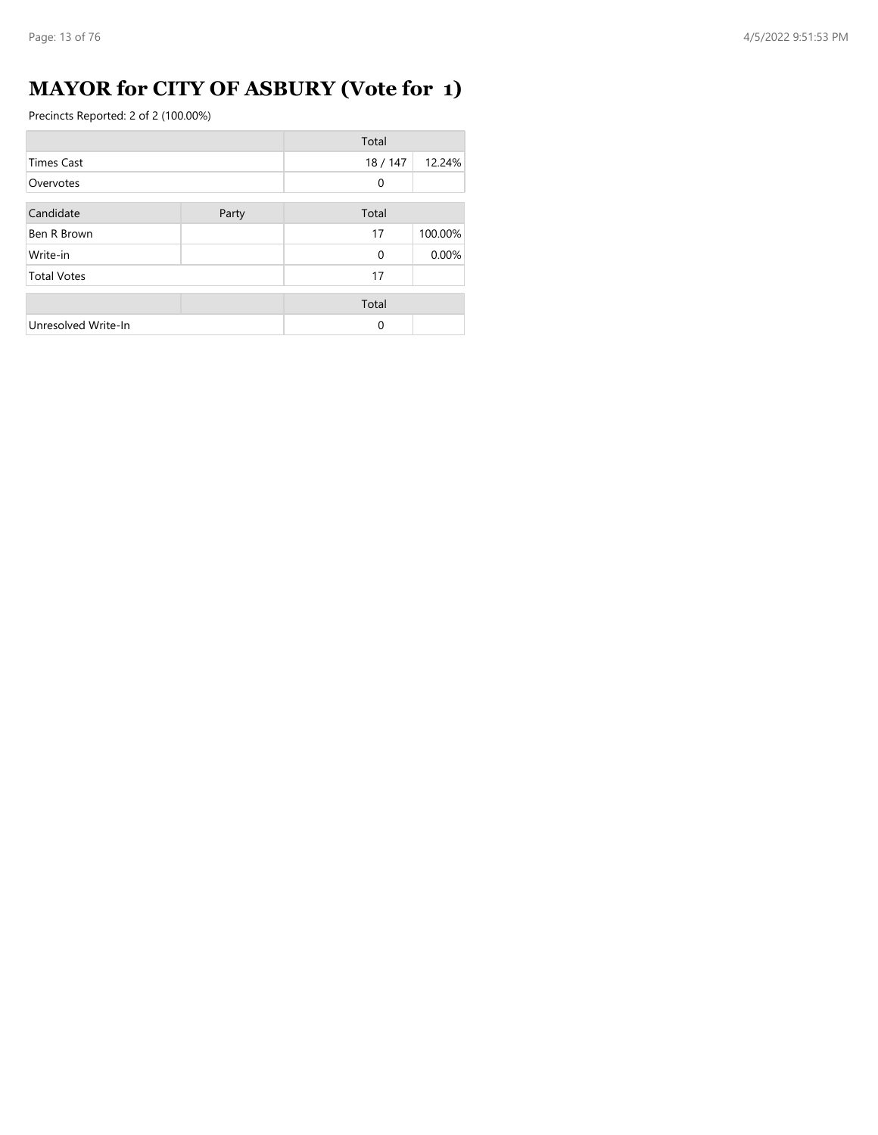## **MAYOR for CITY OF ASBURY (Vote for 1)**

|                     |       | Total    |         |
|---------------------|-------|----------|---------|
| <b>Times Cast</b>   |       | 18/147   | 12.24%  |
| Overvotes           |       | 0        |         |
| Candidate           | Party | Total    |         |
| Ben R Brown         |       | 17       | 100.00% |
| Write-in            |       | $\Omega$ | 0.00%   |
| <b>Total Votes</b>  |       | 17       |         |
|                     |       | Total    |         |
| Unresolved Write-In |       | $\Omega$ |         |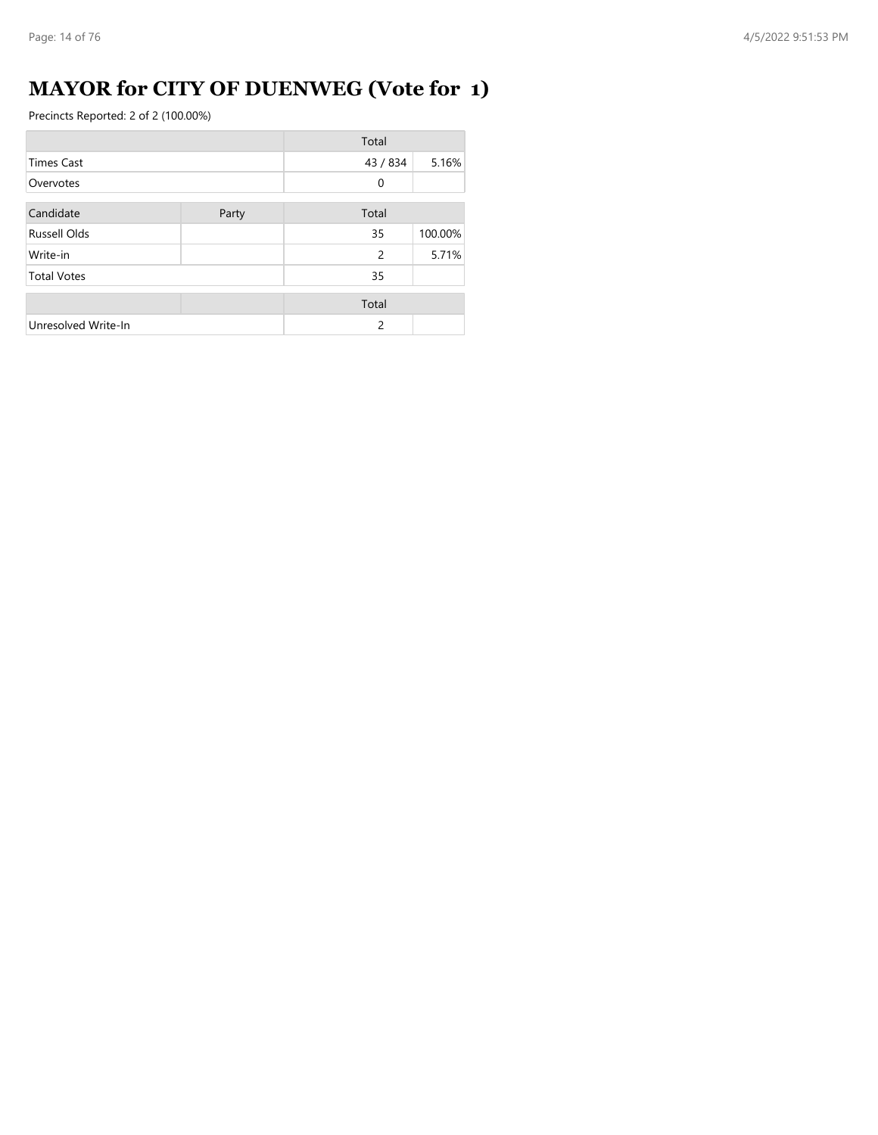## **MAYOR for CITY OF DUENWEG (Vote for 1)**

|                     |       | Total    |         |
|---------------------|-------|----------|---------|
| <b>Times Cast</b>   |       | 43 / 834 | 5.16%   |
| Overvotes           |       | 0        |         |
| Candidate           | Party | Total    |         |
| <b>Russell Olds</b> |       | 35       | 100.00% |
| Write-in            |       | 2        | 5.71%   |
| <b>Total Votes</b>  |       | 35       |         |
|                     |       | Total    |         |
| Unresolved Write-In |       | 2        |         |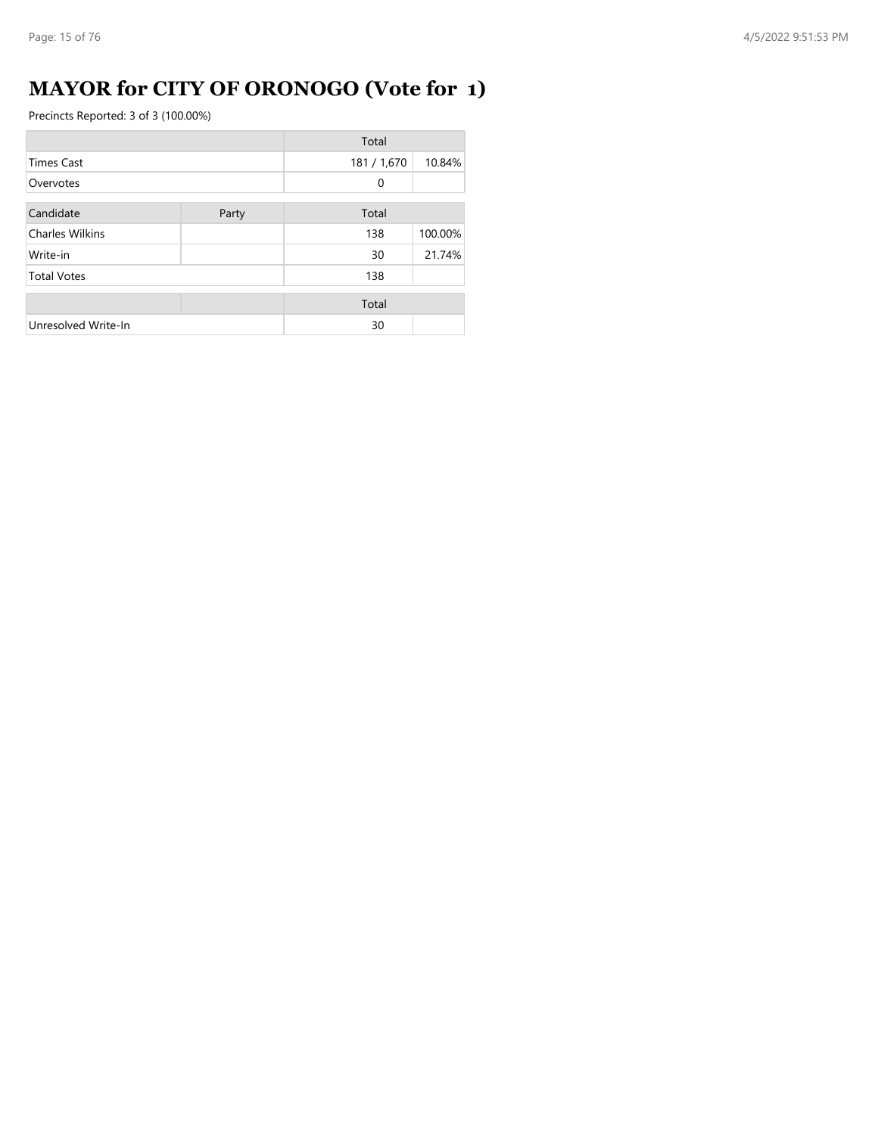## **MAYOR for CITY OF ORONOGO (Vote for 1)**

|                        |       | Total       |         |
|------------------------|-------|-------------|---------|
| <b>Times Cast</b>      |       | 181 / 1,670 | 10.84%  |
| Overvotes              |       | 0           |         |
| Candidate              | Party | Total       |         |
| <b>Charles Wilkins</b> |       | 138         | 100.00% |
| Write-in               |       | 30          | 21.74%  |
| <b>Total Votes</b>     |       | 138         |         |
|                        |       | Total       |         |
| Unresolved Write-In    |       | 30          |         |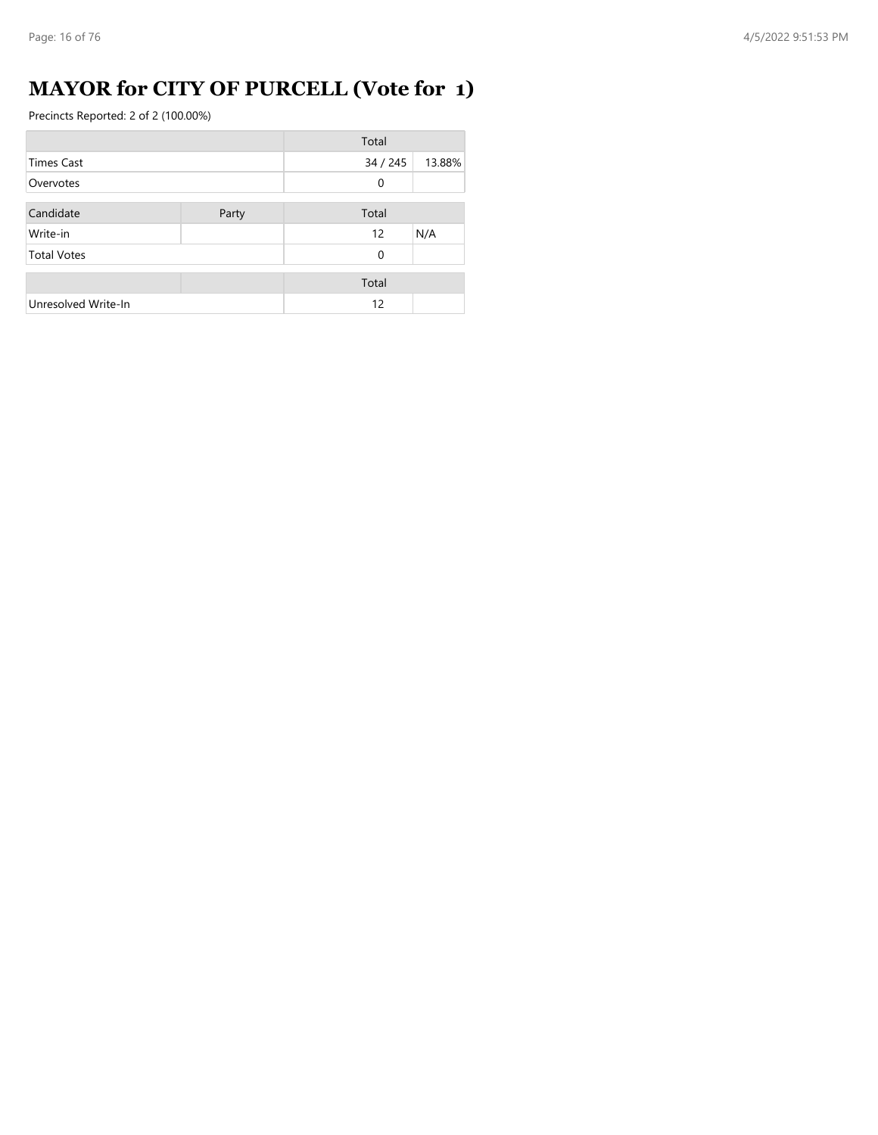## **MAYOR for CITY OF PURCELL (Vote for 1)**

|                     |       | Total       |        |
|---------------------|-------|-------------|--------|
| Times Cast          |       | 34 / 245    | 13.88% |
| Overvotes           |       | 0           |        |
| Candidate           | Party | Total       |        |
| Write-in            |       | 12          | N/A    |
| <b>Total Votes</b>  |       | $\mathbf 0$ |        |
|                     |       | Total       |        |
| Unresolved Write-In |       | 12          |        |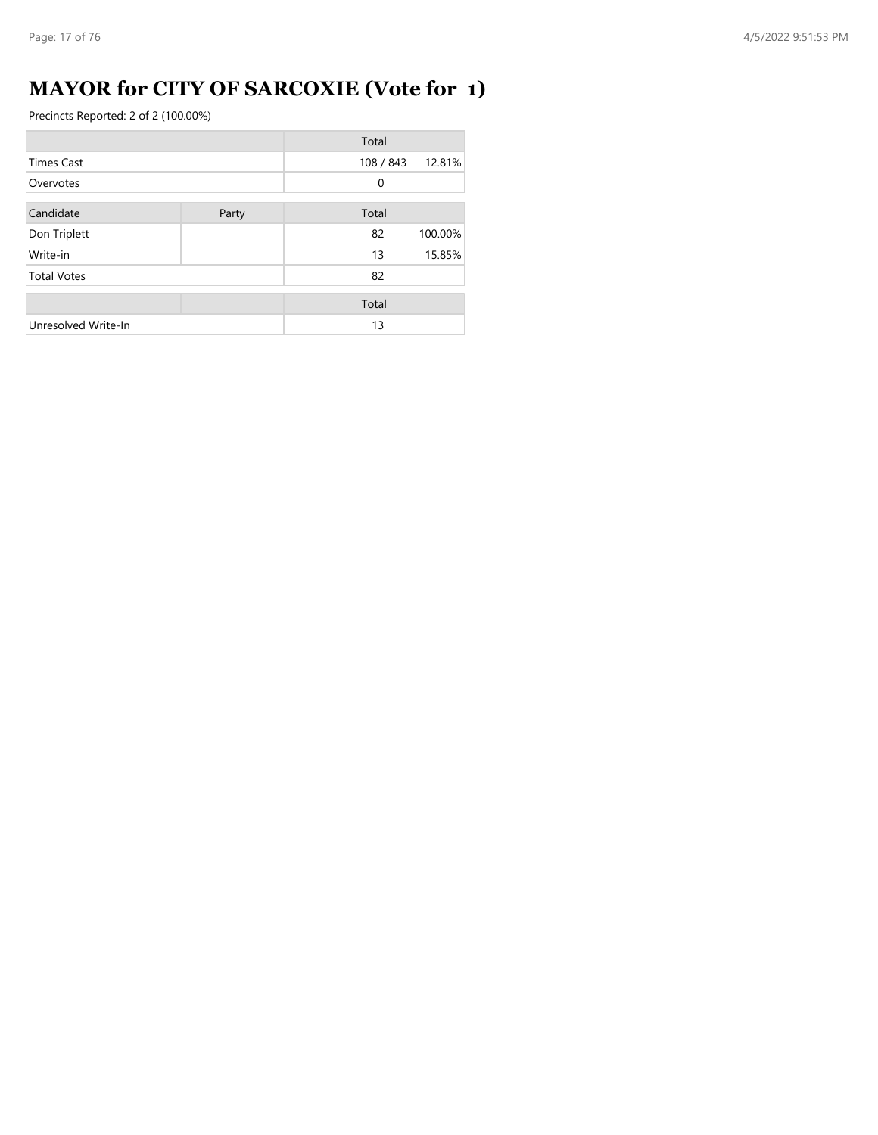## **MAYOR for CITY OF SARCOXIE (Vote for 1)**

|                     |       | Total        |         |
|---------------------|-------|--------------|---------|
| <b>Times Cast</b>   |       | 108 / 843    | 12.81%  |
| Overvotes           |       | $\mathbf{0}$ |         |
| Candidate           | Party | Total        |         |
| Don Triplett        |       | 82           | 100.00% |
| Write-in            |       | 13           | 15.85%  |
| <b>Total Votes</b>  |       | 82           |         |
|                     |       | Total        |         |
| Unresolved Write-In |       | 13           |         |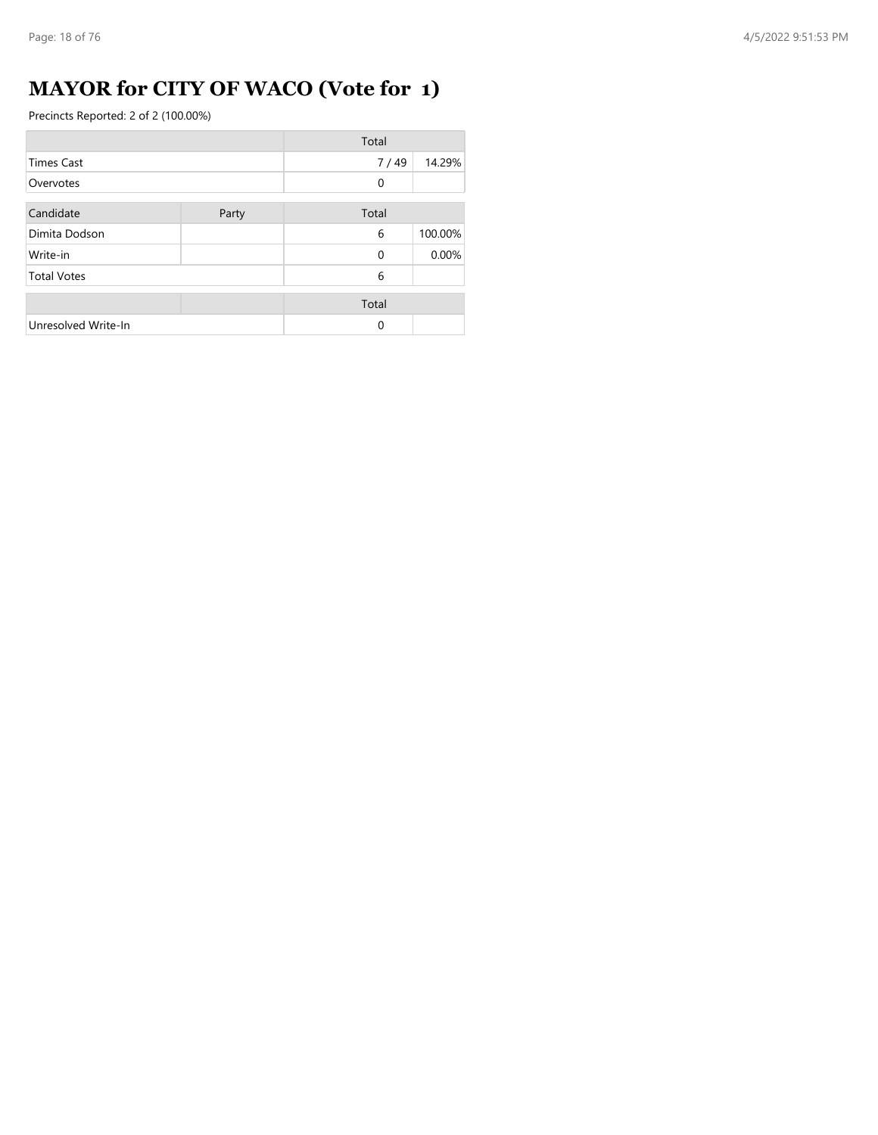## **MAYOR for CITY OF WACO (Vote for 1)**

|                     |       | Total    |         |
|---------------------|-------|----------|---------|
| <b>Times Cast</b>   |       | 7/49     | 14.29%  |
| Overvotes           |       | 0        |         |
| Candidate           | Party | Total    |         |
| Dimita Dodson       |       | 6        | 100.00% |
| Write-in            |       | $\Omega$ | 0.00%   |
| <b>Total Votes</b>  |       | 6        |         |
|                     |       | Total    |         |
| Unresolved Write-In |       | $\Omega$ |         |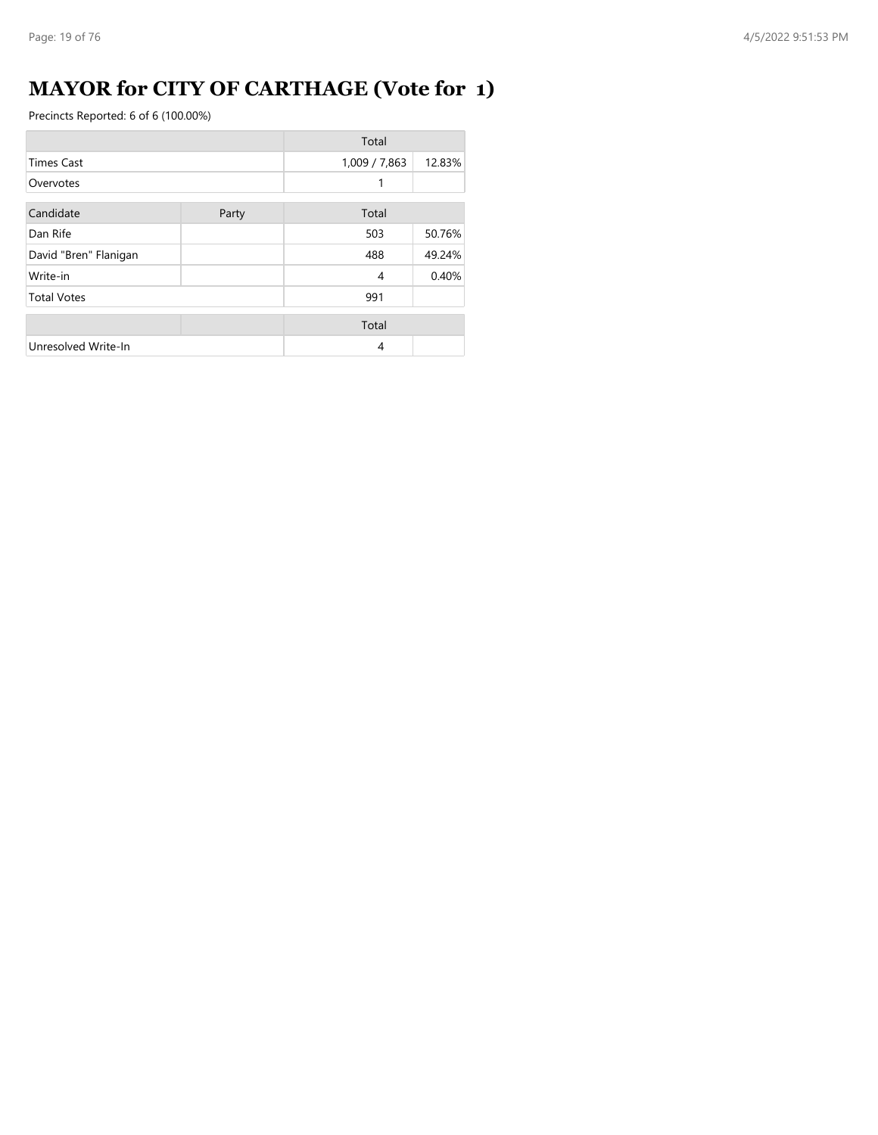## **MAYOR for CITY OF CARTHAGE (Vote for 1)**

|                       |       | Total         |        |
|-----------------------|-------|---------------|--------|
| <b>Times Cast</b>     |       | 1,009 / 7,863 | 12.83% |
| Overvotes             |       | 1             |        |
| Candidate             | Party | Total         |        |
|                       |       |               |        |
| Dan Rife              |       | 503           | 50.76% |
| David "Bren" Flanigan |       | 488           | 49.24% |
| Write-in              |       | 4             | 0.40%  |
| <b>Total Votes</b>    |       | 991           |        |
|                       |       | Total         |        |
| Unresolved Write-In   |       | 4             |        |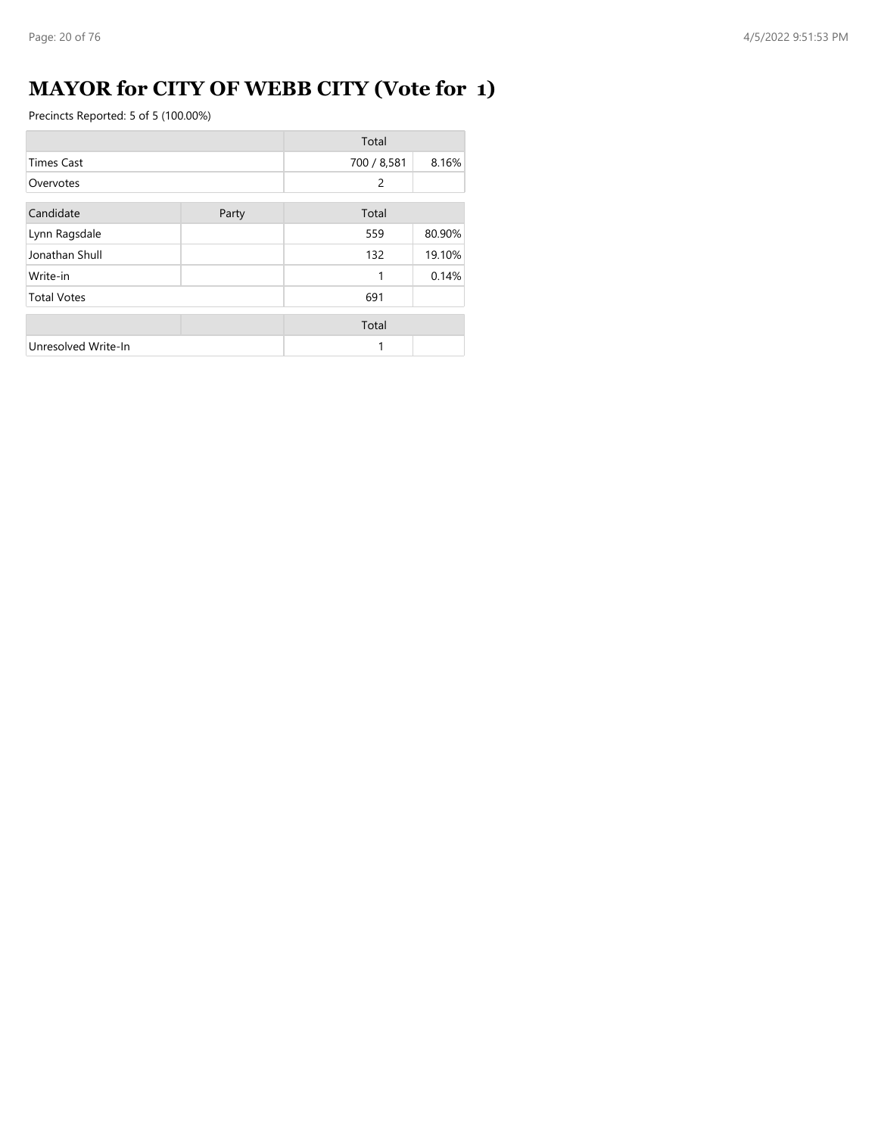## **MAYOR for CITY OF WEBB CITY (Vote for 1)**

|                     |       | Total       |        |
|---------------------|-------|-------------|--------|
| <b>Times Cast</b>   |       | 700 / 8,581 | 8.16%  |
| Overvotes           |       | 2           |        |
| Candidate           | Party | Total       |        |
|                     |       | 559         | 80.90% |
| Lynn Ragsdale       |       |             |        |
| Jonathan Shull      |       | 132         | 19.10% |
| Write-in            |       | 1           | 0.14%  |
| <b>Total Votes</b>  |       | 691         |        |
|                     |       | Total       |        |
| Unresolved Write-In |       | 1           |        |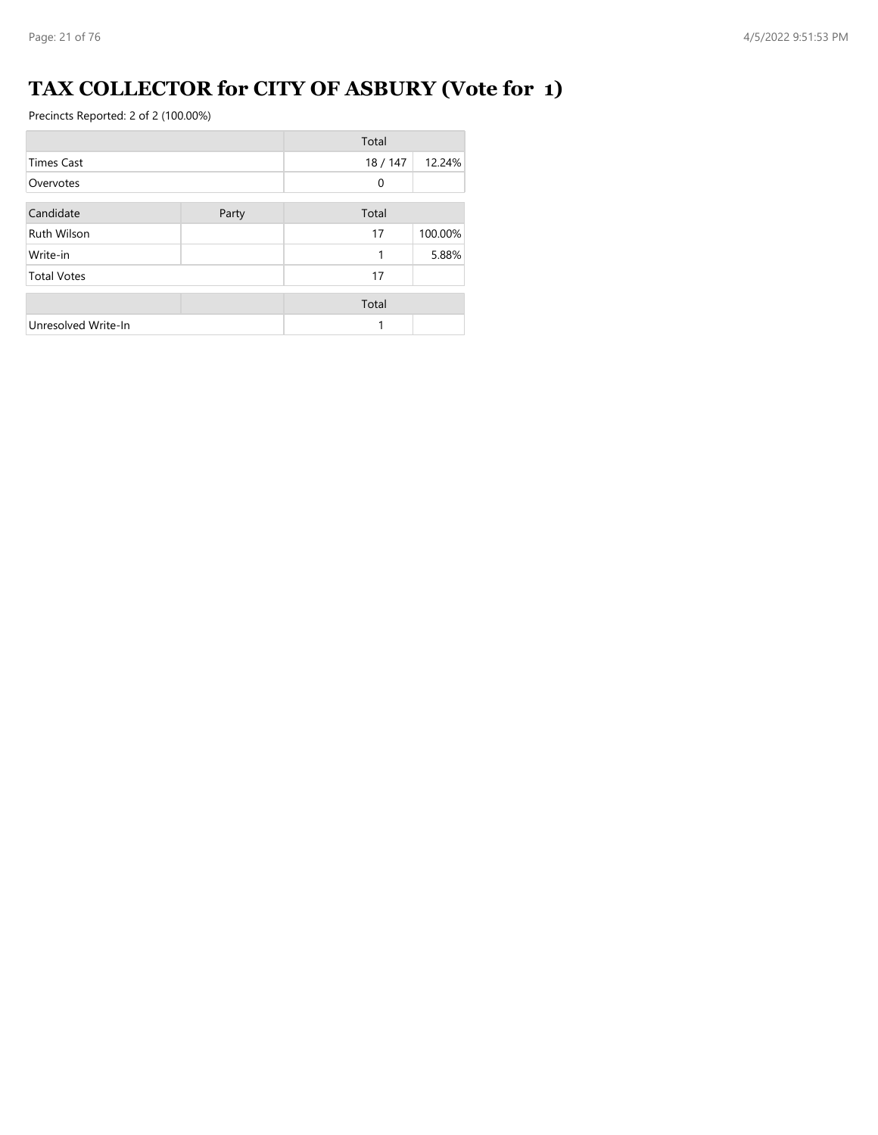## **TAX COLLECTOR for CITY OF ASBURY (Vote for 1)**

|                     |       | Total       |         |
|---------------------|-------|-------------|---------|
| <b>Times Cast</b>   |       | 18/147      | 12.24%  |
| Overvotes           |       | $\mathbf 0$ |         |
| Candidate           | Party | Total       |         |
| <b>Ruth Wilson</b>  |       | 17          | 100.00% |
| Write-in            |       | 1           | 5.88%   |
| <b>Total Votes</b>  |       | 17          |         |
|                     |       | Total       |         |
| Unresolved Write-In |       | 1           |         |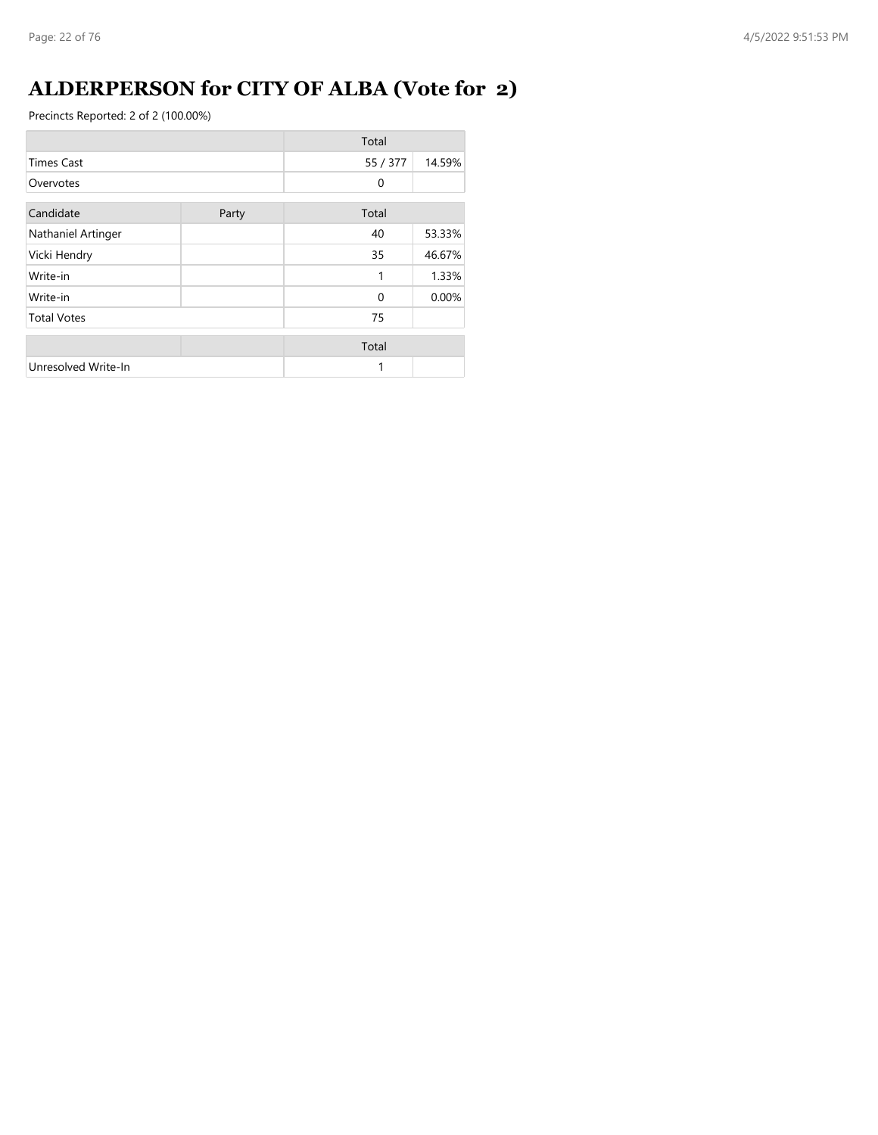## **ALDERPERSON for CITY OF ALBA (Vote for 2)**

|                     |       | Total    |        |
|---------------------|-------|----------|--------|
| <b>Times Cast</b>   |       | 55 / 377 | 14.59% |
| Overvotes           |       | $\Omega$ |        |
| Candidate           | Party | Total    |        |
| Nathaniel Artinger  |       | 40       | 53.33% |
| Vicki Hendry        |       | 35       | 46.67% |
| Write-in            |       | 1        | 1.33%  |
| Write-in            |       | $\Omega$ | 0.00%  |
| <b>Total Votes</b>  |       | 75       |        |
|                     |       | Total    |        |
| Unresolved Write-In |       | 1        |        |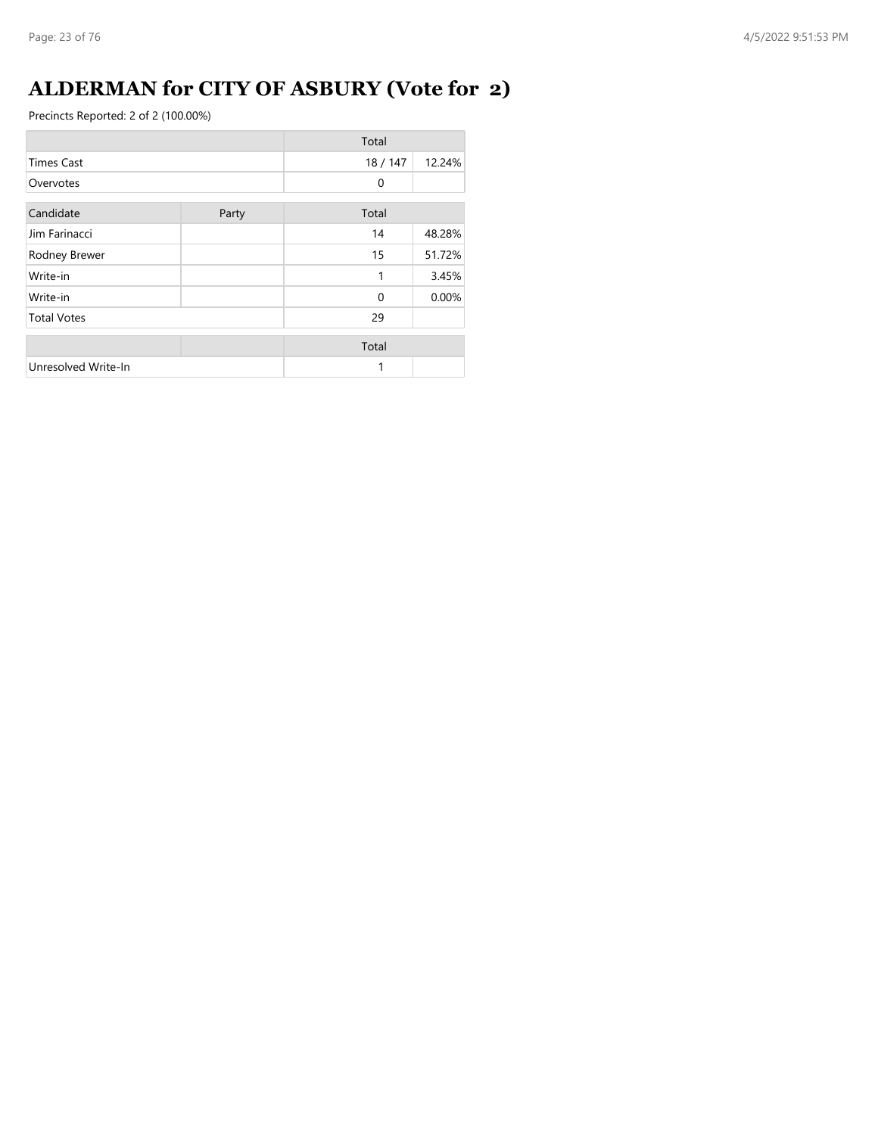## **ALDERMAN for CITY OF ASBURY (Vote for 2)**

|                     |       | Total    |        |
|---------------------|-------|----------|--------|
| <b>Times Cast</b>   |       | 18 / 147 | 12.24% |
| Overvotes           |       | $\Omega$ |        |
| Candidate           | Party | Total    |        |
| Jim Farinacci       |       | 14       | 48.28% |
| Rodney Brewer       |       | 15       | 51.72% |
| Write-in            |       | 1        | 3.45%  |
| Write-in            |       | $\Omega$ | 0.00%  |
| <b>Total Votes</b>  |       | 29       |        |
|                     |       | Total    |        |
| Unresolved Write-In |       | 1        |        |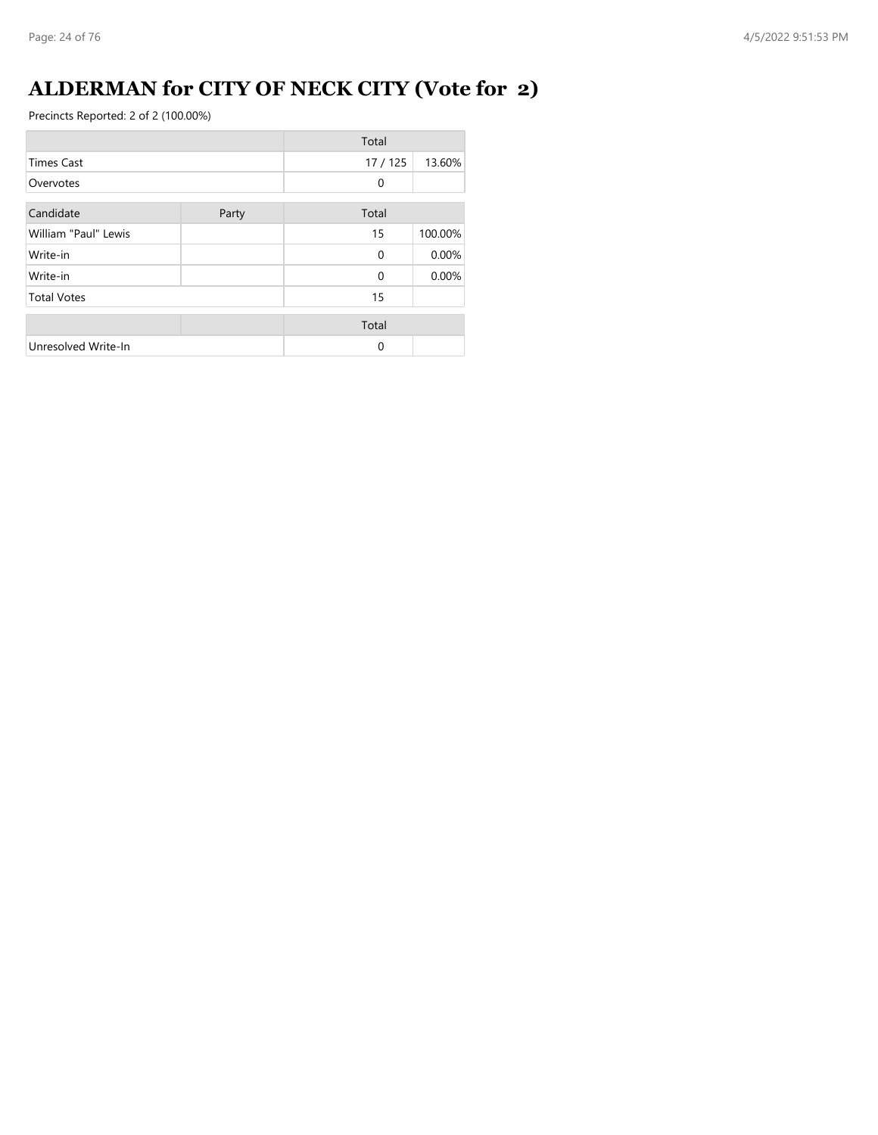## **ALDERMAN for CITY OF NECK CITY (Vote for 2)**

|                      |       | Total    |         |
|----------------------|-------|----------|---------|
| <b>Times Cast</b>    |       | 17 / 125 | 13.60%  |
| Overvotes            |       | 0        |         |
| Candidate            | Party | Total    |         |
| William "Paul" Lewis |       | 15       | 100.00% |
| Write-in             |       | $\Omega$ | 0.00%   |
| Write-in             |       | $\Omega$ | 0.00%   |
| <b>Total Votes</b>   |       | 15       |         |
|                      |       | Total    |         |
| Unresolved Write-In  |       | $\Omega$ |         |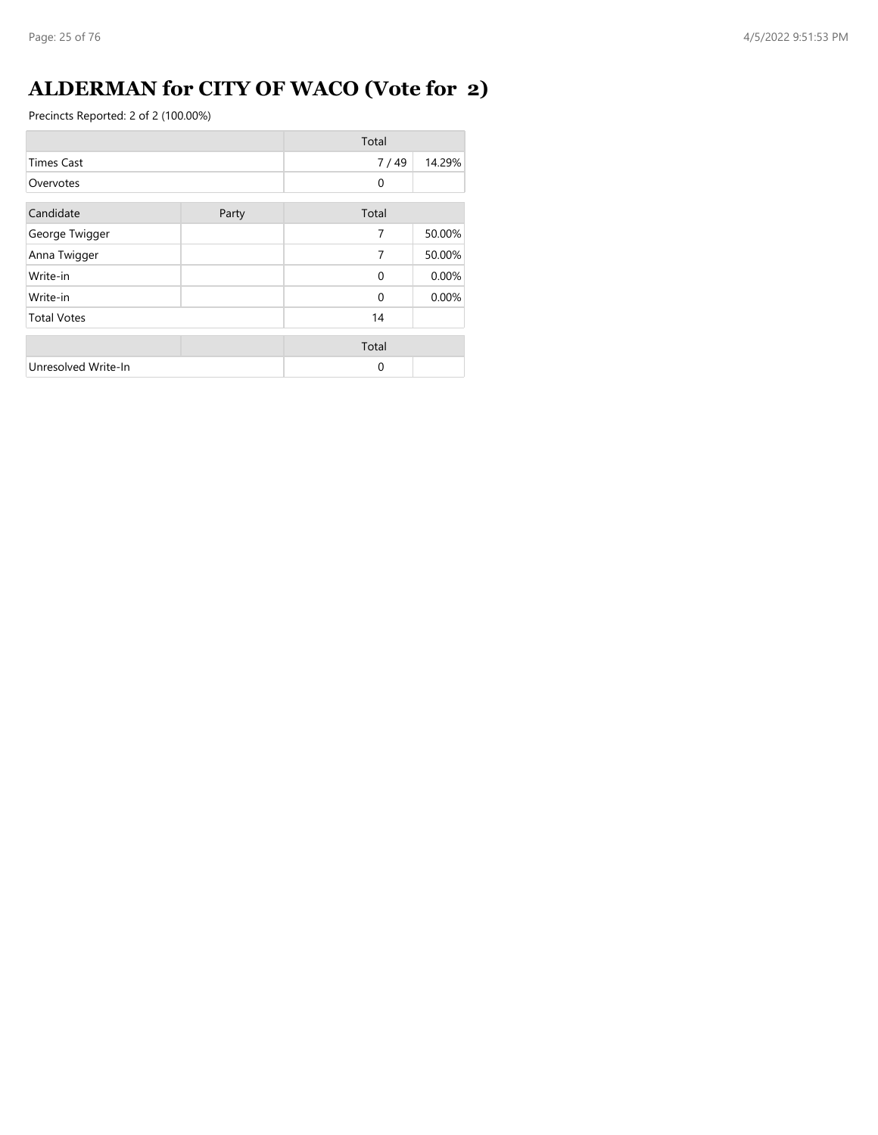## **ALDERMAN for CITY OF WACO (Vote for 2)**

|                     |       | Total    |        |
|---------------------|-------|----------|--------|
| <b>Times Cast</b>   |       | 7/49     | 14.29% |
| Overvotes           |       | 0        |        |
| Candidate           | Party | Total    |        |
| George Twigger      |       | 7        | 50.00% |
| Anna Twigger        |       | 7        | 50.00% |
| Write-in            |       | $\Omega$ | 0.00%  |
| Write-in            |       | $\Omega$ | 0.00%  |
| <b>Total Votes</b>  |       | 14       |        |
|                     |       | Total    |        |
| Unresolved Write-In |       | 0        |        |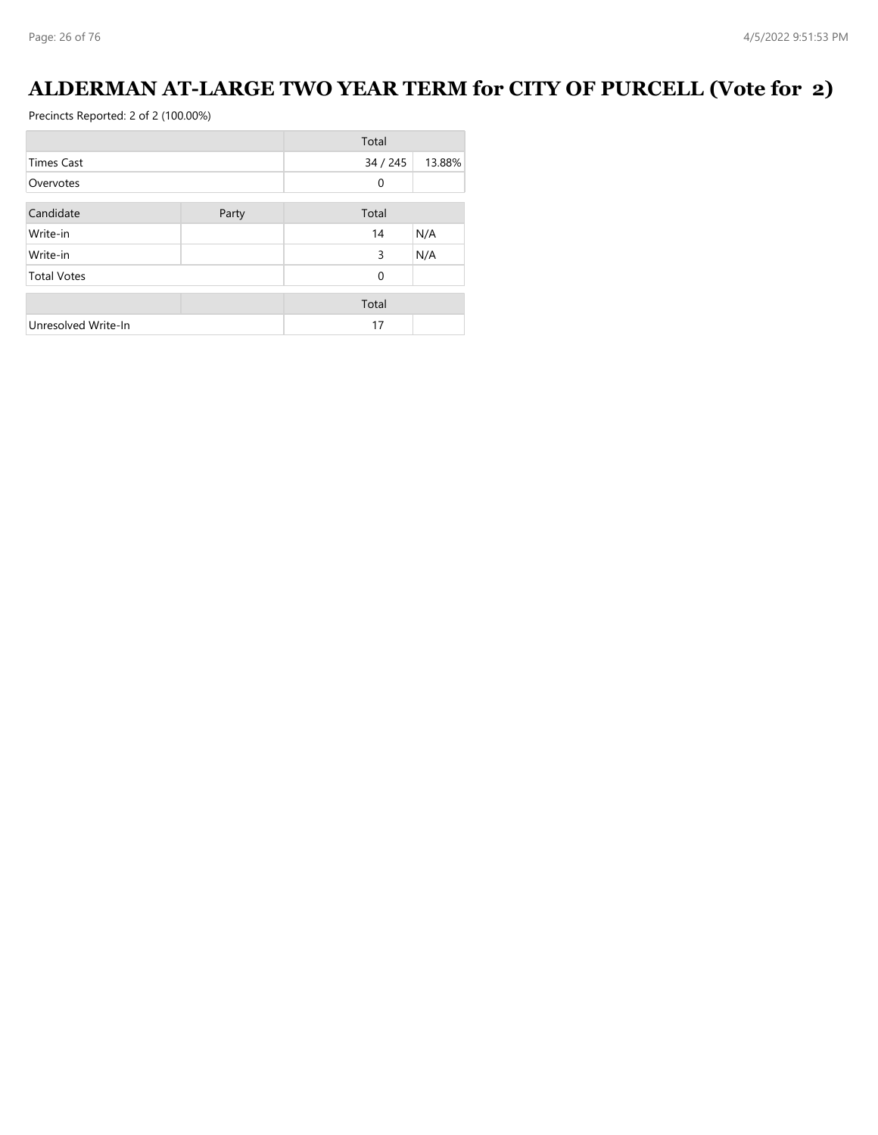## **ALDERMAN AT-LARGE TWO YEAR TERM for CITY OF PURCELL (Vote for 2)**

|                     |       | Total        |        |
|---------------------|-------|--------------|--------|
| <b>Times Cast</b>   |       | 34/245       | 13.88% |
| Overvotes           |       | 0            |        |
| Candidate           | Party | Total        |        |
| Write-in            |       | 14           | N/A    |
| Write-in            |       | 3            | N/A    |
| <b>Total Votes</b>  |       | $\mathbf{0}$ |        |
|                     |       | Total        |        |
| Unresolved Write-In |       | 17           |        |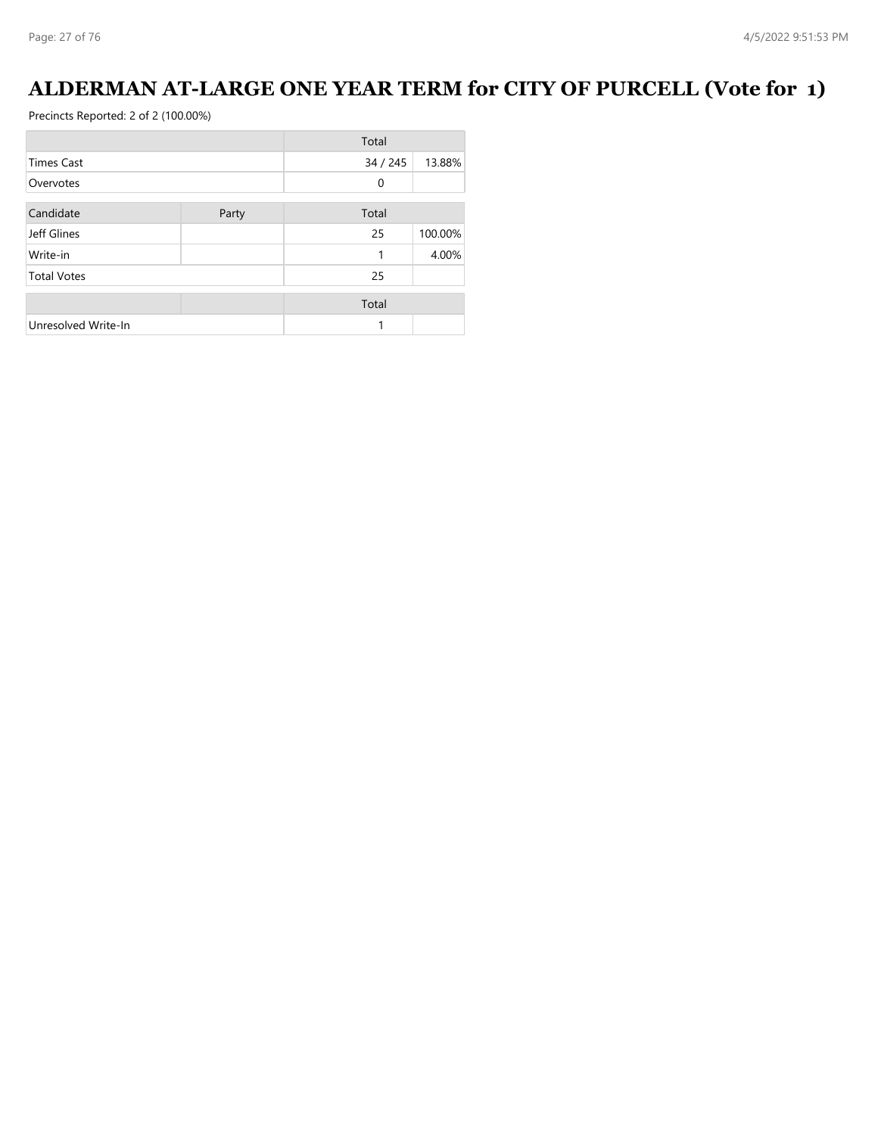## **ALDERMAN AT-LARGE ONE YEAR TERM for CITY OF PURCELL (Vote for 1)**

|                     |       | Total  |         |
|---------------------|-------|--------|---------|
| <b>Times Cast</b>   |       | 34/245 | 13.88%  |
| Overvotes           |       | 0      |         |
| Candidate           | Party | Total  |         |
| Jeff Glines         |       | 25     | 100.00% |
| Write-in            |       | 1      | 4.00%   |
| <b>Total Votes</b>  |       | 25     |         |
|                     |       | Total  |         |
| Unresolved Write-In |       | 1      |         |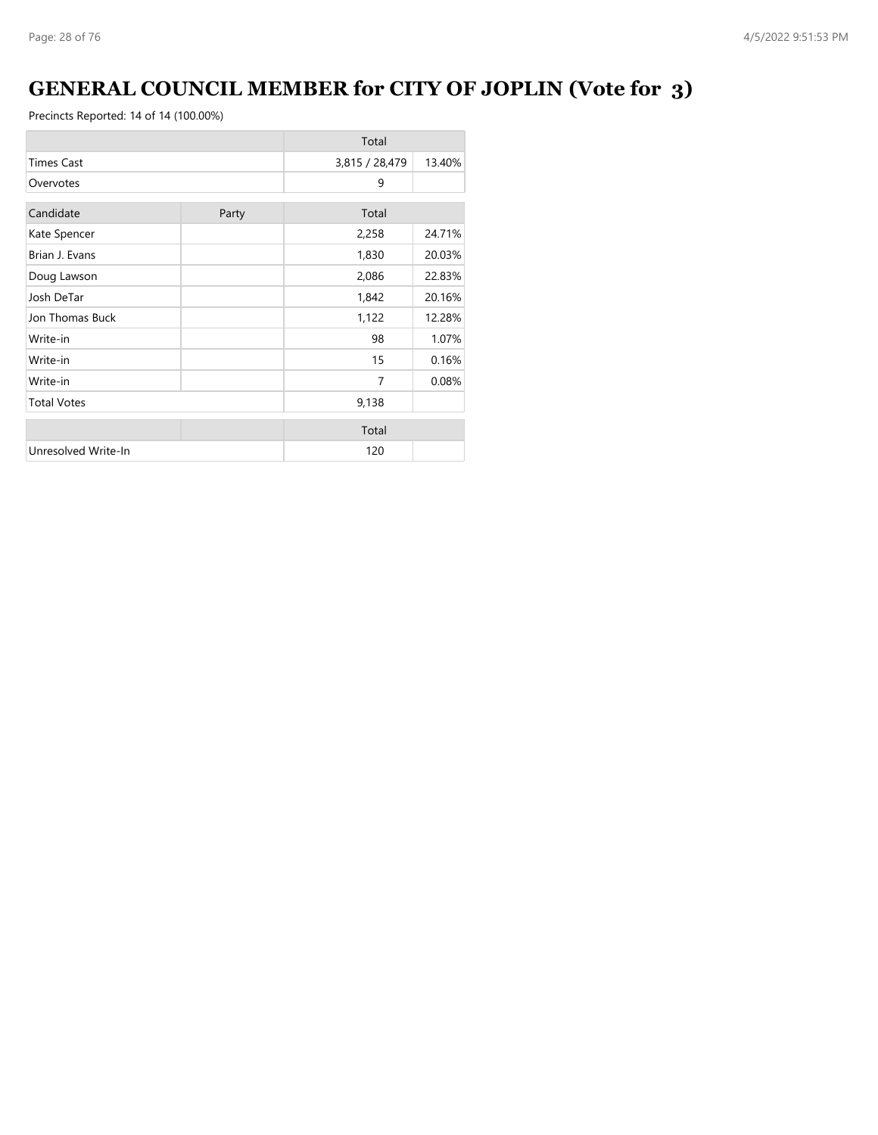## **GENERAL COUNCIL MEMBER for CITY OF JOPLIN (Vote for 3)**

|                     |       | Total          |        |
|---------------------|-------|----------------|--------|
| <b>Times Cast</b>   |       | 3,815 / 28,479 | 13.40% |
| Overvotes           |       | 9              |        |
| Candidate           | Party | Total          |        |
| Kate Spencer        |       | 2,258          | 24.71% |
| Brian J. Evans      |       | 1,830          | 20.03% |
| Doug Lawson         |       | 2,086          | 22.83% |
| Josh DeTar          |       | 1,842          | 20.16% |
| Jon Thomas Buck     |       | 1,122          | 12.28% |
| Write-in            |       | 98             | 1.07%  |
| Write-in            |       | 15             | 0.16%  |
| Write-in            |       | 7              | 0.08%  |
| <b>Total Votes</b>  |       | 9,138          |        |
|                     |       | Total          |        |
| Unresolved Write-In |       | 120            |        |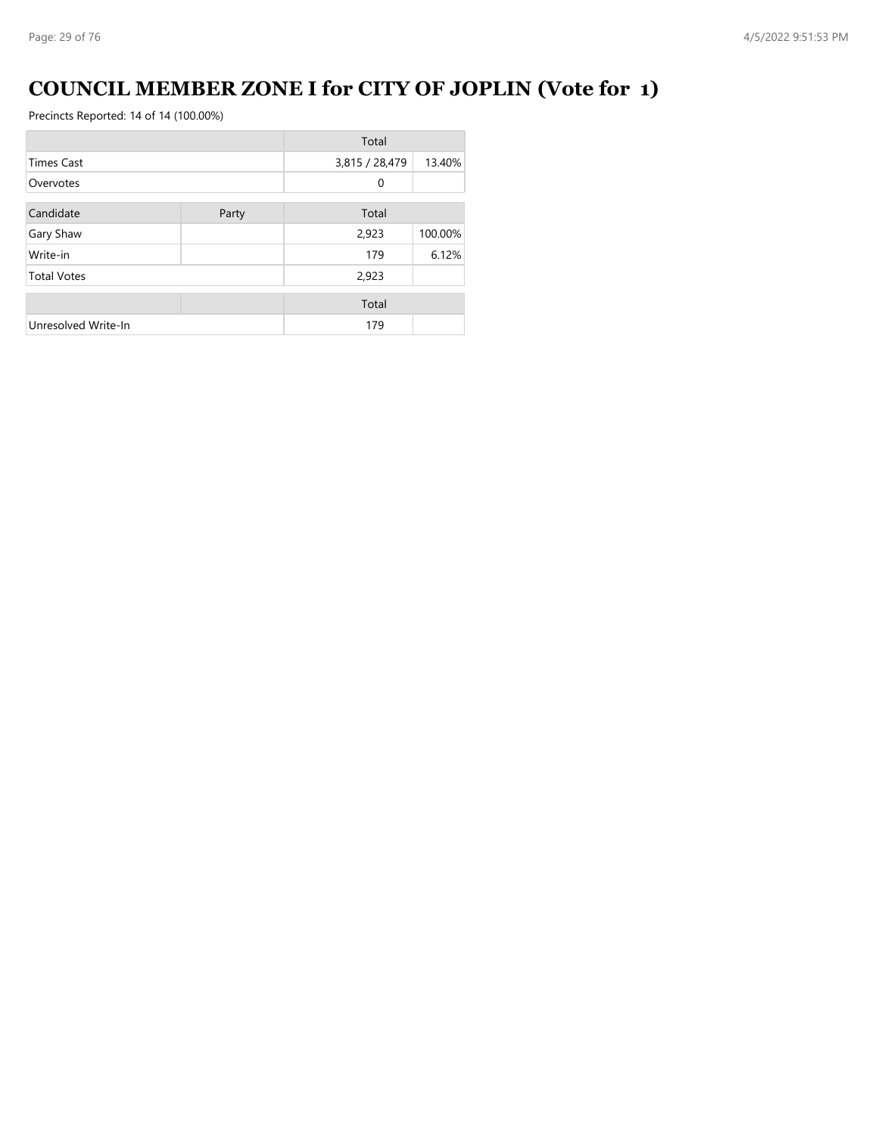## **COUNCIL MEMBER ZONE I for CITY OF JOPLIN (Vote for 1)**

|                     |       | Total          |         |
|---------------------|-------|----------------|---------|
| <b>Times Cast</b>   |       | 3,815 / 28,479 | 13.40%  |
| Overvotes           |       | 0              |         |
| Candidate           | Party | Total          |         |
| Gary Shaw           |       | 2,923          | 100.00% |
| Write-in            |       | 179            | 6.12%   |
| <b>Total Votes</b>  |       | 2,923          |         |
|                     |       | Total          |         |
| Unresolved Write-In |       | 179            |         |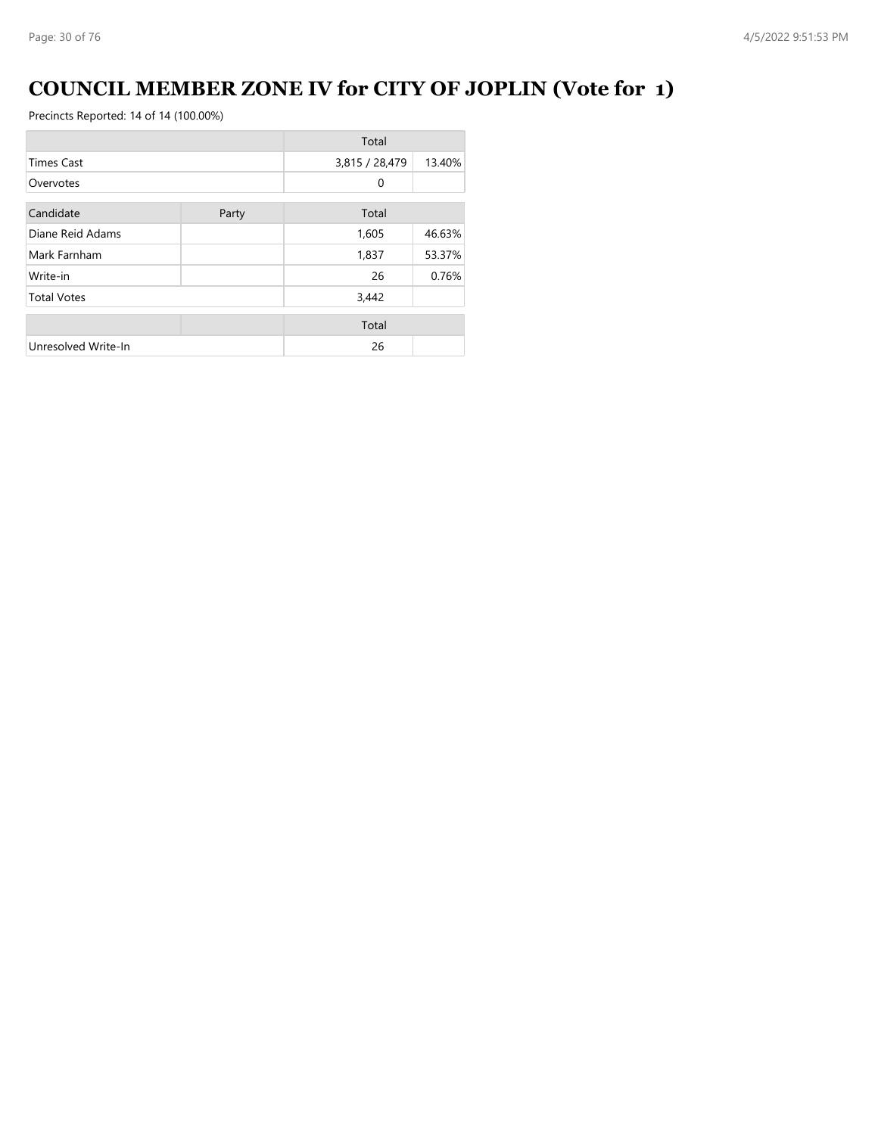## **COUNCIL MEMBER ZONE IV for CITY OF JOPLIN (Vote for 1)**

|                     |       | Total          |        |
|---------------------|-------|----------------|--------|
| <b>Times Cast</b>   |       | 3,815 / 28,479 | 13.40% |
| Overvotes           |       | 0              |        |
| Candidate           | Party | Total          |        |
| Diane Reid Adams    |       | 1,605          | 46.63% |
| Mark Farnham        |       | 1,837          | 53.37% |
| Write-in            |       | 26             | 0.76%  |
| <b>Total Votes</b>  |       | 3,442          |        |
|                     |       | Total          |        |
| Unresolved Write-In |       | 26             |        |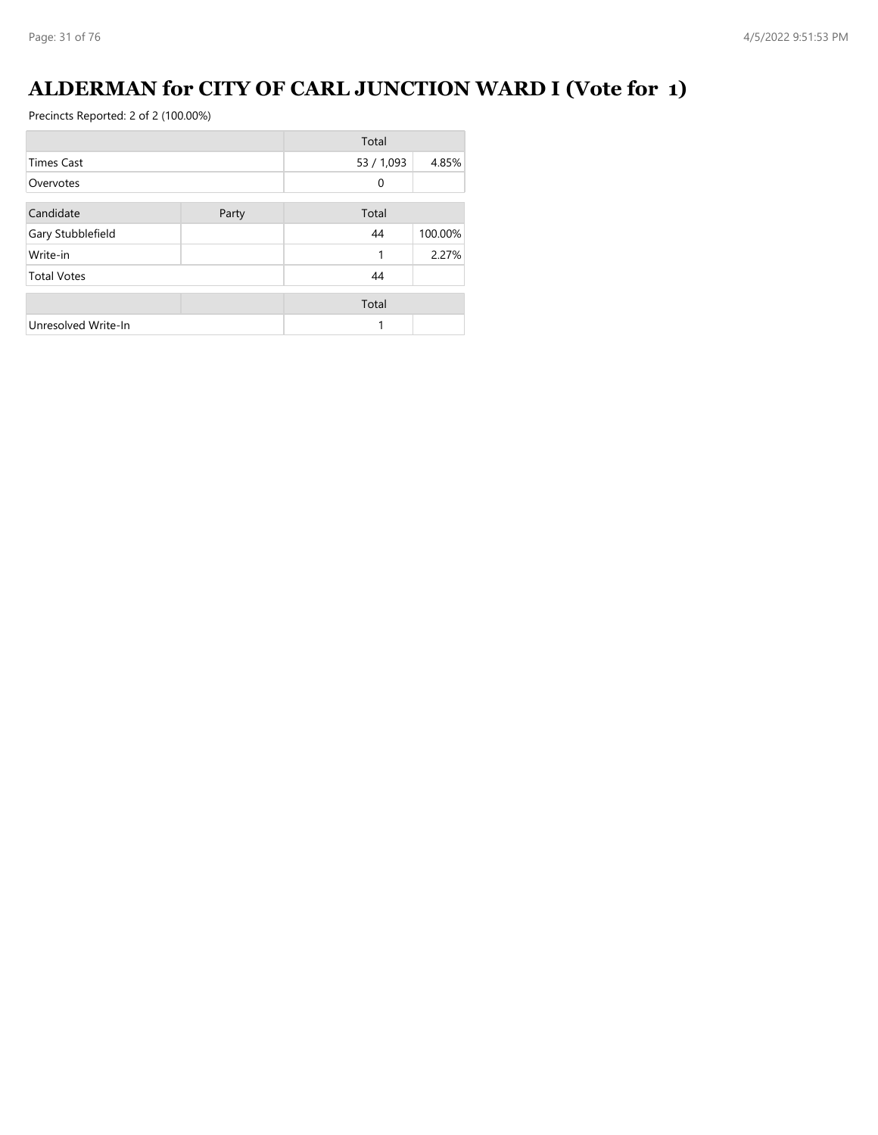## **ALDERMAN for CITY OF CARL JUNCTION WARD I (Vote for 1)**

|                     |       | Total      |         |
|---------------------|-------|------------|---------|
| <b>Times Cast</b>   |       | 53 / 1,093 | 4.85%   |
| Overvotes           |       | 0          |         |
| Candidate           | Party | Total      |         |
| Gary Stubblefield   |       | 44         | 100.00% |
| Write-in            |       | 1          | 2.27%   |
| <b>Total Votes</b>  |       | 44         |         |
|                     |       | Total      |         |
| Unresolved Write-In |       | 1          |         |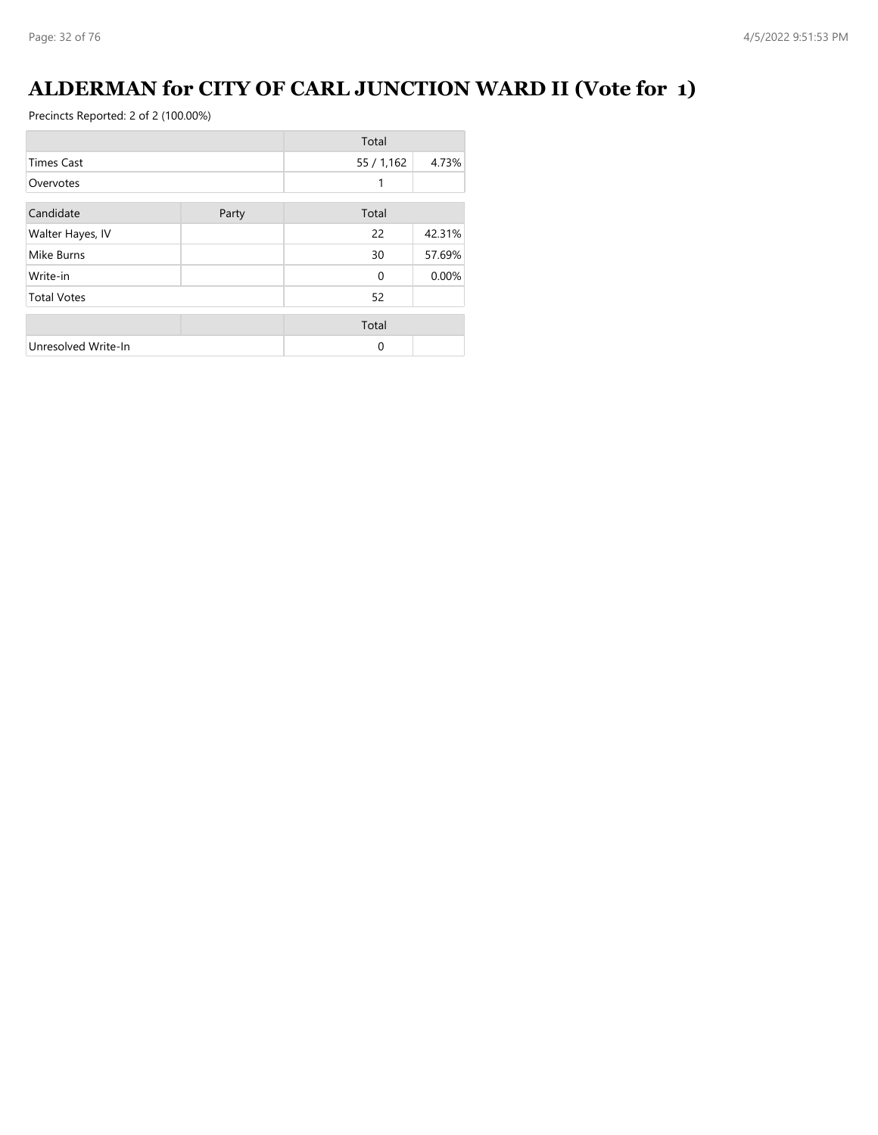## **ALDERMAN for CITY OF CARL JUNCTION WARD II (Vote for 1)**

|                     |       | Total      |        |
|---------------------|-------|------------|--------|
| <b>Times Cast</b>   |       | 55 / 1,162 | 4.73%  |
| Overvotes           |       | 1          |        |
| Candidate           | Party | Total      |        |
| Walter Hayes, IV    |       | 22         | 42.31% |
| Mike Burns          |       | 30         | 57.69% |
| Write-in            |       | $\Omega$   | 0.00%  |
| <b>Total Votes</b>  |       | 52         |        |
|                     |       | Total      |        |
| Unresolved Write-In |       | $\Omega$   |        |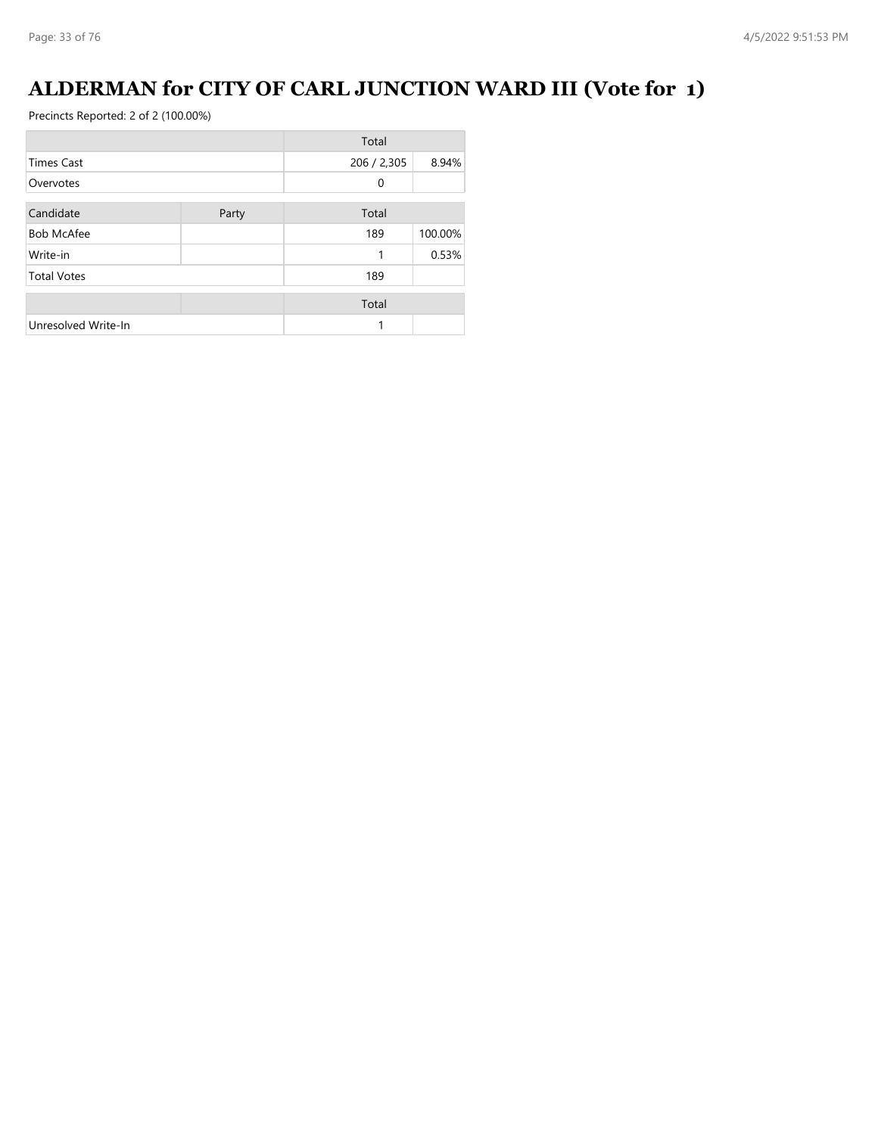## **ALDERMAN for CITY OF CARL JUNCTION WARD III (Vote for 1)**

|                     |       | Total       |         |
|---------------------|-------|-------------|---------|
| <b>Times Cast</b>   |       | 206 / 2,305 | 8.94%   |
| Overvotes           |       | $\Omega$    |         |
| Candidate           | Party | Total       |         |
| <b>Bob McAfee</b>   |       | 189         | 100.00% |
| Write-in            |       |             | 0.53%   |
| <b>Total Votes</b>  |       | 189         |         |
|                     |       | Total       |         |
| Unresolved Write-In |       |             |         |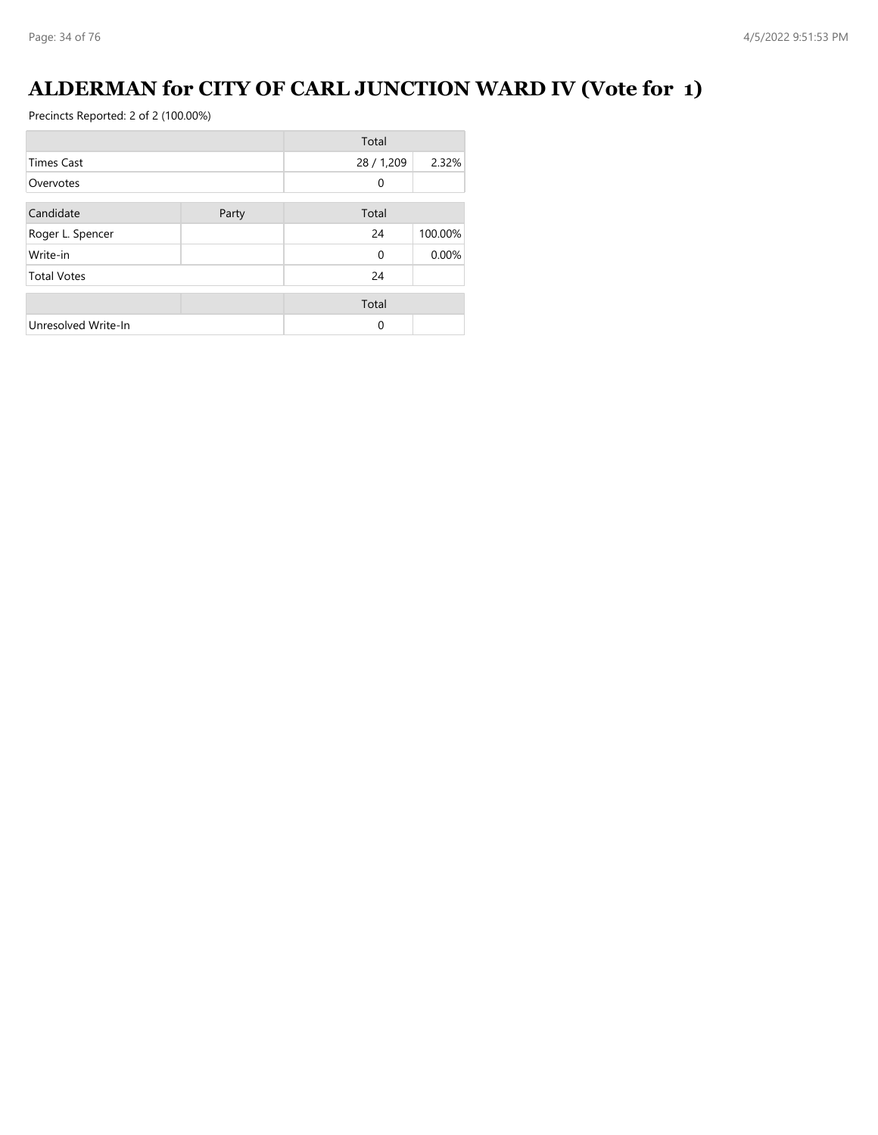## **ALDERMAN for CITY OF CARL JUNCTION WARD IV (Vote for 1)**

|                     |       | Total      |         |
|---------------------|-------|------------|---------|
| <b>Times Cast</b>   |       | 28 / 1,209 | 2.32%   |
| Overvotes           |       | $\Omega$   |         |
| Candidate           | Party | Total      |         |
| Roger L. Spencer    |       | 24         | 100.00% |
| Write-in            |       | $\Omega$   | 0.00%   |
| <b>Total Votes</b>  |       | 24         |         |
|                     |       | Total      |         |
| Unresolved Write-In |       | $\Omega$   |         |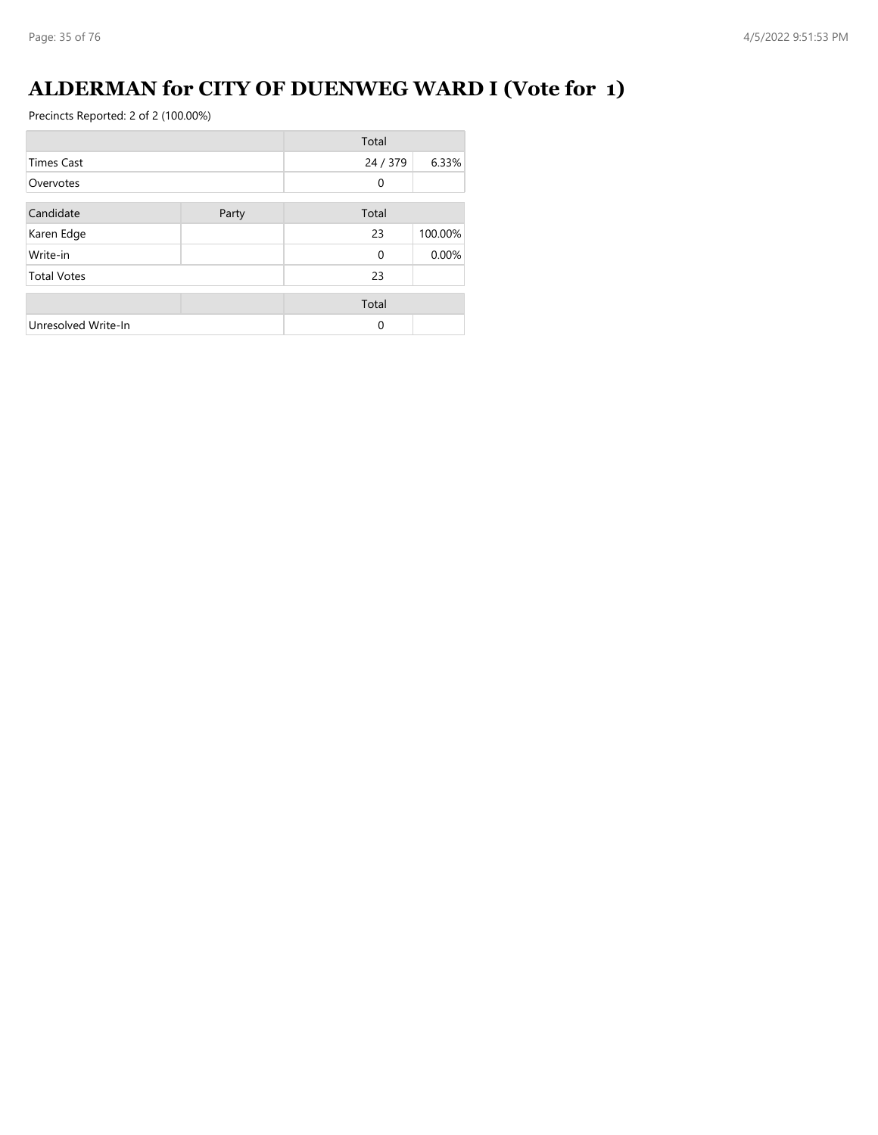## **ALDERMAN for CITY OF DUENWEG WARD I (Vote for 1)**

|                     |       | Total    |         |
|---------------------|-------|----------|---------|
| <b>Times Cast</b>   |       | 24 / 379 | 6.33%   |
| Overvotes           |       | $\Omega$ |         |
| Candidate           | Party | Total    |         |
| Karen Edge          |       | 23       | 100.00% |
| Write-in            |       | $\Omega$ | 0.00%   |
| <b>Total Votes</b>  |       | 23       |         |
|                     |       | Total    |         |
| Unresolved Write-In |       | $\Omega$ |         |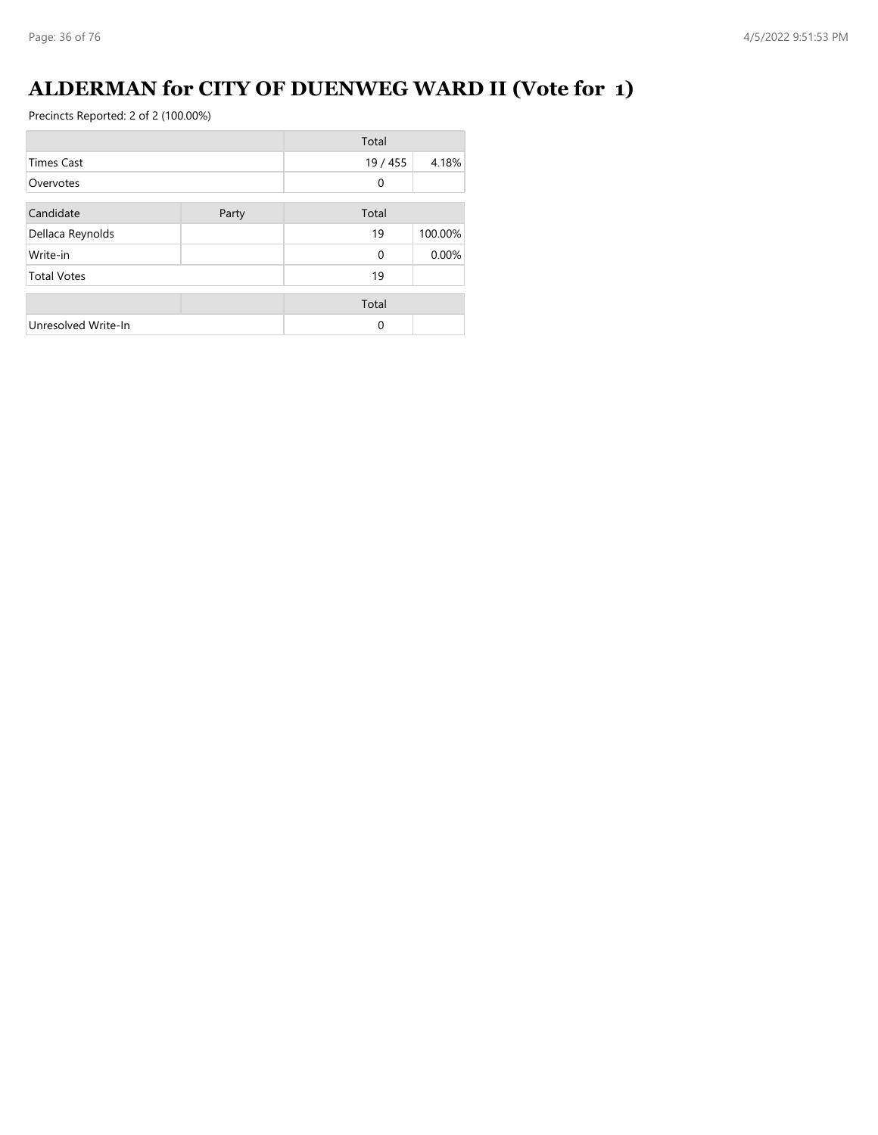## **ALDERMAN for CITY OF DUENWEG WARD II (Vote for 1)**

|                     |       | Total        |         |
|---------------------|-------|--------------|---------|
| <b>Times Cast</b>   |       | 19 / 455     | 4.18%   |
| Overvotes           |       | $\mathbf{0}$ |         |
| Candidate           | Party | Total        |         |
| Dellaca Reynolds    |       | 19           | 100.00% |
| Write-in            |       | $\Omega$     | 0.00%   |
| <b>Total Votes</b>  |       | 19           |         |
|                     |       | Total        |         |
| Unresolved Write-In |       | $\Omega$     |         |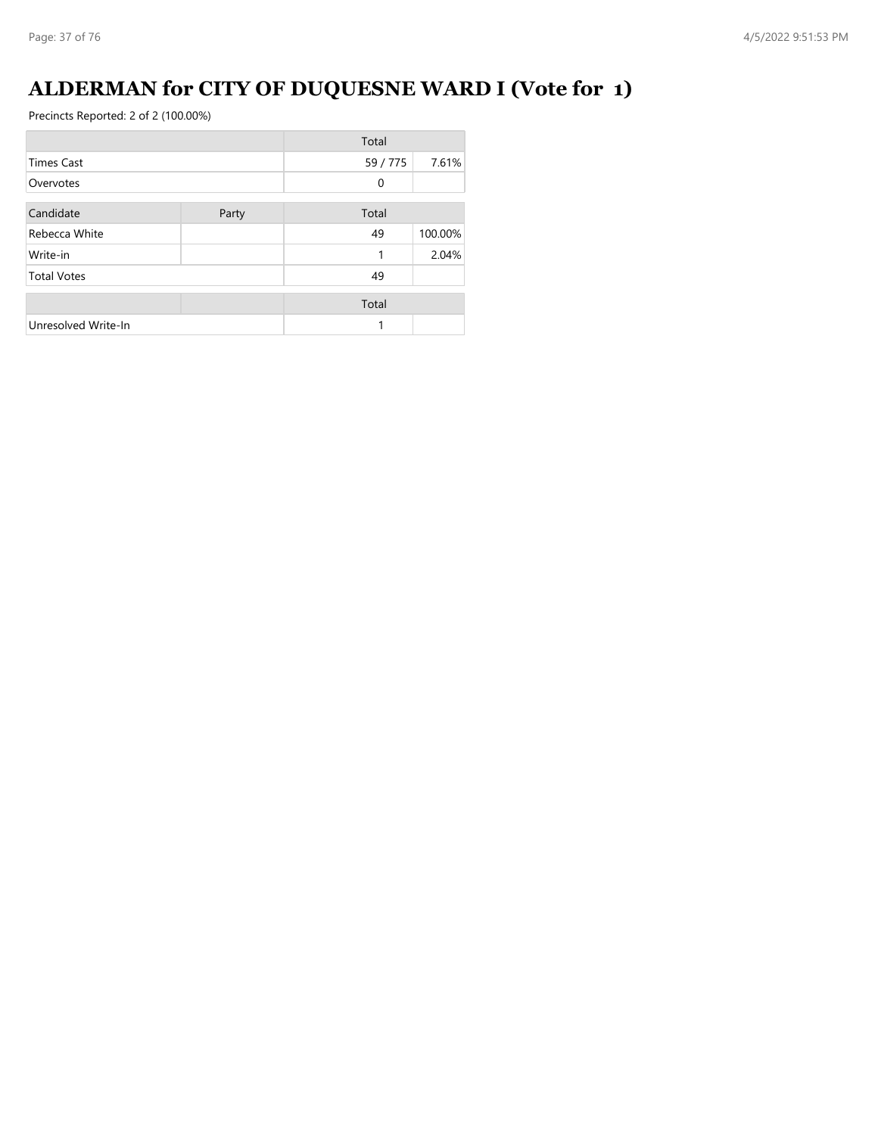## **ALDERMAN for CITY OF DUQUESNE WARD I (Vote for 1)**

|                     |       | Total    |         |
|---------------------|-------|----------|---------|
| <b>Times Cast</b>   |       | 59 / 775 | 7.61%   |
| Overvotes           |       | 0        |         |
| Candidate           | Party | Total    |         |
| Rebecca White       |       | 49       | 100.00% |
| Write-in            |       | 1        | 2.04%   |
| <b>Total Votes</b>  |       | 49       |         |
|                     |       | Total    |         |
| Unresolved Write-In |       | 1        |         |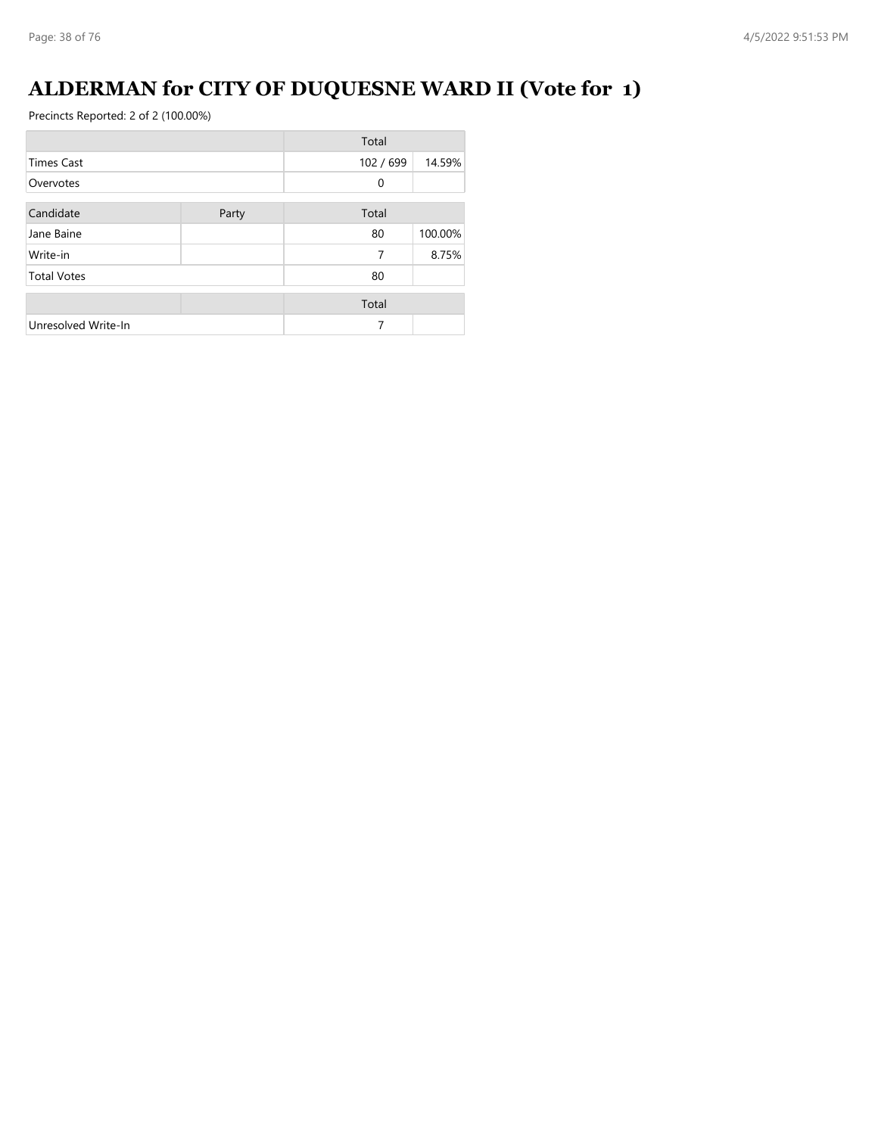## **ALDERMAN for CITY OF DUQUESNE WARD II (Vote for 1)**

|                     |       | Total        |         |
|---------------------|-------|--------------|---------|
| <b>Times Cast</b>   |       | 102 / 699    | 14.59%  |
| Overvotes           |       | $\mathbf{0}$ |         |
| Candidate           | Party | Total        |         |
| Jane Baine          |       | 80           | 100.00% |
| Write-in            |       | 7            | 8.75%   |
| <b>Total Votes</b>  |       | 80           |         |
|                     |       | Total        |         |
| Unresolved Write-In |       | 7            |         |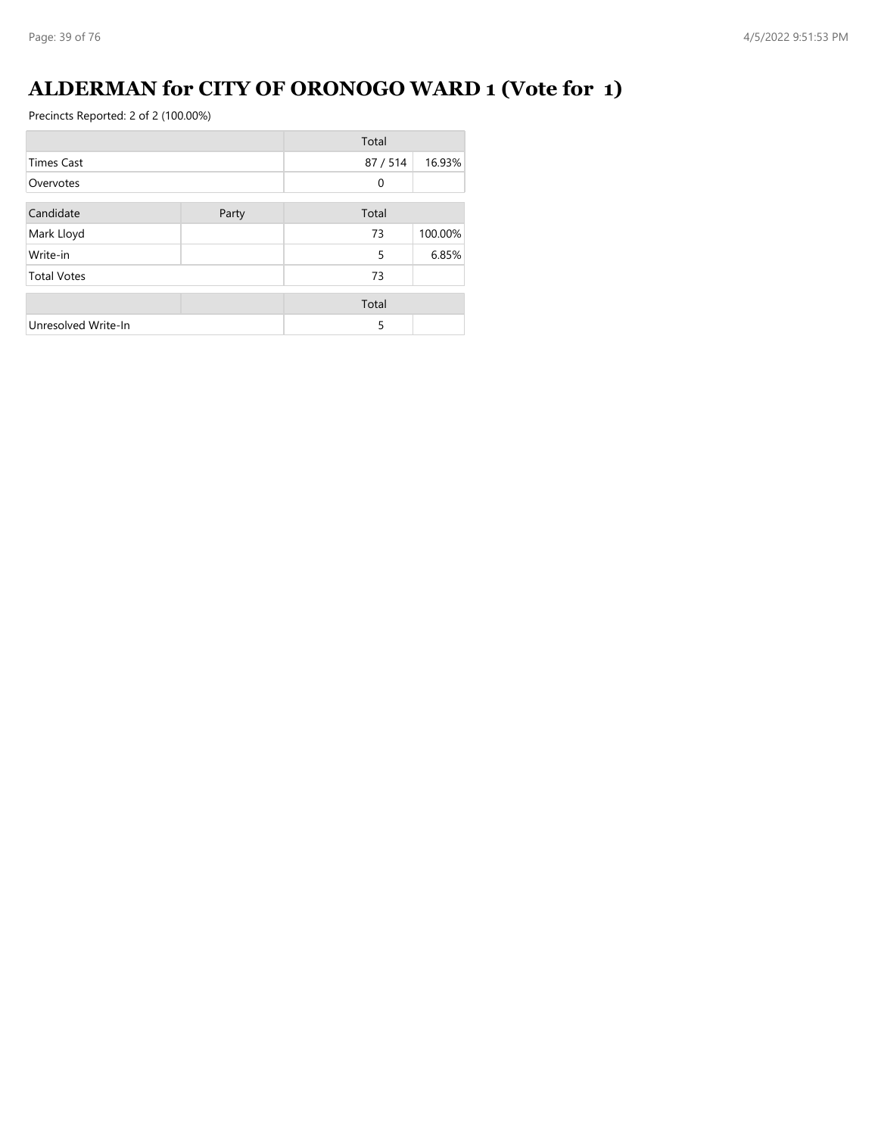### **ALDERMAN for CITY OF ORONOGO WARD 1 (Vote for 1)**

|                     |       | Total        |         |
|---------------------|-------|--------------|---------|
| <b>Times Cast</b>   |       | 87/514       | 16.93%  |
| Overvotes           |       | $\mathbf{0}$ |         |
| Candidate           | Party | Total        |         |
| Mark Lloyd          |       | 73           | 100.00% |
| Write-in            |       | 5            | 6.85%   |
| <b>Total Votes</b>  |       | 73           |         |
|                     |       | Total        |         |
| Unresolved Write-In |       | 5            |         |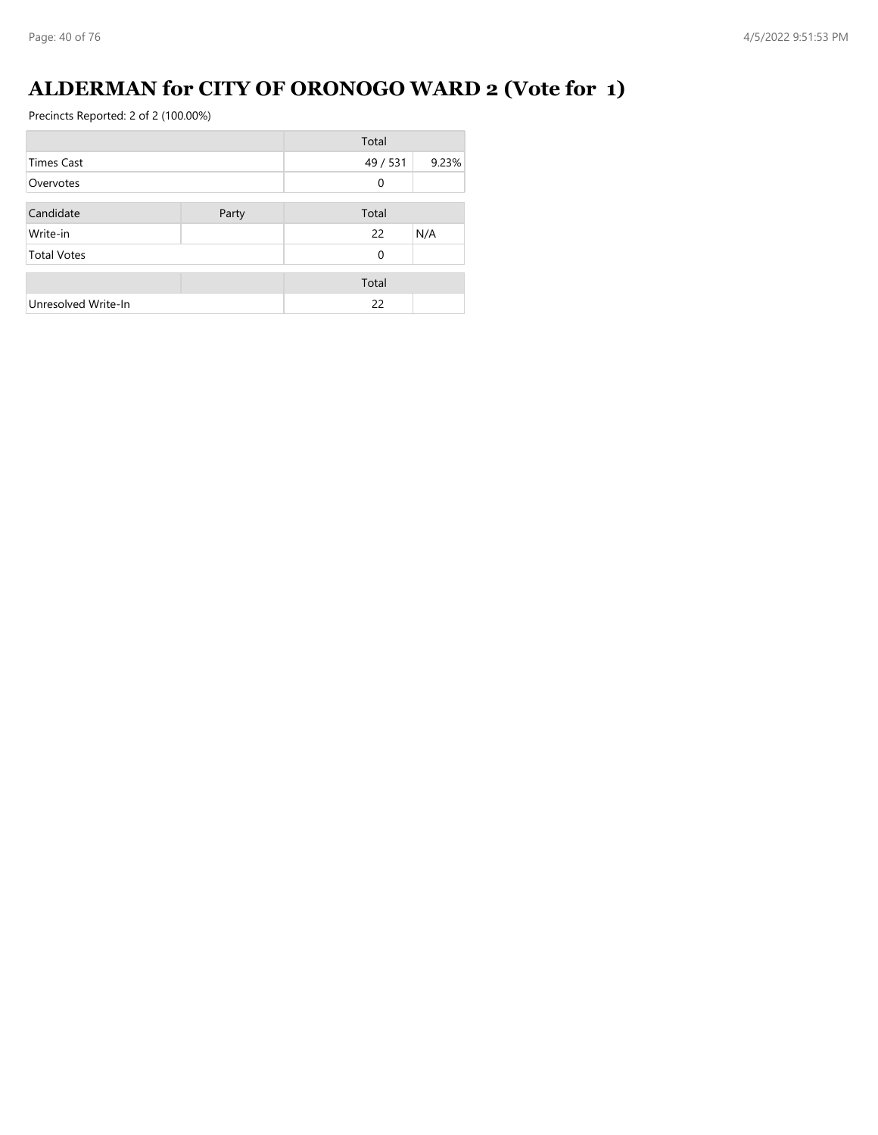## **ALDERMAN for CITY OF ORONOGO WARD 2 (Vote for 1)**

|                     |       | Total    |       |
|---------------------|-------|----------|-------|
| Times Cast          |       | 49 / 531 | 9.23% |
| Overvotes           |       | 0        |       |
| Candidate           | Party | Total    |       |
| Write-in            |       | 22       | N/A   |
| <b>Total Votes</b>  |       | $\Omega$ |       |
|                     |       | Total    |       |
| Unresolved Write-In |       | 22       |       |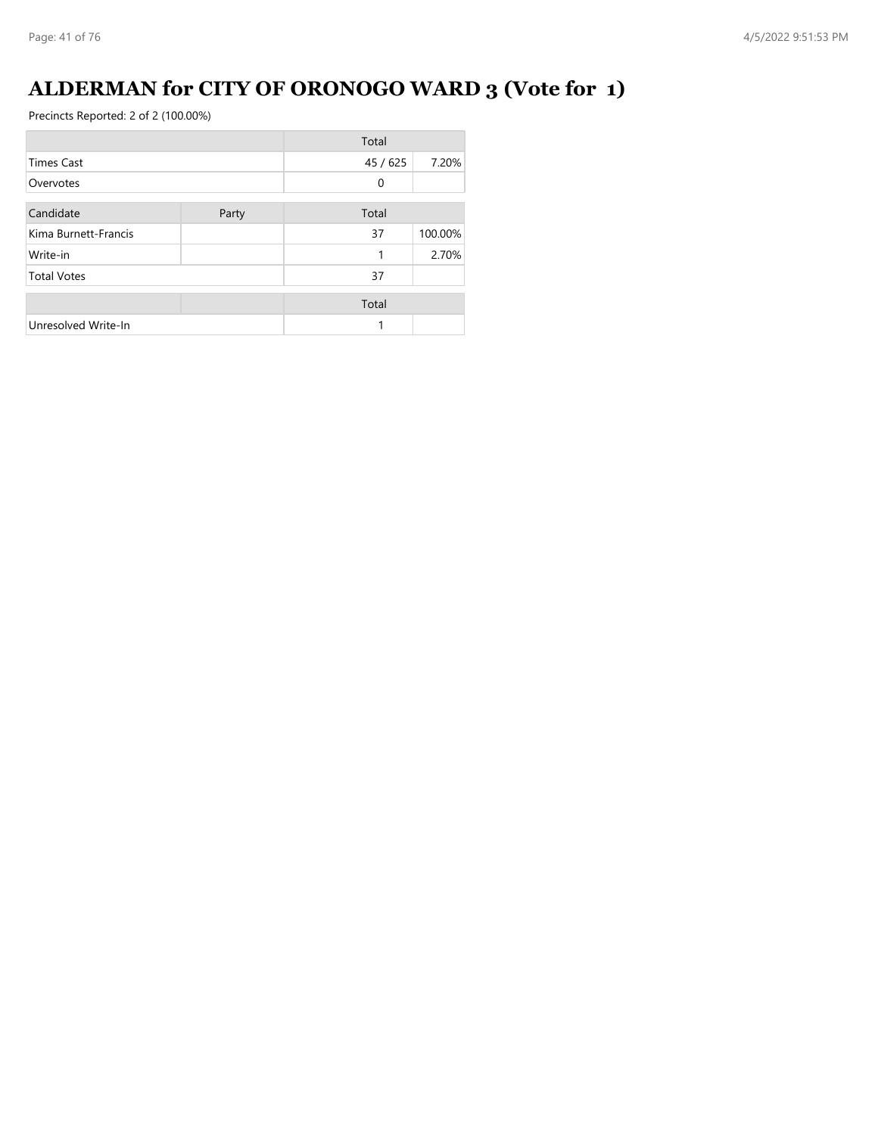# **ALDERMAN for CITY OF ORONOGO WARD 3 (Vote for 1)**

|                      |       | Total    |         |
|----------------------|-------|----------|---------|
| <b>Times Cast</b>    |       | 45 / 625 | 7.20%   |
| Overvotes            |       | $\Omega$ |         |
| Candidate            | Party | Total    |         |
| Kima Burnett-Francis |       | 37       | 100.00% |
| Write-in             |       | 1        | 2.70%   |
| <b>Total Votes</b>   |       | 37       |         |
|                      |       | Total    |         |
| Unresolved Write-In  |       |          |         |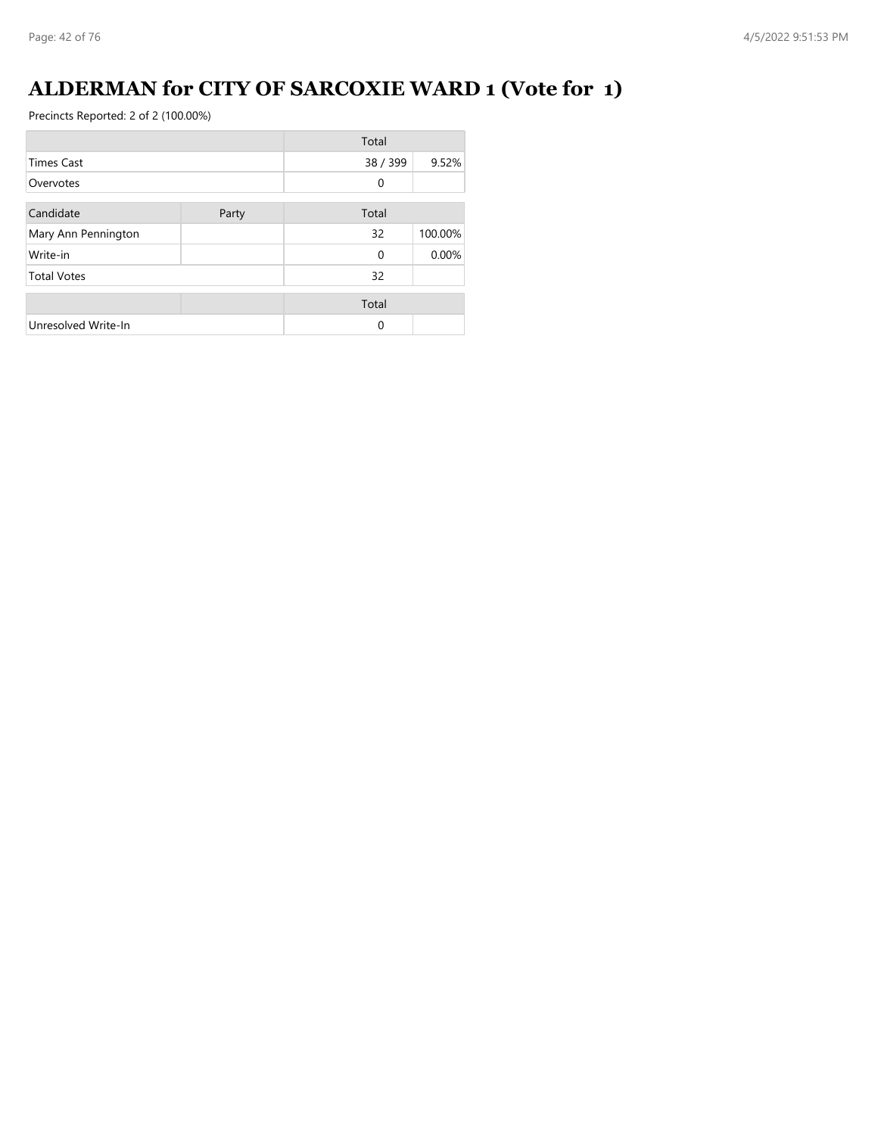### **ALDERMAN for CITY OF SARCOXIE WARD 1 (Vote for 1)**

|                     |       | Total    |         |
|---------------------|-------|----------|---------|
| <b>Times Cast</b>   |       | 38 / 399 | 9.52%   |
| Overvotes           |       | $\Omega$ |         |
| Candidate           | Party | Total    |         |
| Mary Ann Pennington |       | 32       | 100.00% |
| Write-in            |       | $\Omega$ | 0.00%   |
| <b>Total Votes</b>  |       | 32       |         |
|                     |       | Total    |         |
| Unresolved Write-In |       | $\Omega$ |         |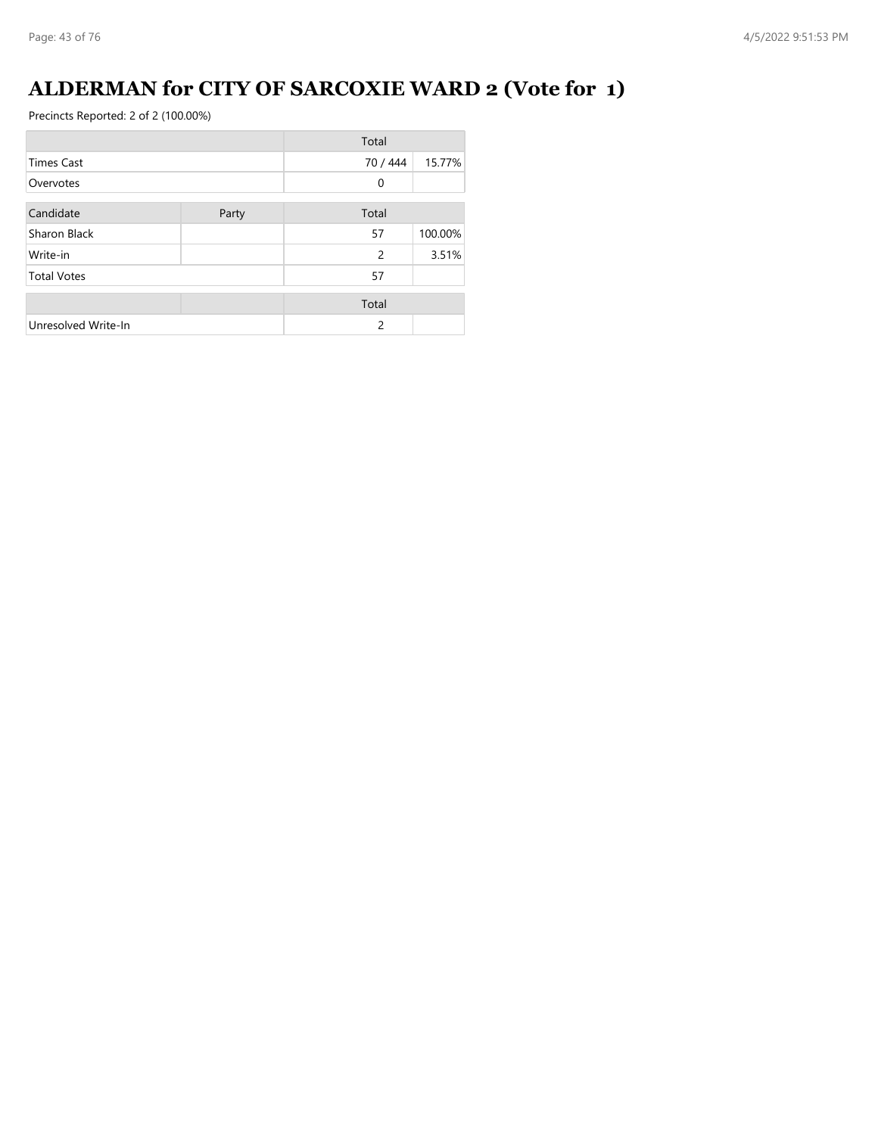### **ALDERMAN for CITY OF SARCOXIE WARD 2 (Vote for 1)**

|                     |       | Total          |         |
|---------------------|-------|----------------|---------|
| <b>Times Cast</b>   |       | 70 / 444       | 15.77%  |
| Overvotes           |       | $\mathbf{0}$   |         |
| Candidate           | Party | Total          |         |
| Sharon Black        |       | 57             | 100.00% |
| Write-in            |       | $\overline{c}$ | 3.51%   |
| <b>Total Votes</b>  |       | 57             |         |
|                     |       | Total          |         |
| Unresolved Write-In |       | $\mathcal{P}$  |         |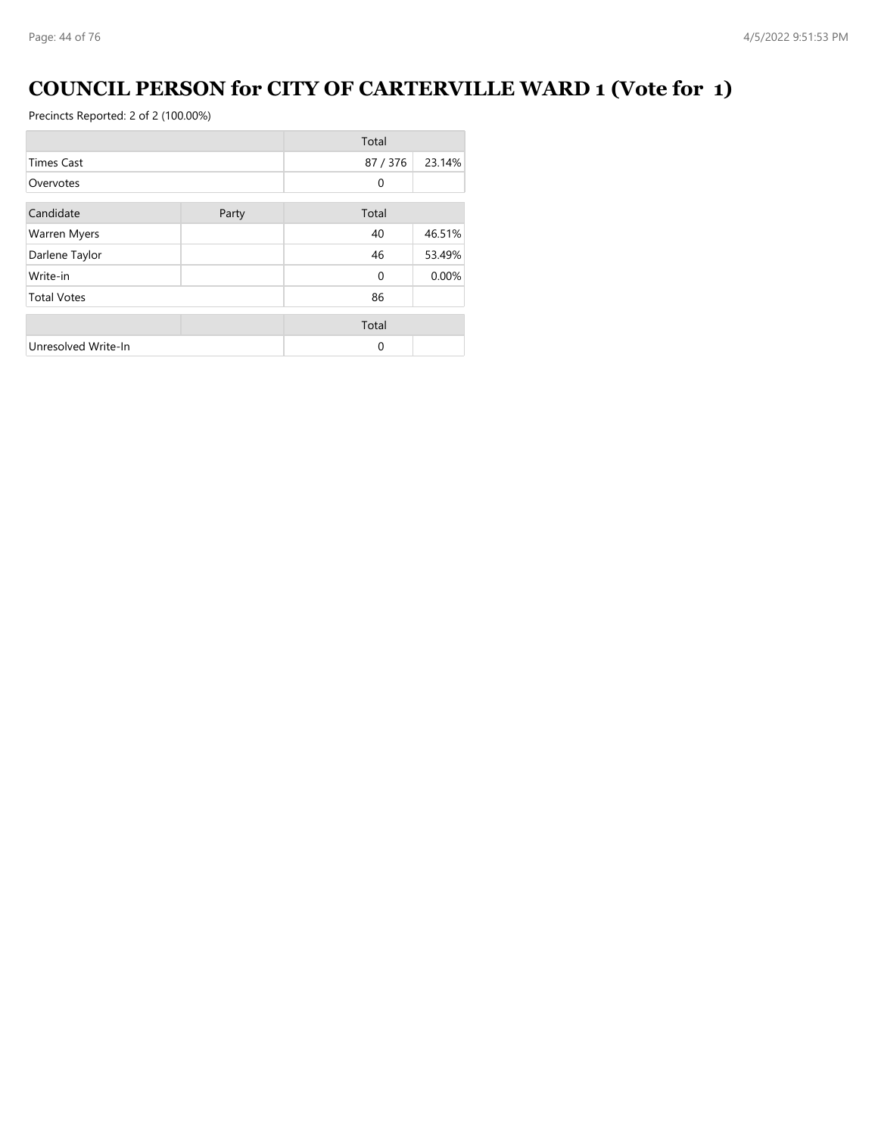### **COUNCIL PERSON for CITY OF CARTERVILLE WARD 1 (Vote for 1)**

|                     |       | Total    |        |
|---------------------|-------|----------|--------|
| <b>Times Cast</b>   |       | 87/376   | 23.14% |
| Overvotes           |       | 0        |        |
| Candidate           | Party | Total    |        |
| <b>Warren Myers</b> |       | 40       | 46.51% |
| Darlene Taylor      |       | 46       | 53.49% |
| Write-in            |       | $\Omega$ | 0.00%  |
| <b>Total Votes</b>  |       | 86       |        |
|                     |       | Total    |        |
| Unresolved Write-In |       | $\Omega$ |        |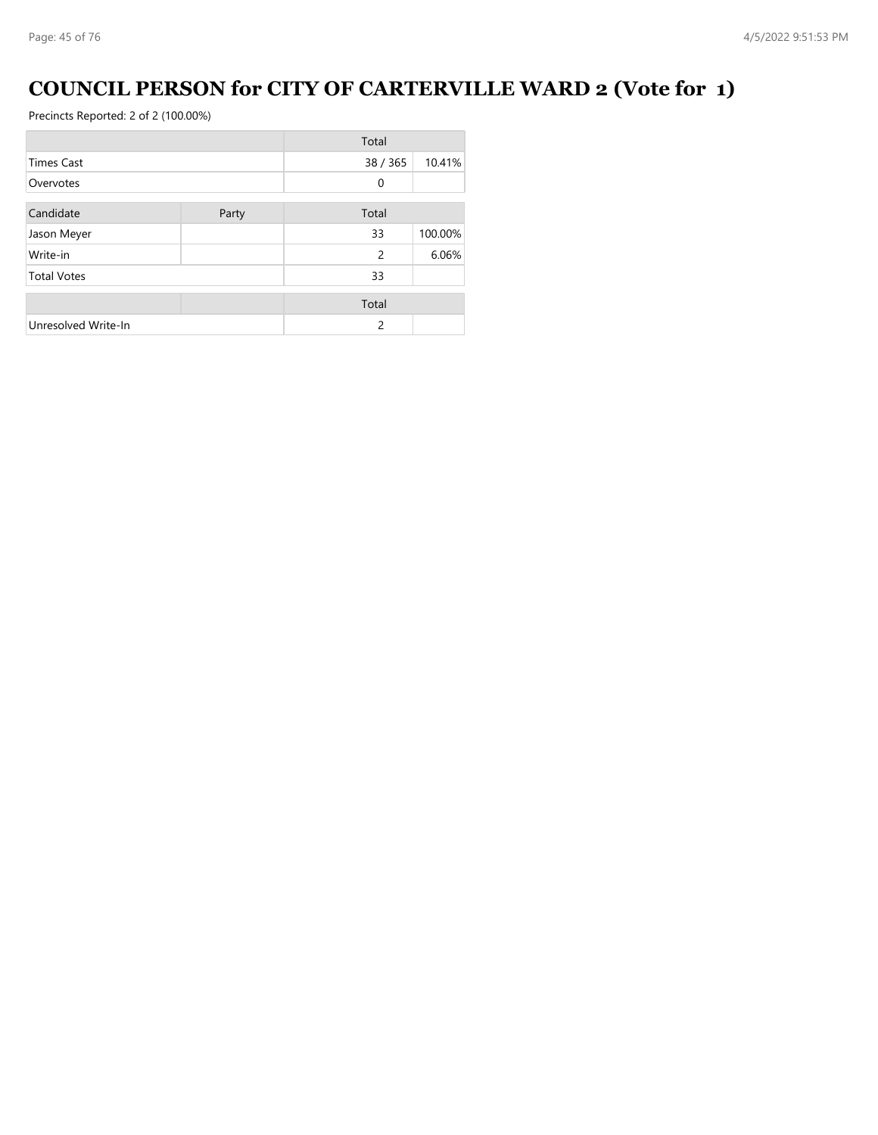### **COUNCIL PERSON for CITY OF CARTERVILLE WARD 2 (Vote for 1)**

|                     |       | Total          |         |
|---------------------|-------|----------------|---------|
| <b>Times Cast</b>   |       | 38 / 365       | 10.41%  |
| Overvotes           |       | $\mathbf{0}$   |         |
| Candidate           | Party | Total          |         |
| Jason Meyer         |       | 33             | 100.00% |
| Write-in            |       | $\mathfrak{p}$ | 6.06%   |
| <b>Total Votes</b>  |       | 33             |         |
|                     |       | Total          |         |
| Unresolved Write-In |       | $\mathcal{P}$  |         |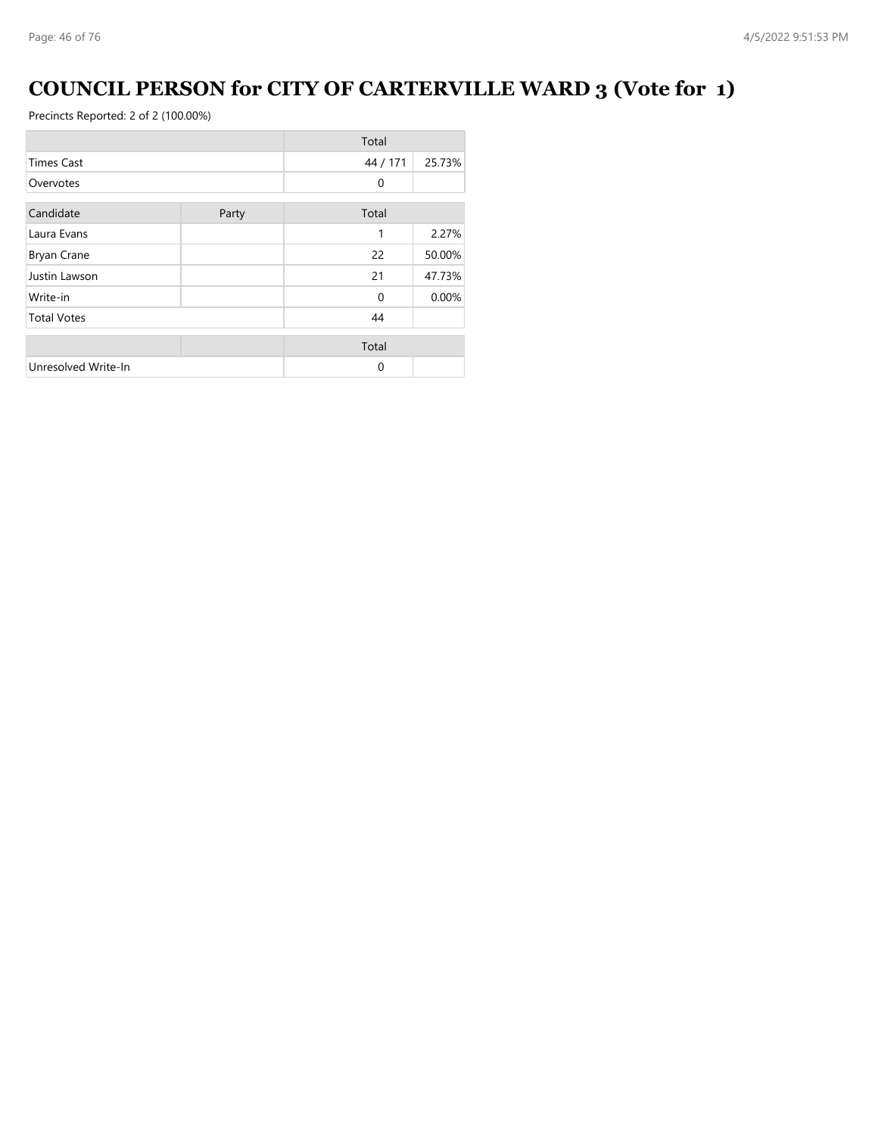### **COUNCIL PERSON for CITY OF CARTERVILLE WARD 3 (Vote for 1)**

|                     |       | Total        |        |
|---------------------|-------|--------------|--------|
| <b>Times Cast</b>   |       | 44 / 171     | 25.73% |
| Overvotes           |       | $\mathbf{0}$ |        |
| Candidate           | Party | Total        |        |
| Laura Evans         |       | 1            | 2.27%  |
| <b>Bryan Crane</b>  |       | 22           | 50.00% |
| Justin Lawson       |       | 21           | 47.73% |
| Write-in            |       | $\Omega$     | 0.00%  |
| <b>Total Votes</b>  |       | 44           |        |
|                     |       | Total        |        |
| Unresolved Write-In |       | $\Omega$     |        |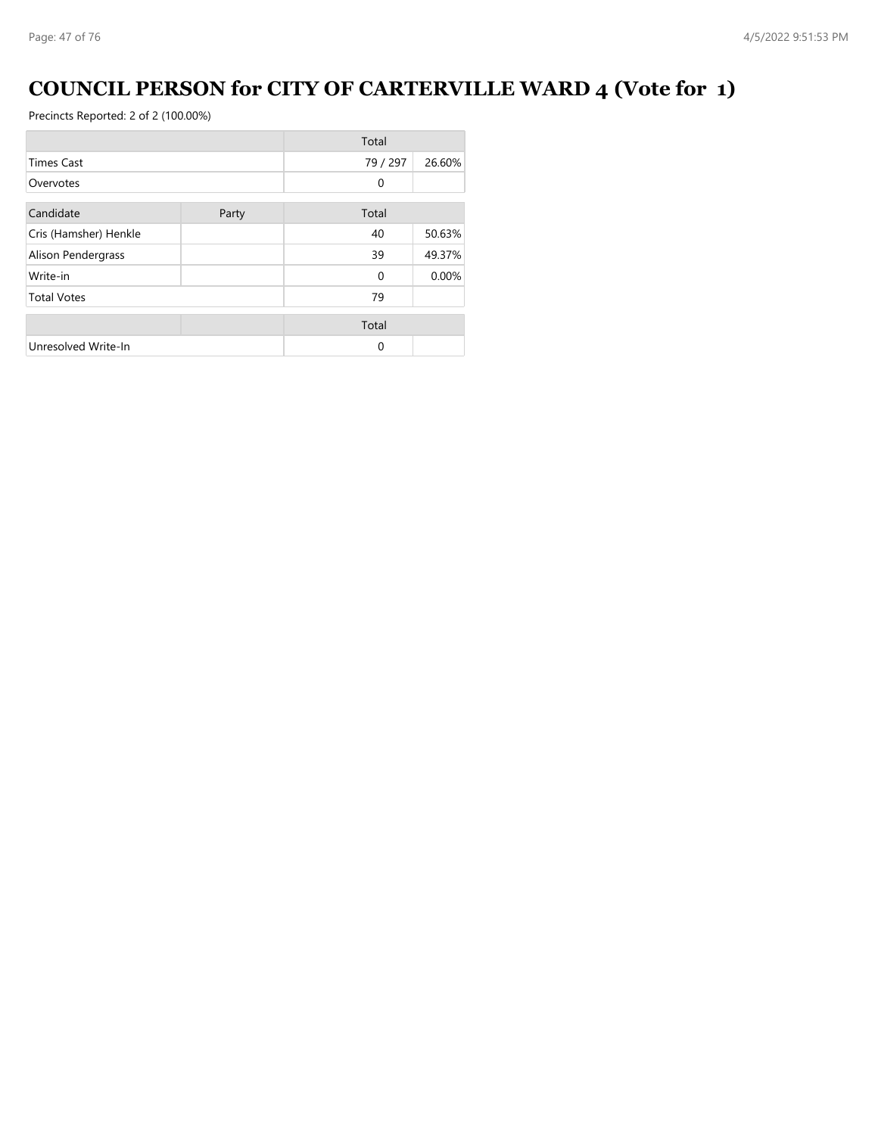### **COUNCIL PERSON for CITY OF CARTERVILLE WARD 4 (Vote for 1)**

|                       |       | Total    |        |
|-----------------------|-------|----------|--------|
| <b>Times Cast</b>     |       | 79 / 297 | 26.60% |
| Overvotes             |       | 0        |        |
| Candidate             | Party | Total    |        |
| Cris (Hamsher) Henkle |       | 40       | 50.63% |
| Alison Pendergrass    |       | 39       | 49.37% |
| Write-in              |       | $\Omega$ | 0.00%  |
| <b>Total Votes</b>    |       | 79       |        |
|                       |       | Total    |        |
| Unresolved Write-In   |       | $\Omega$ |        |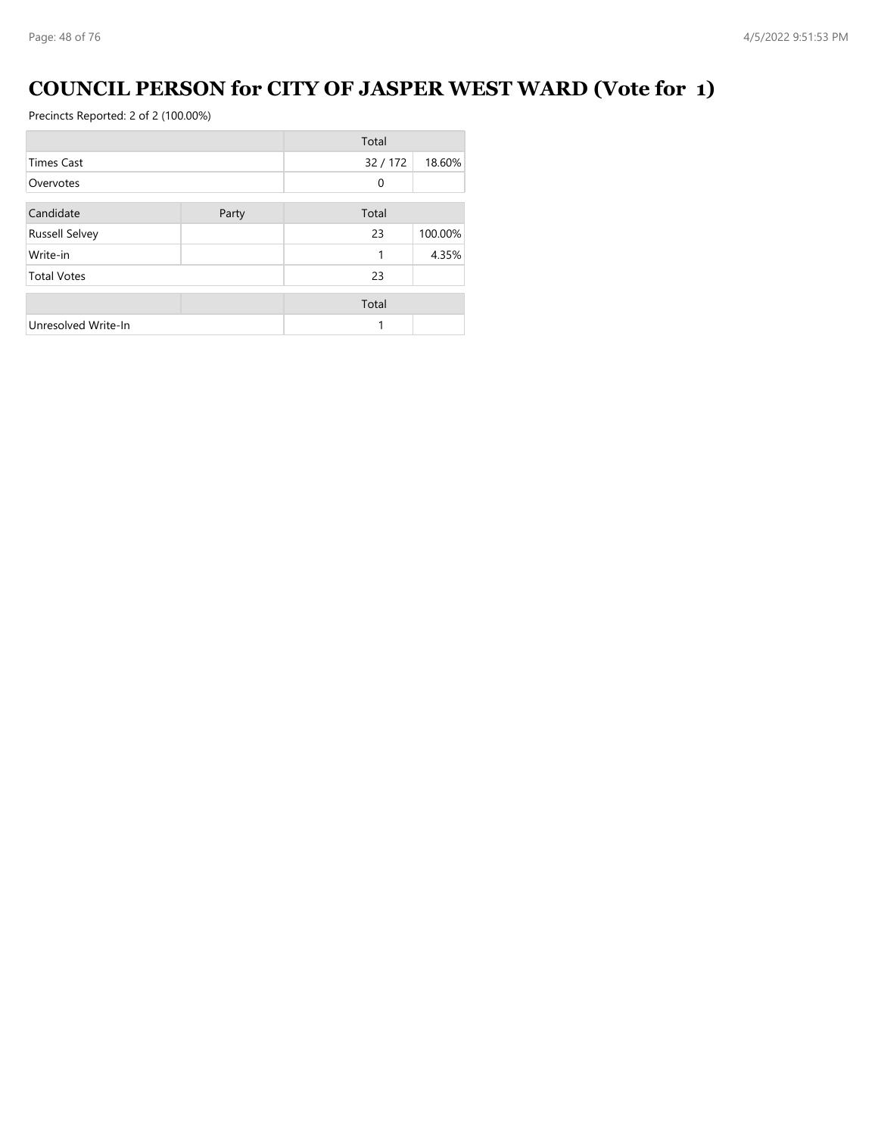### **COUNCIL PERSON for CITY OF JASPER WEST WARD (Vote for 1)**

|                       |       | Total        |         |
|-----------------------|-------|--------------|---------|
| <b>Times Cast</b>     |       | 32/172       | 18.60%  |
| Overvotes             |       | $\mathbf{0}$ |         |
| Candidate             | Party | Total        |         |
| <b>Russell Selvey</b> |       | 23           | 100.00% |
| Write-in              |       | 1            | 4.35%   |
| <b>Total Votes</b>    |       | 23           |         |
|                       |       | Total        |         |
| Unresolved Write-In   |       |              |         |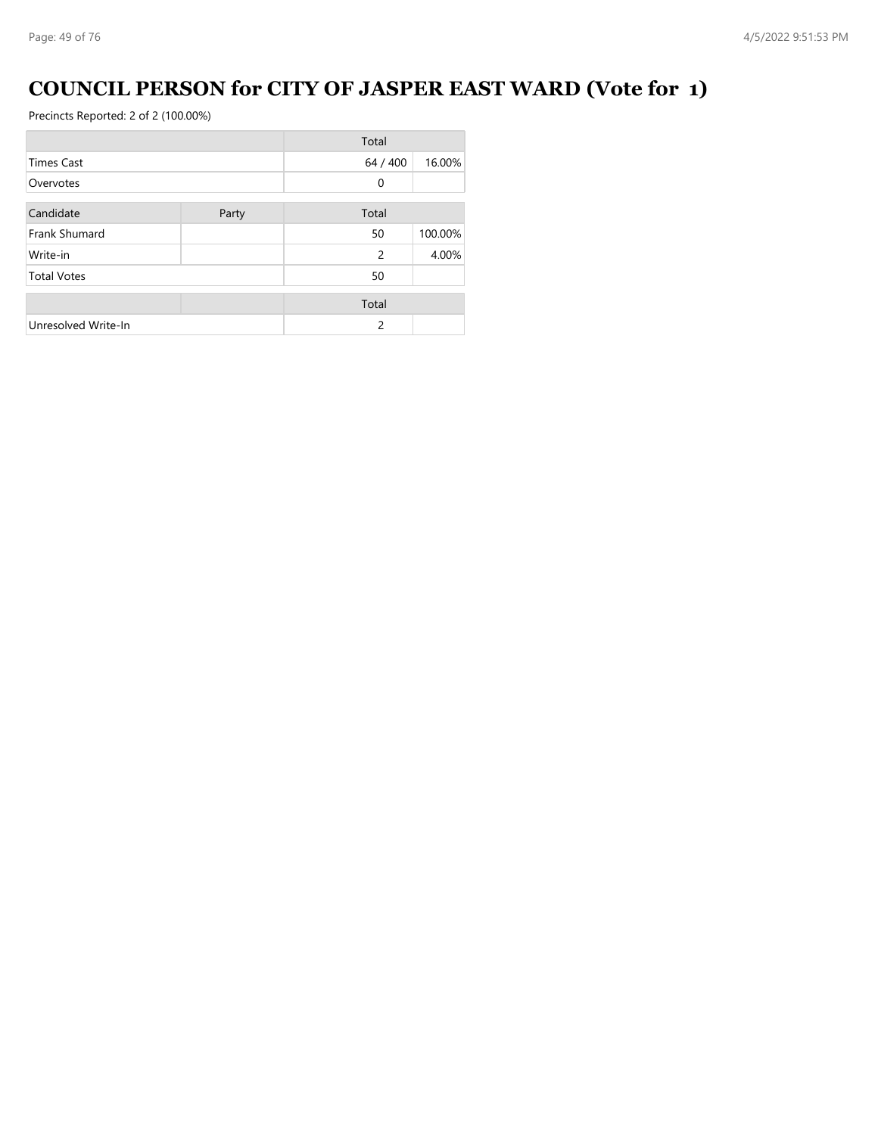### **COUNCIL PERSON for CITY OF JASPER EAST WARD (Vote for 1)**

|                      |       | Total          |         |
|----------------------|-------|----------------|---------|
| <b>Times Cast</b>    |       | 64 / 400       | 16.00%  |
| Overvotes            |       | $\mathbf{0}$   |         |
| Candidate            | Party | Total          |         |
| <b>Frank Shumard</b> |       | 50             | 100.00% |
| Write-in             |       | $\overline{c}$ | 4.00%   |
| <b>Total Votes</b>   |       | 50             |         |
|                      |       | Total          |         |
| Unresolved Write-In  |       | $\mathcal{P}$  |         |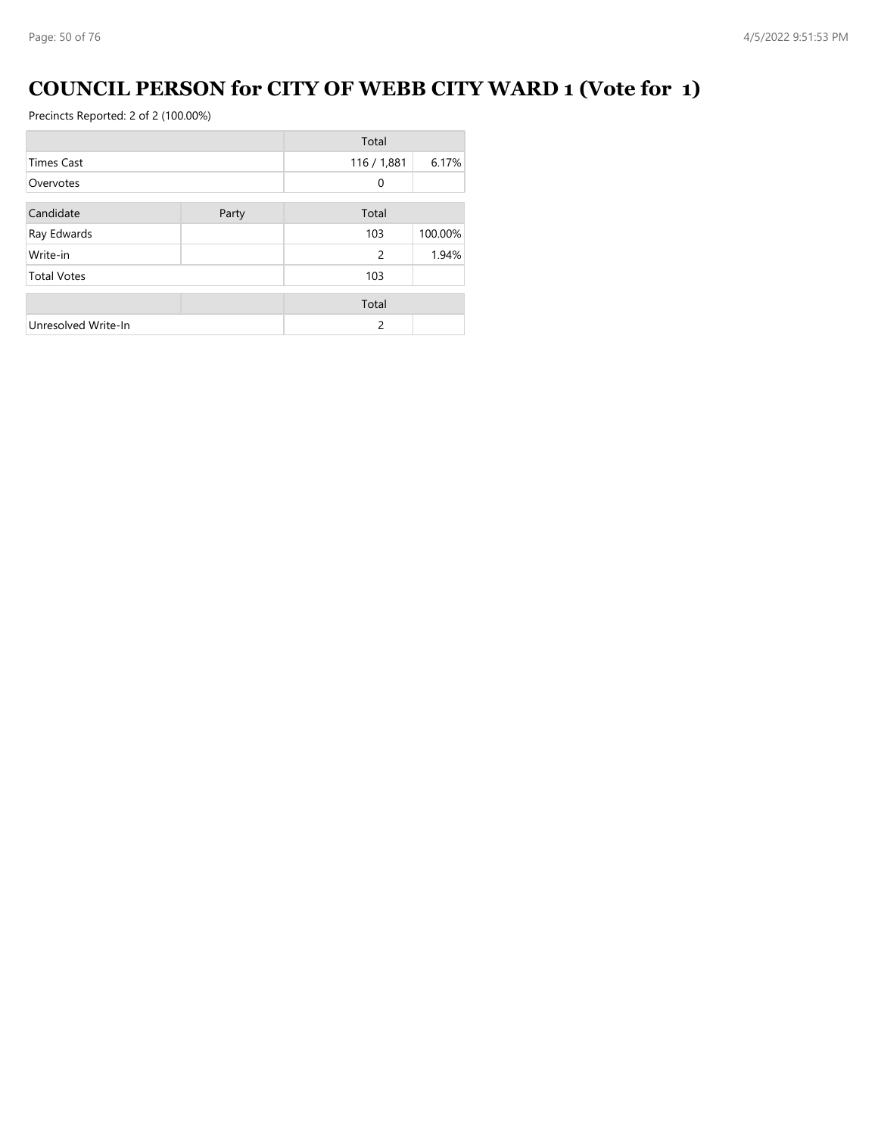### **COUNCIL PERSON for CITY OF WEBB CITY WARD 1 (Vote for 1)**

|                     |       | Total       |         |
|---------------------|-------|-------------|---------|
| <b>Times Cast</b>   |       | 116 / 1,881 | 6.17%   |
| Overvotes           |       | 0           |         |
| Candidate           | Party | Total       |         |
| Ray Edwards         |       | 103         | 100.00% |
| Write-in            |       | 2           | 1.94%   |
| <b>Total Votes</b>  |       | 103         |         |
|                     |       | Total       |         |
| Unresolved Write-In |       | 2           |         |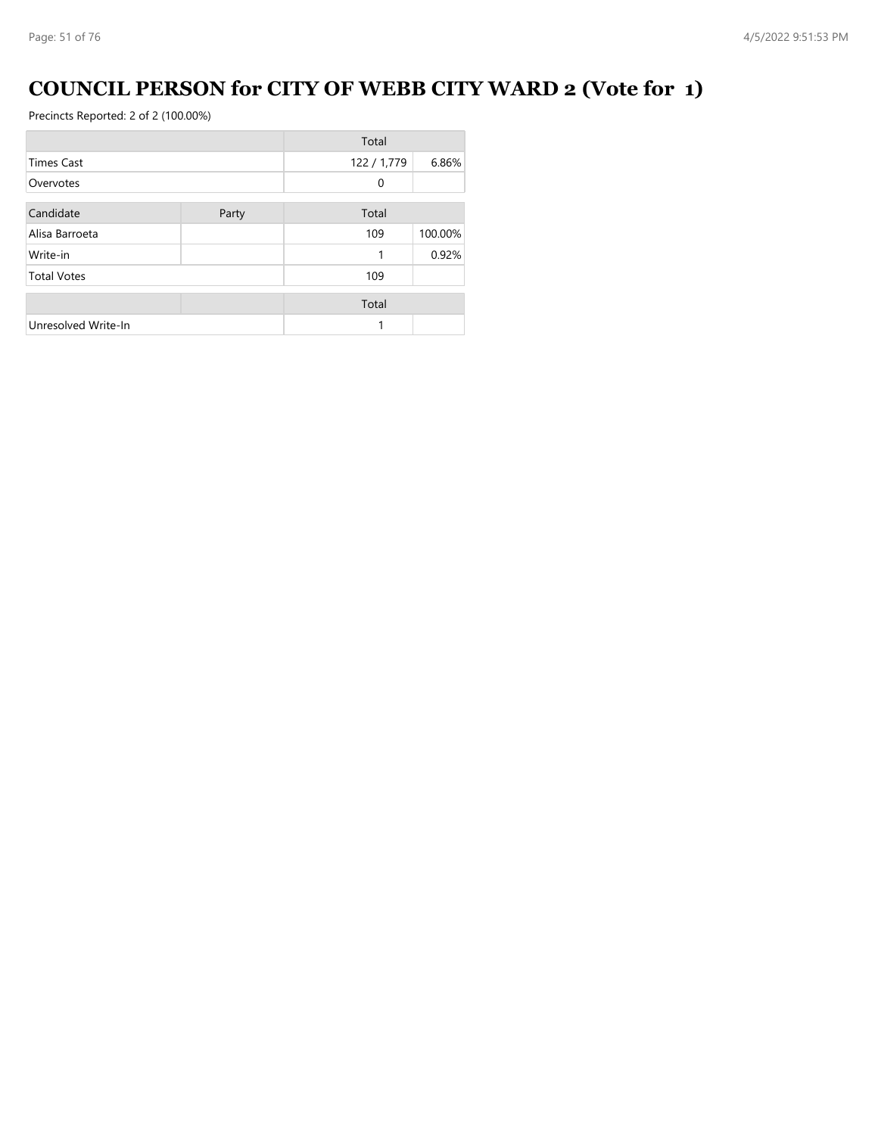### **COUNCIL PERSON for CITY OF WEBB CITY WARD 2 (Vote for 1)**

|                     |       | Total       |         |
|---------------------|-------|-------------|---------|
| <b>Times Cast</b>   |       | 122 / 1,779 | 6.86%   |
| Overvotes           |       | 0           |         |
| Candidate           | Party | Total       |         |
| Alisa Barroeta      |       | 109         | 100.00% |
| Write-in            |       | 1           | 0.92%   |
| <b>Total Votes</b>  |       | 109         |         |
|                     |       | Total       |         |
| Unresolved Write-In |       | 1           |         |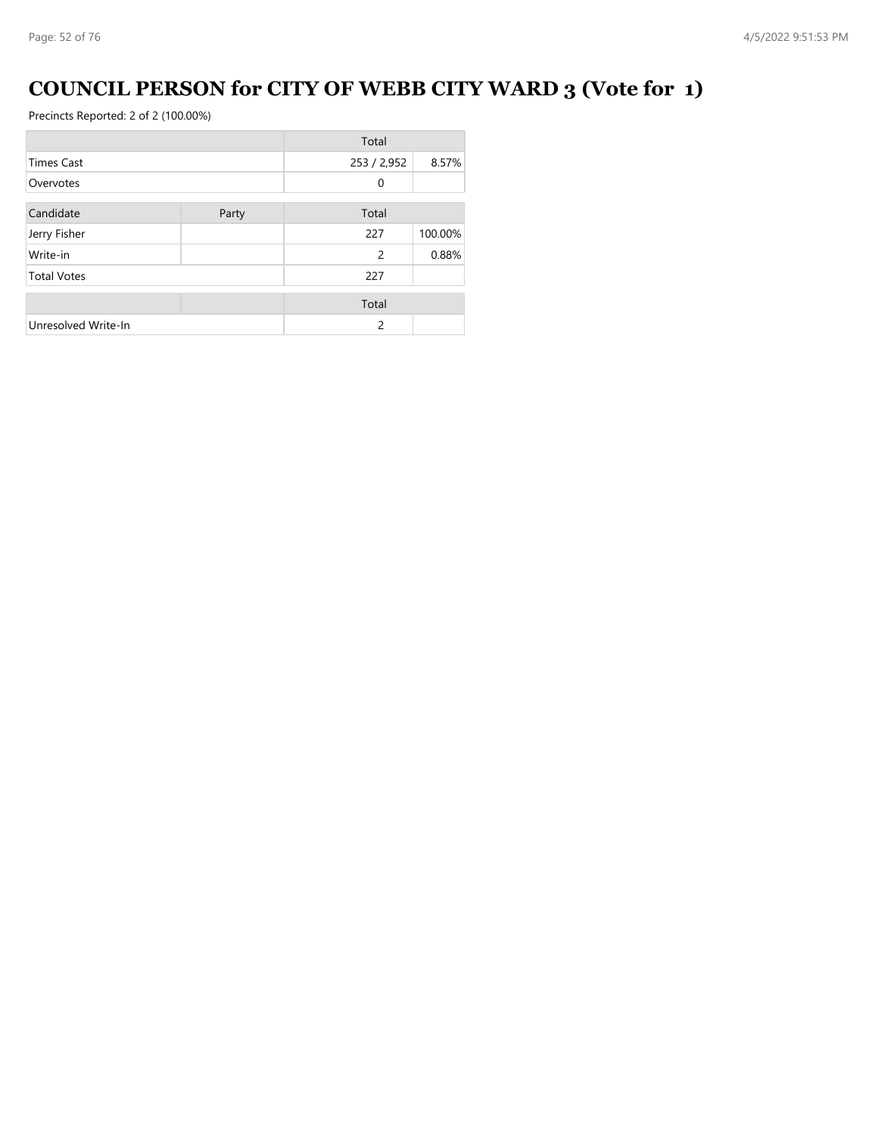## **COUNCIL PERSON for CITY OF WEBB CITY WARD 3 (Vote for 1)**

|                     |       | Total         |         |
|---------------------|-------|---------------|---------|
| <b>Times Cast</b>   |       | 253 / 2,952   | 8.57%   |
| Overvotes           |       | 0             |         |
| Candidate           | Party | Total         |         |
| Jerry Fisher        |       | 227           | 100.00% |
| Write-in            |       | 2             | 0.88%   |
| <b>Total Votes</b>  |       | 227           |         |
|                     |       | Total         |         |
| Unresolved Write-In |       | $\mathcal{P}$ |         |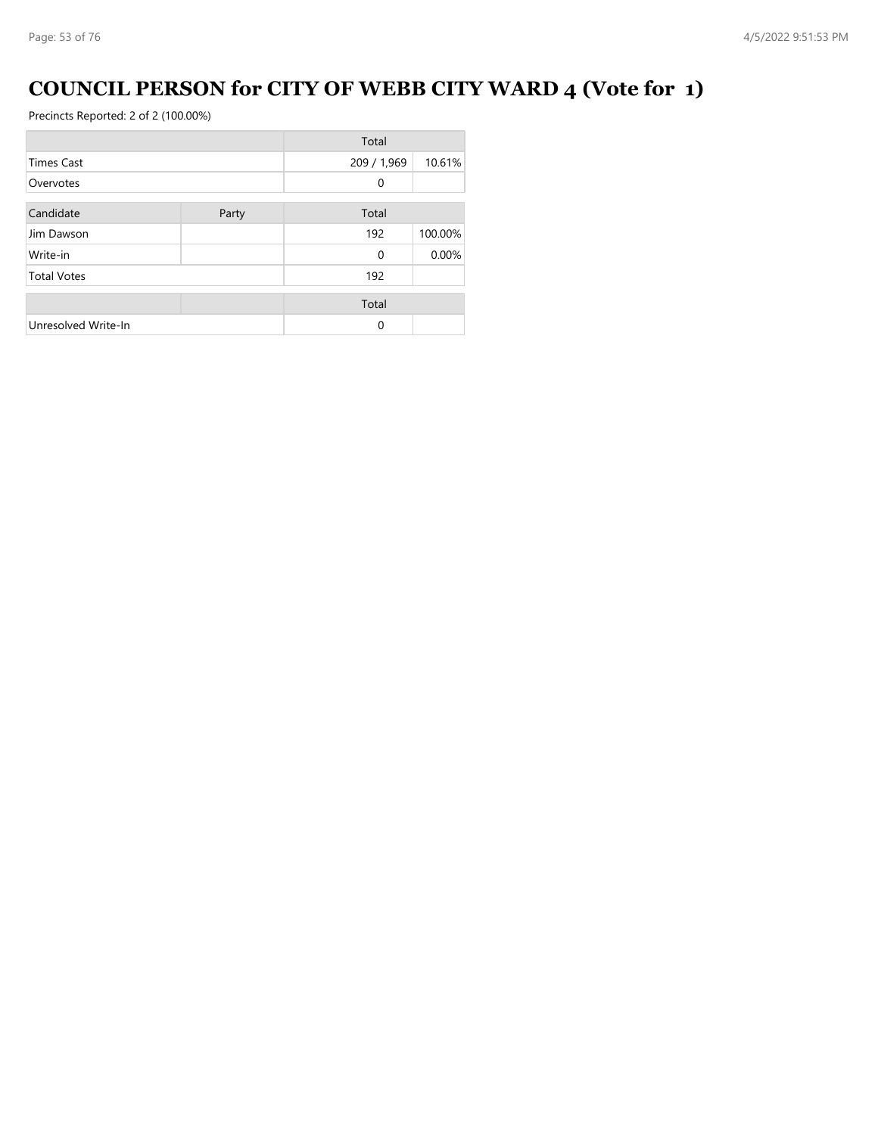### **COUNCIL PERSON for CITY OF WEBB CITY WARD 4 (Vote for 1)**

|                     |       | Total       |         |
|---------------------|-------|-------------|---------|
| <b>Times Cast</b>   |       | 209 / 1,969 | 10.61%  |
| Overvotes           |       | 0           |         |
| Candidate           | Party | Total       |         |
| Jim Dawson          |       | 192         | 100.00% |
| Write-in            |       | $\Omega$    | 0.00%   |
| <b>Total Votes</b>  |       | 192         |         |
|                     |       | Total       |         |
| Unresolved Write-In |       | $\Omega$    |         |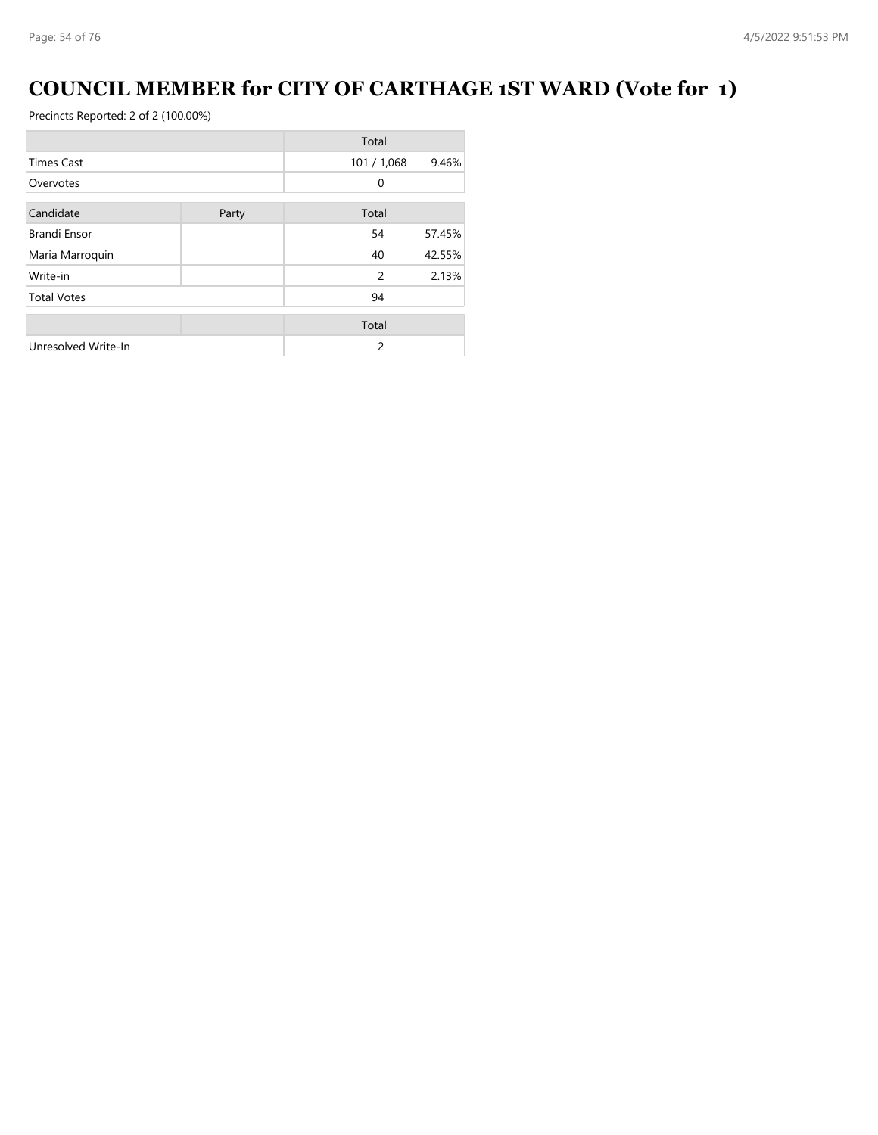### **COUNCIL MEMBER for CITY OF CARTHAGE 1ST WARD (Vote for 1)**

|                     |       | Total       |        |
|---------------------|-------|-------------|--------|
| <b>Times Cast</b>   |       | 101 / 1,068 | 9.46%  |
| Overvotes           |       | $\Omega$    |        |
| Candidate           | Party | Total       |        |
| Brandi Ensor        |       | 54          | 57.45% |
| Maria Marroquin     |       | 40          | 42.55% |
| Write-in            |       | 2           | 2.13%  |
| <b>Total Votes</b>  |       | 94          |        |
|                     |       | Total       |        |
| Unresolved Write-In |       | 2           |        |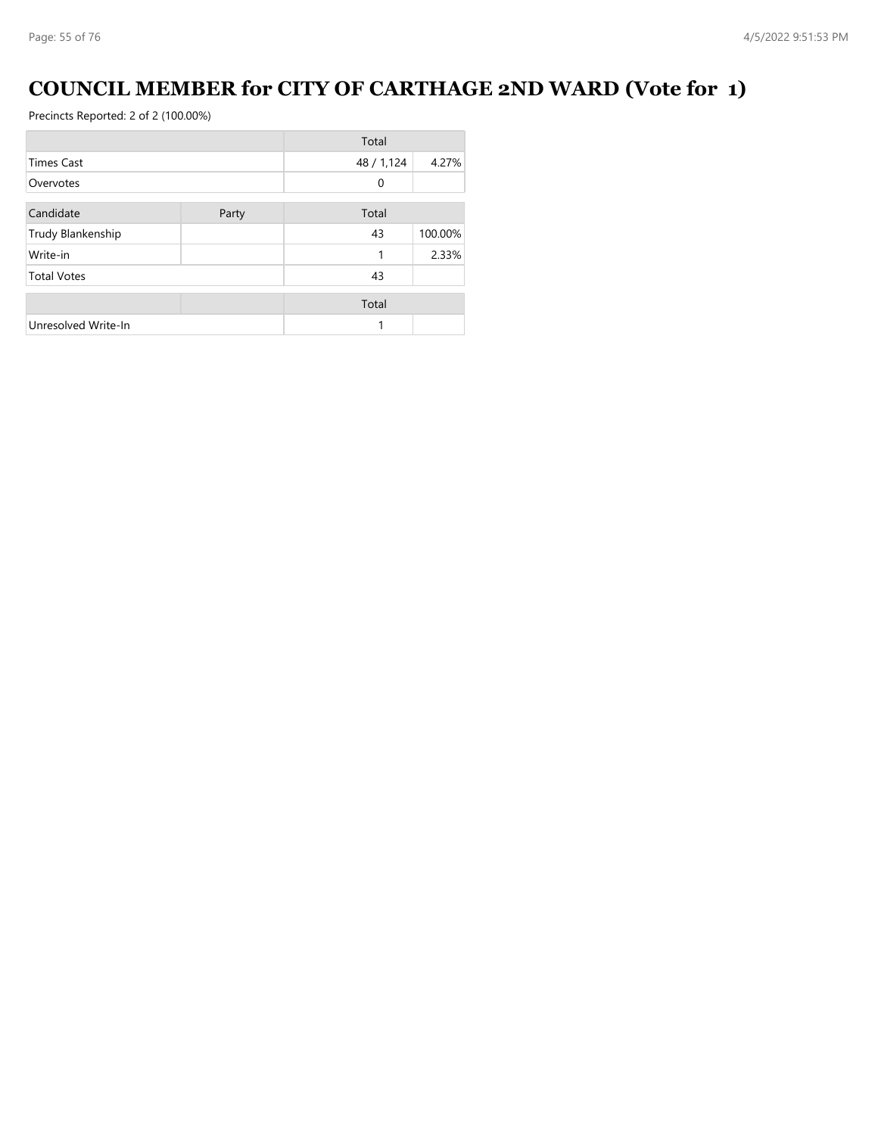### **COUNCIL MEMBER for CITY OF CARTHAGE 2ND WARD (Vote for 1)**

|                     |       | Total      |         |
|---------------------|-------|------------|---------|
| <b>Times Cast</b>   |       | 48 / 1,124 | 4.27%   |
| Overvotes           |       | 0          |         |
| Candidate           | Party | Total      |         |
| Trudy Blankenship   |       | 43         | 100.00% |
| Write-in            |       | 1          | 2.33%   |
| <b>Total Votes</b>  |       | 43         |         |
|                     |       | Total      |         |
| Unresolved Write-In |       |            |         |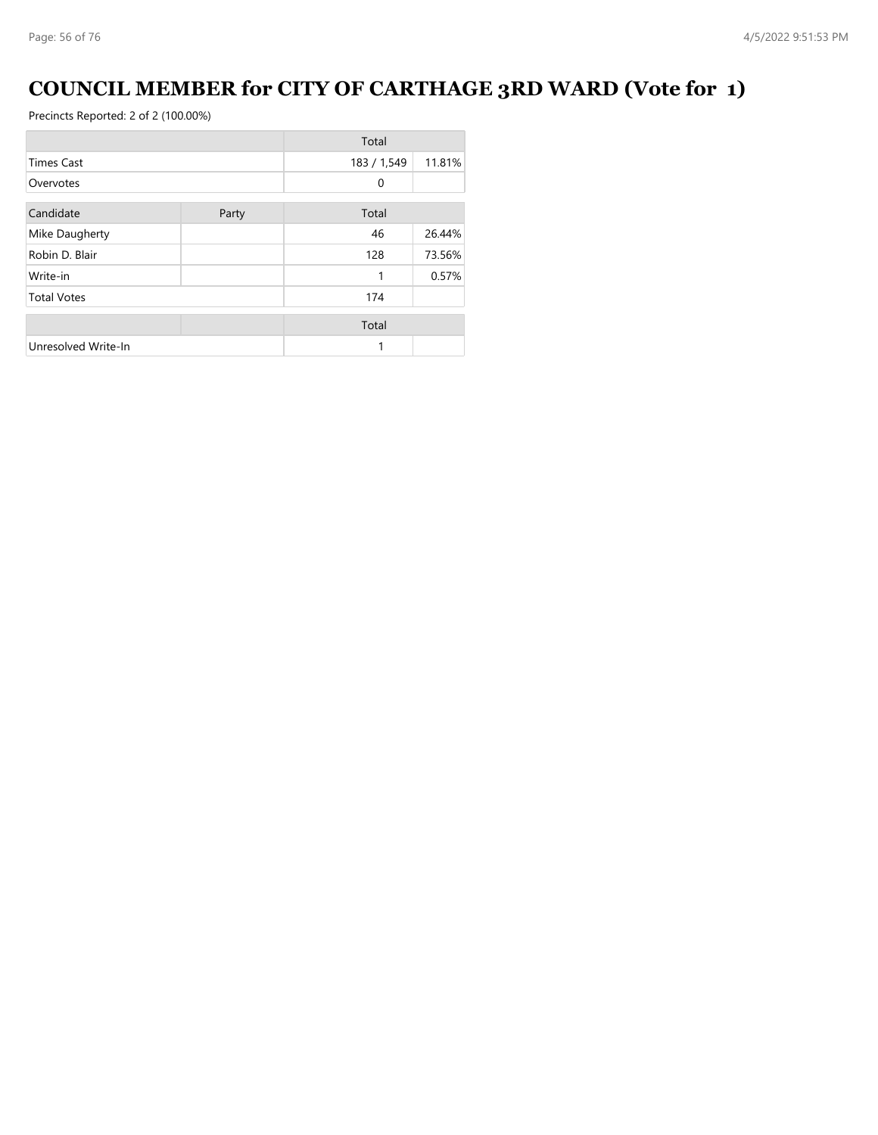### **COUNCIL MEMBER for CITY OF CARTHAGE 3RD WARD (Vote for 1)**

|                     |       | Total       |        |
|---------------------|-------|-------------|--------|
| <b>Times Cast</b>   |       | 183 / 1,549 | 11.81% |
| Overvotes           |       | 0           |        |
| Candidate           | Party | Total       |        |
|                     |       |             |        |
| Mike Daugherty      |       | 46          | 26.44% |
| Robin D. Blair      |       | 128         | 73.56% |
| Write-in            |       | 1           | 0.57%  |
| <b>Total Votes</b>  |       | 174         |        |
|                     |       | Total       |        |
| Unresolved Write-In |       | 1           |        |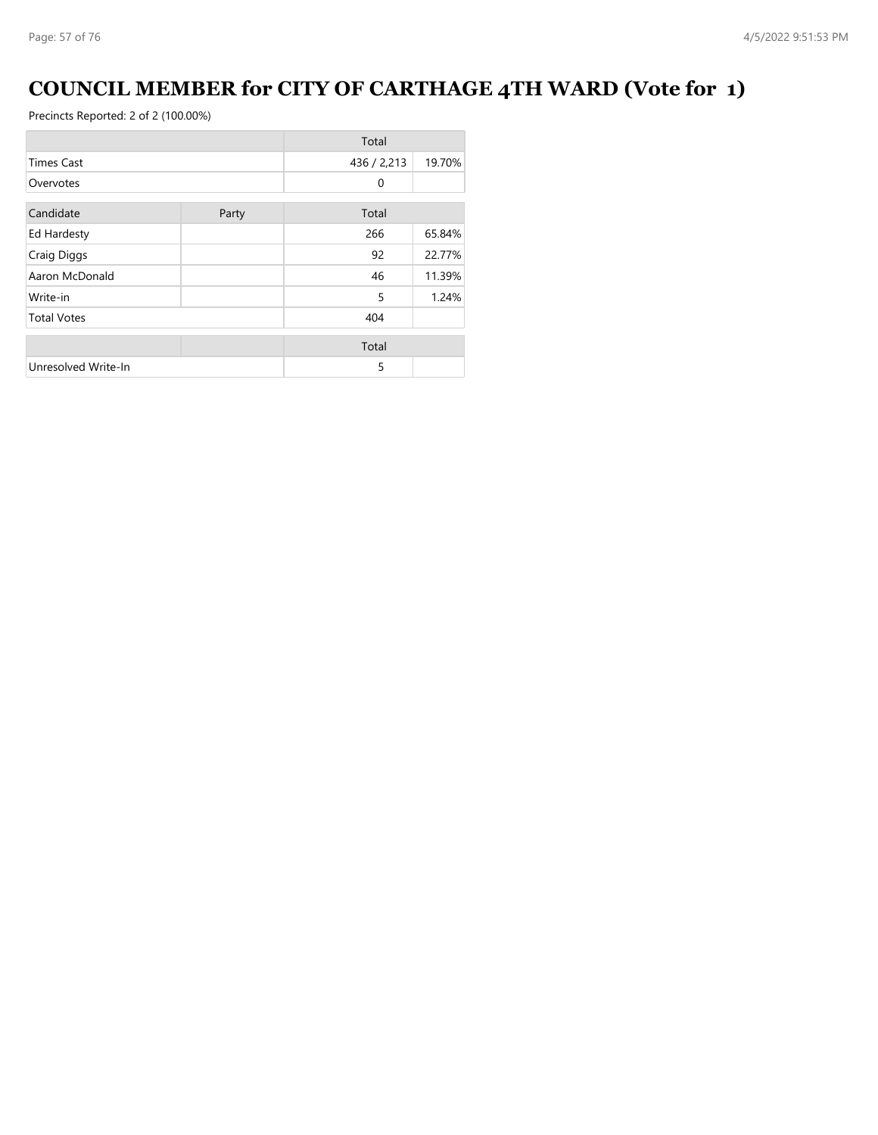### **COUNCIL MEMBER for CITY OF CARTHAGE 4TH WARD (Vote for 1)**

|                     |       | Total       |        |
|---------------------|-------|-------------|--------|
| <b>Times Cast</b>   |       | 436 / 2,213 | 19.70% |
| Overvotes           |       | 0           |        |
| Candidate           | Party | Total       |        |
| Ed Hardesty         |       | 266         | 65.84% |
| Craig Diggs         |       | 92          | 22.77% |
| Aaron McDonald      |       | 46          | 11.39% |
| Write-in            |       | 5           | 1.24%  |
| <b>Total Votes</b>  |       | 404         |        |
|                     |       | Total       |        |
| Unresolved Write-In |       | 5           |        |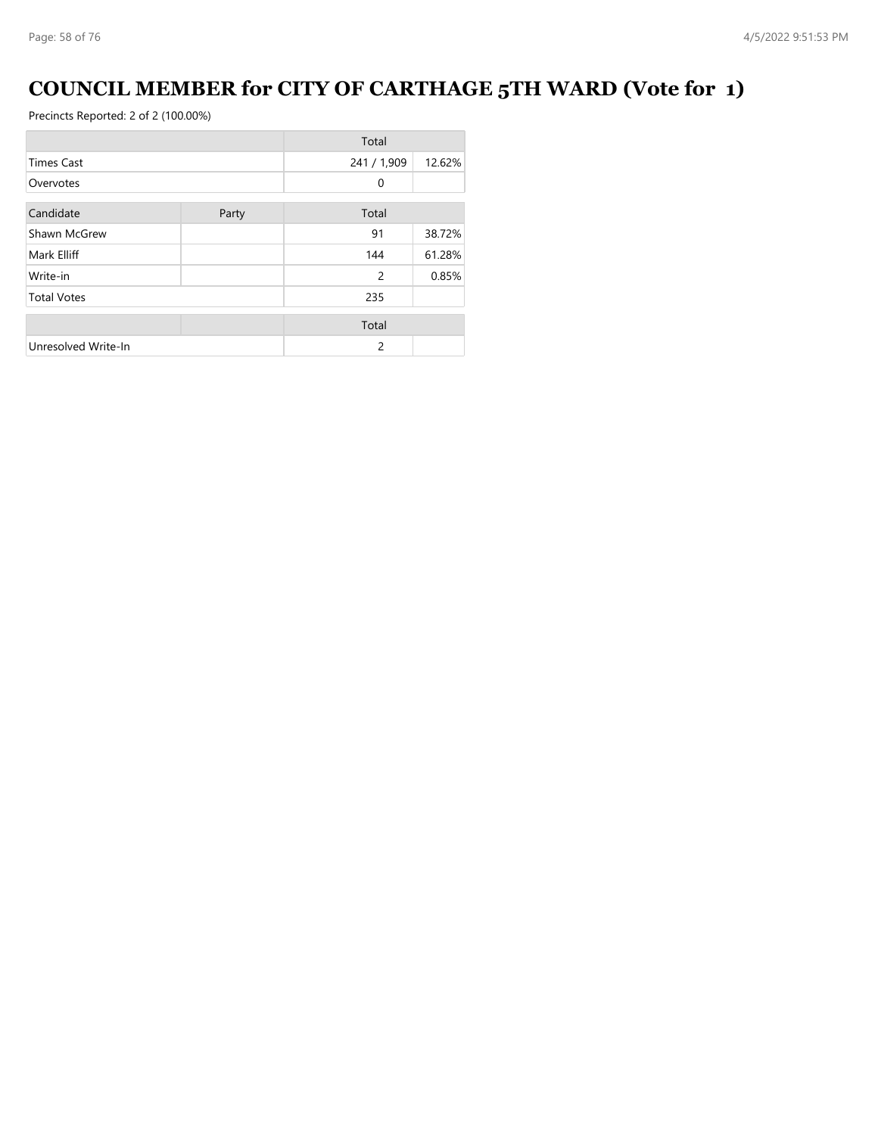### **COUNCIL MEMBER for CITY OF CARTHAGE 5TH WARD (Vote for 1)**

|                     |       | Total       |        |
|---------------------|-------|-------------|--------|
| <b>Times Cast</b>   |       | 241 / 1,909 | 12.62% |
| Overvotes           |       | 0           |        |
| Candidate           |       | Total       |        |
|                     | Party |             |        |
| Shawn McGrew        |       | 91          | 38.72% |
| Mark Elliff         |       | 144         | 61.28% |
| Write-in            |       | 2           | 0.85%  |
| <b>Total Votes</b>  |       | 235         |        |
|                     |       | Total       |        |
| Unresolved Write-In |       | 2           |        |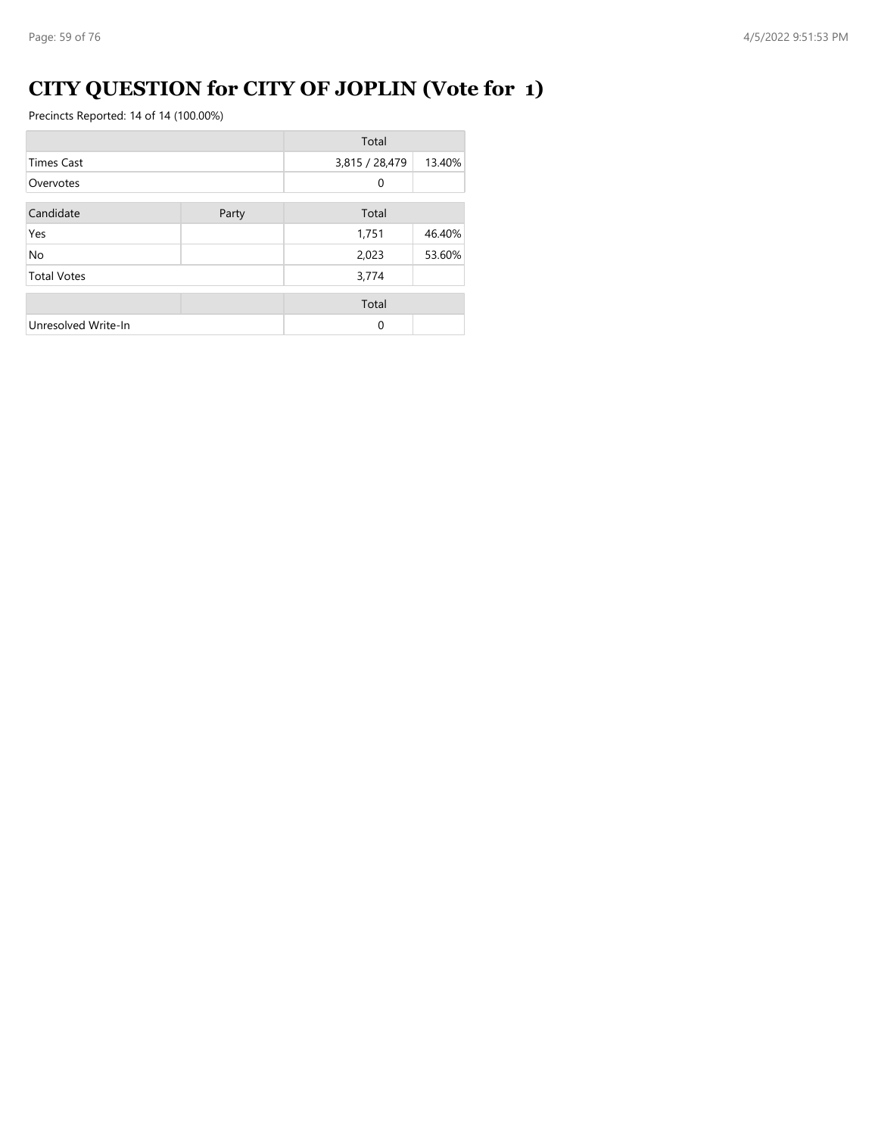# **CITY QUESTION for CITY OF JOPLIN (Vote for 1)**

|                     |       | Total          |        |
|---------------------|-------|----------------|--------|
| <b>Times Cast</b>   |       | 3,815 / 28,479 | 13.40% |
| Overvotes           |       | 0              |        |
| Candidate           | Party | Total          |        |
| Yes                 |       | 1,751          | 46.40% |
| No                  |       | 2,023          | 53.60% |
| <b>Total Votes</b>  |       | 3,774          |        |
|                     |       | Total          |        |
| Unresolved Write-In |       | $\Omega$       |        |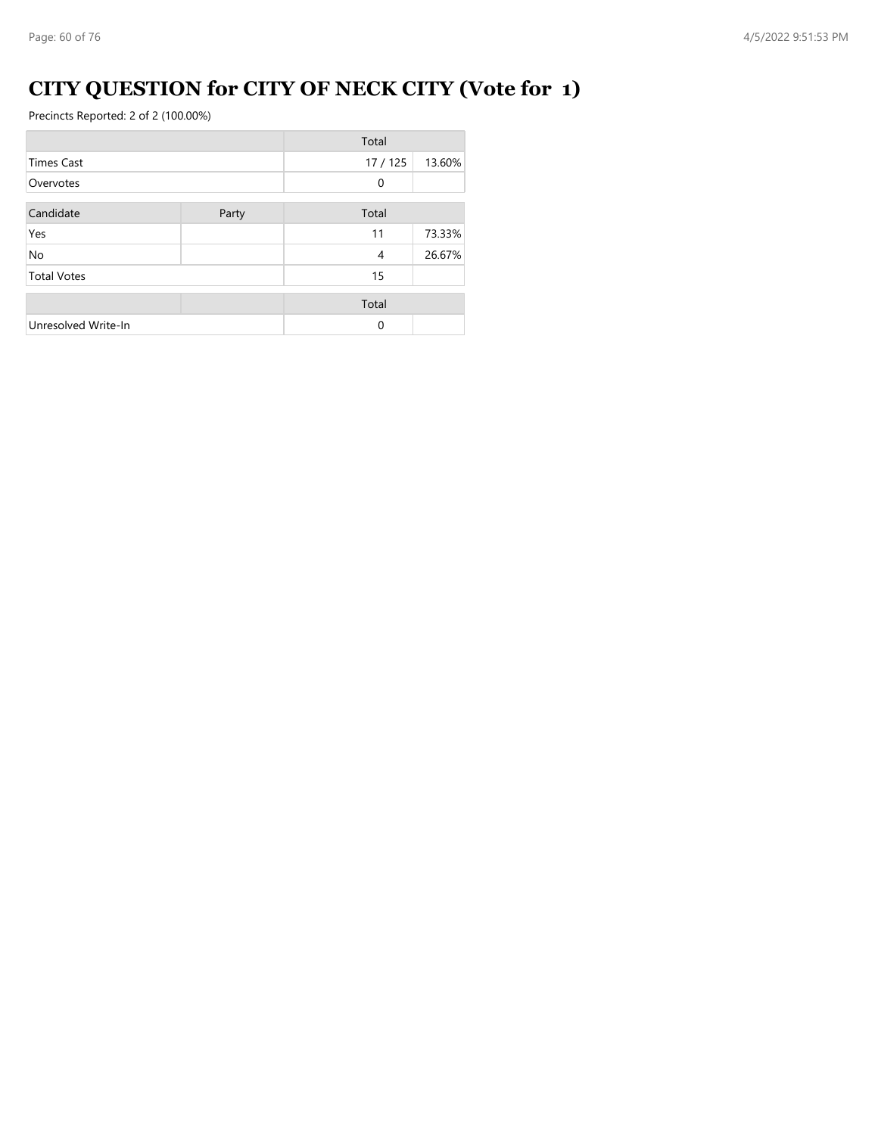# **CITY QUESTION for CITY OF NECK CITY (Vote for 1)**

|                     |       | Total        |        |
|---------------------|-------|--------------|--------|
| <b>Times Cast</b>   |       | 17/125       | 13.60% |
| Overvotes           |       | $\mathbf{0}$ |        |
| Candidate           | Party | Total        |        |
| Yes                 |       | 11           | 73.33% |
| <b>No</b>           |       | 4            | 26.67% |
| <b>Total Votes</b>  |       | 15           |        |
|                     |       | Total        |        |
| Unresolved Write-In |       | $\Omega$     |        |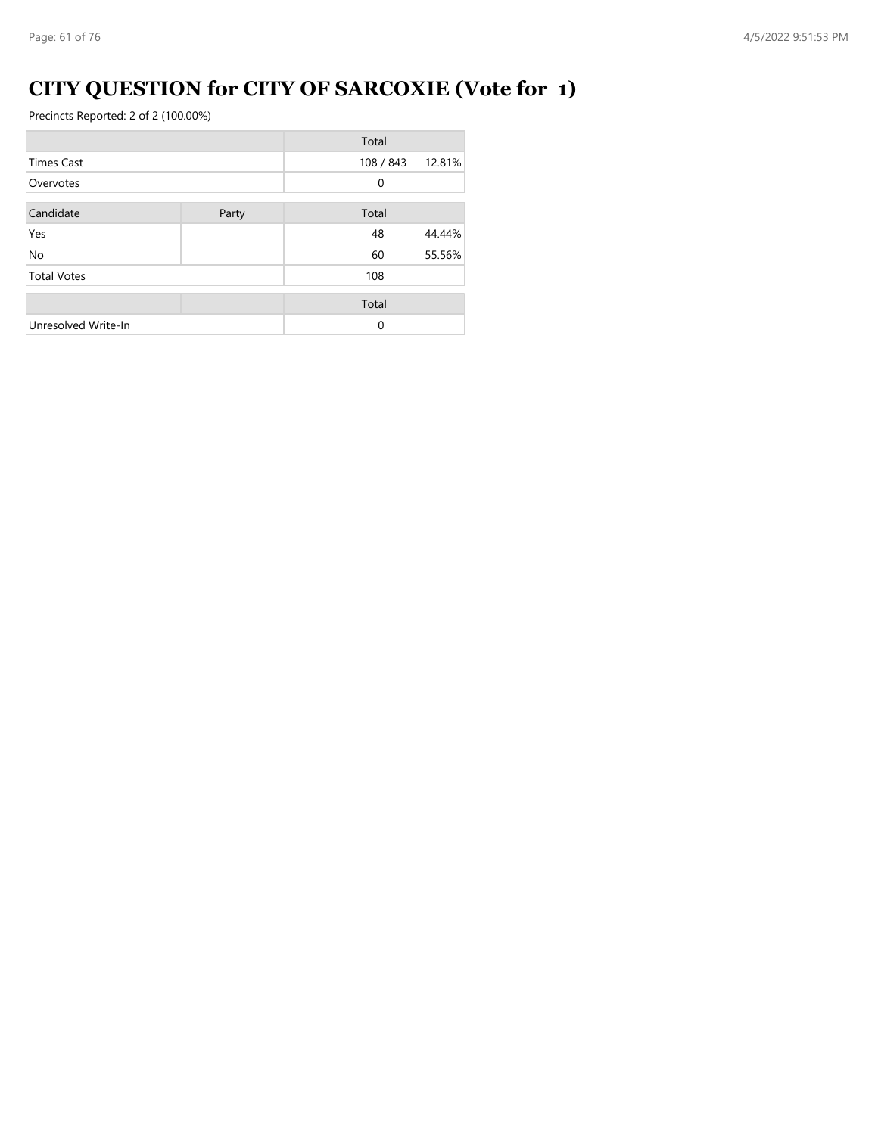### **CITY QUESTION for CITY OF SARCOXIE (Vote for 1)**

|                     |       | Total     |        |
|---------------------|-------|-----------|--------|
| <b>Times Cast</b>   |       | 108 / 843 | 12.81% |
| Overvotes           |       | 0         |        |
| Candidate           | Party | Total     |        |
| Yes                 |       | 48        | 44.44% |
| <b>No</b>           |       | 60        | 55.56% |
| <b>Total Votes</b>  |       | 108       |        |
|                     |       | Total     |        |
| Unresolved Write-In |       | $\Omega$  |        |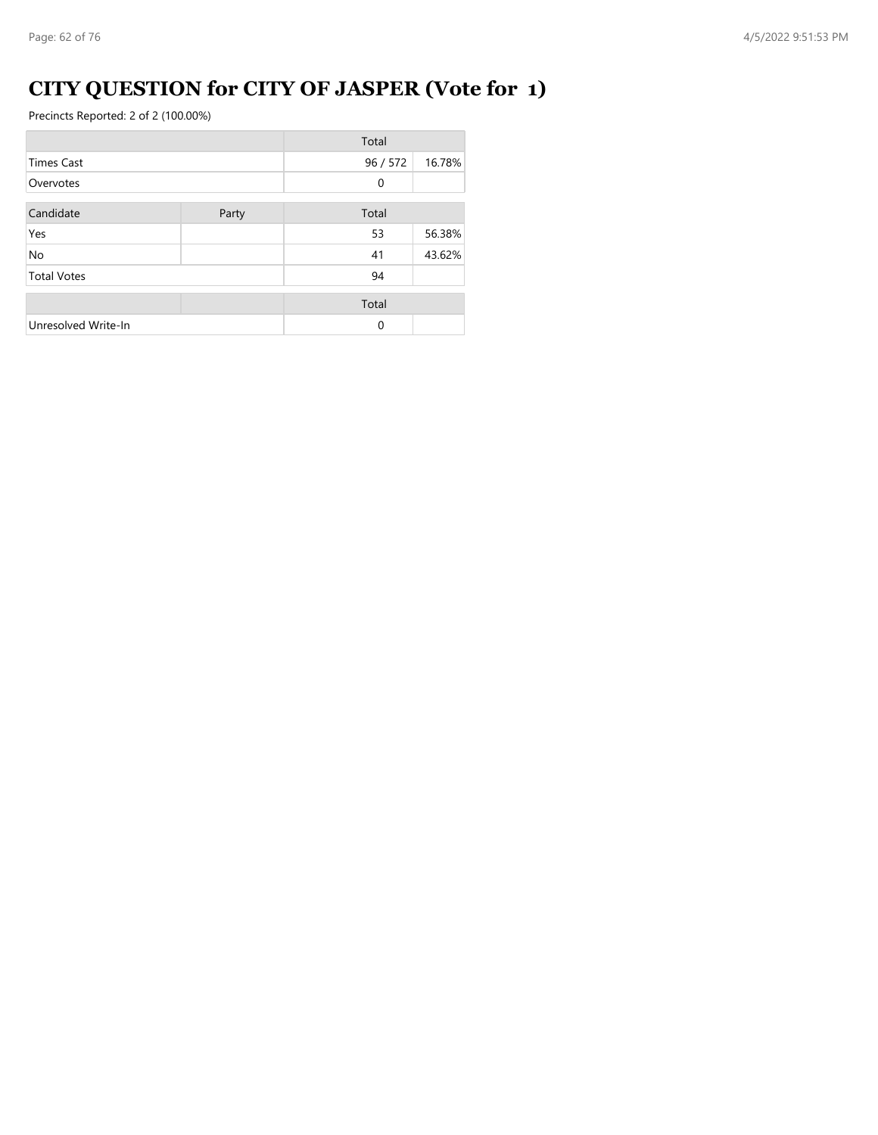## **CITY QUESTION for CITY OF JASPER (Vote for 1)**

|                     |       | Total        |        |
|---------------------|-------|--------------|--------|
| <b>Times Cast</b>   |       | 96 / 572     | 16.78% |
| Overvotes           |       | $\mathbf{0}$ |        |
| Candidate           | Party | Total        |        |
| Yes                 |       | 53           | 56.38% |
| <b>No</b>           |       | 41           | 43.62% |
| <b>Total Votes</b>  |       | 94           |        |
|                     |       | Total        |        |
| Unresolved Write-In |       | $\Omega$     |        |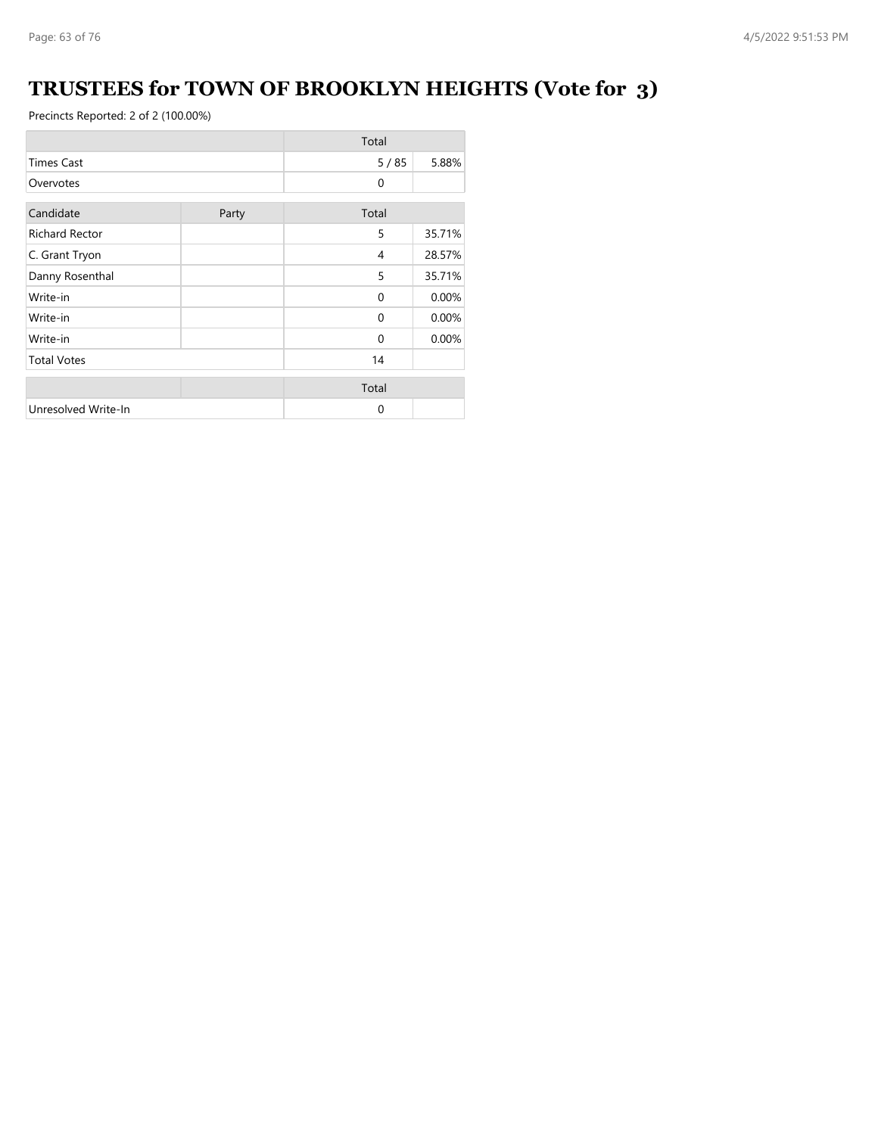## **TRUSTEES for TOWN OF BROOKLYN HEIGHTS (Vote for 3)**

|                       |       | Total          |        |
|-----------------------|-------|----------------|--------|
| <b>Times Cast</b>     |       | $5/85$         | 5.88%  |
| Overvotes             |       | $\mathbf{0}$   |        |
| Candidate             | Party | Total          |        |
| <b>Richard Rector</b> |       | 5              | 35.71% |
| C. Grant Tryon        |       | $\overline{4}$ | 28.57% |
| Danny Rosenthal       |       | 5              | 35.71% |
| Write-in              |       | $\Omega$       | 0.00%  |
| Write-in              |       | $\Omega$       | 0.00%  |
| Write-in              |       | $\Omega$       | 0.00%  |
| <b>Total Votes</b>    |       | 14             |        |
|                       |       | Total          |        |
| Unresolved Write-In   |       | $\Omega$       |        |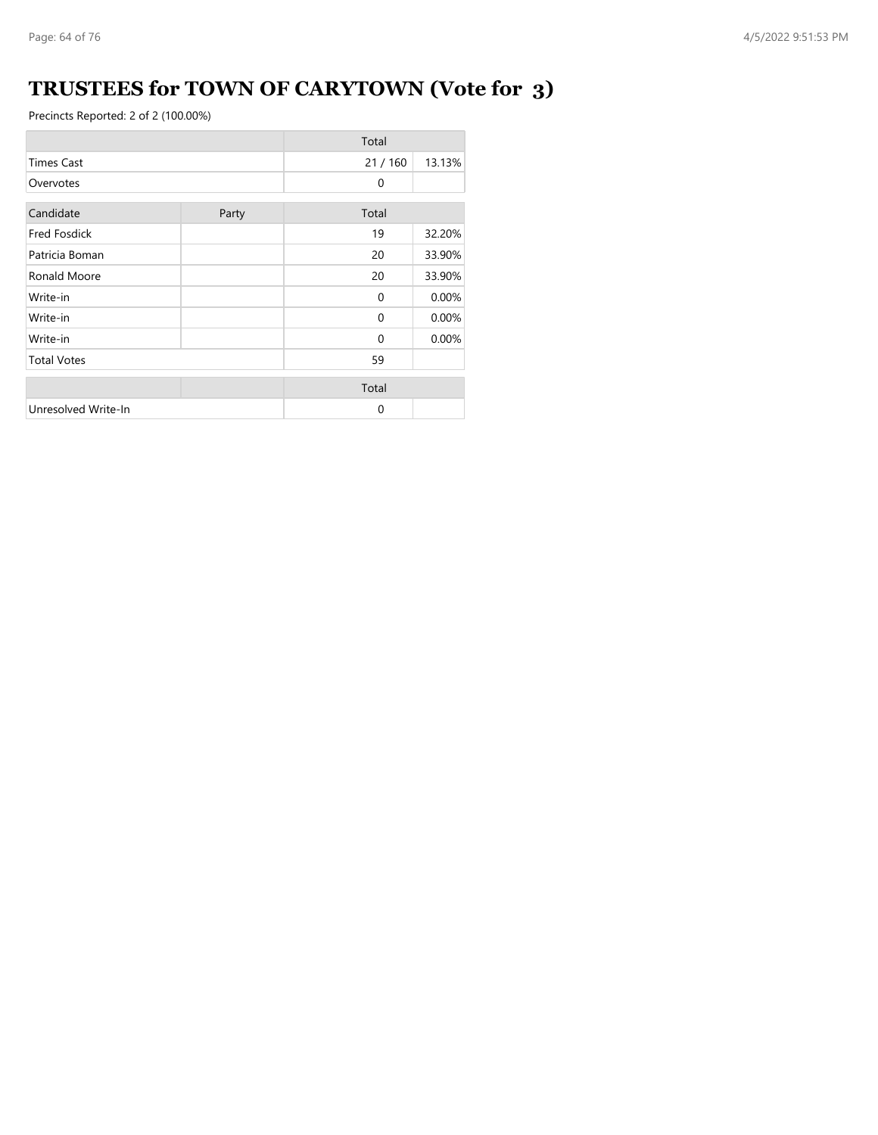## **TRUSTEES for TOWN OF CARYTOWN (Vote for 3)**

|                     |       | Total    |        |
|---------------------|-------|----------|--------|
| <b>Times Cast</b>   |       | 21/160   | 13.13% |
| Overvotes           |       | $\Omega$ |        |
| Candidate           | Party | Total    |        |
| <b>Fred Fosdick</b> |       | 19       | 32.20% |
| Patricia Boman      |       | 20       | 33.90% |
| Ronald Moore        |       | 20       | 33.90% |
| Write-in            |       | $\Omega$ | 0.00%  |
| Write-in            |       | $\Omega$ | 0.00%  |
| Write-in            |       | $\Omega$ | 0.00%  |
| <b>Total Votes</b>  |       | 59       |        |
|                     |       | Total    |        |
| Unresolved Write-In |       | $\Omega$ |        |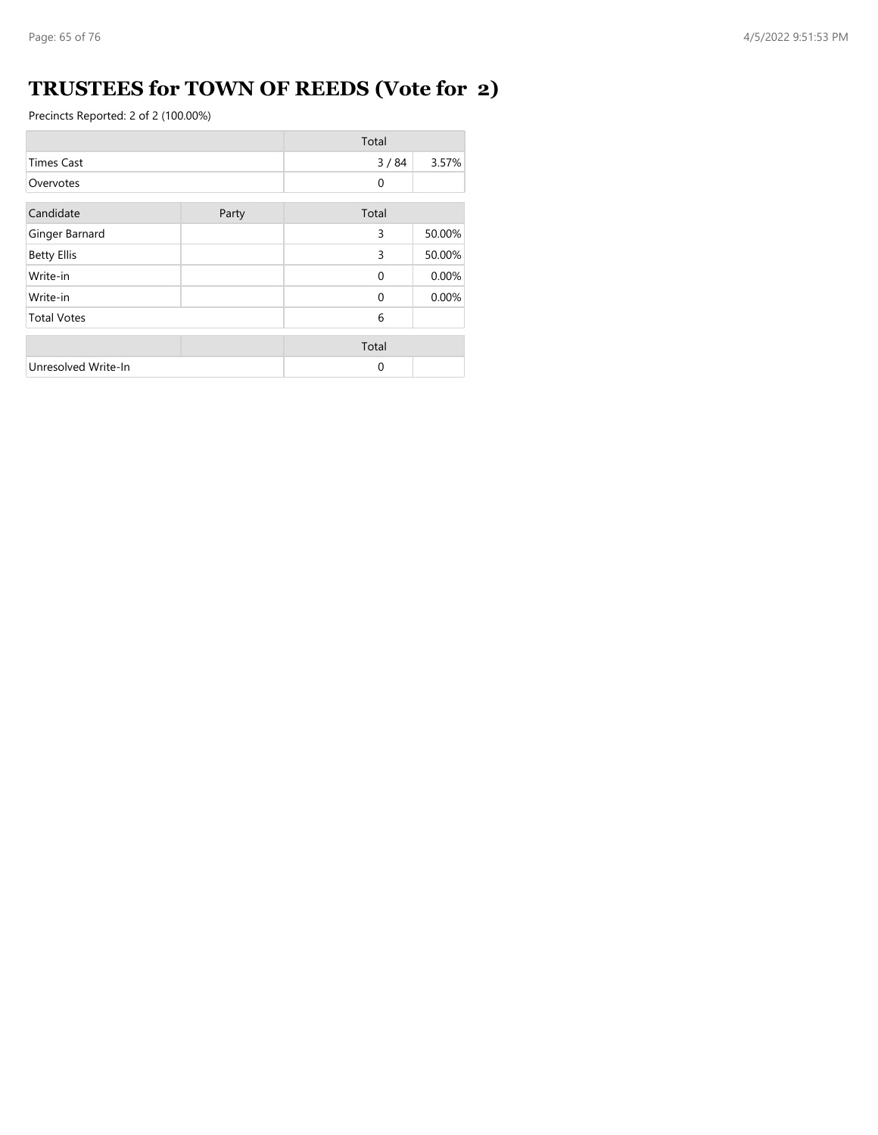### **TRUSTEES for TOWN OF REEDS (Vote for 2)**

|                     |       | Total    |        |
|---------------------|-------|----------|--------|
| <b>Times Cast</b>   |       | 3/84     | 3.57%  |
| Overvotes           |       | 0        |        |
| Candidate           | Party | Total    |        |
| Ginger Barnard      |       | 3        | 50.00% |
| <b>Betty Ellis</b>  |       | 3        | 50.00% |
| Write-in            |       | $\Omega$ | 0.00%  |
| Write-in            |       | $\Omega$ | 0.00%  |
| <b>Total Votes</b>  |       | 6        |        |
|                     |       | Total    |        |
| Unresolved Write-In |       | 0        |        |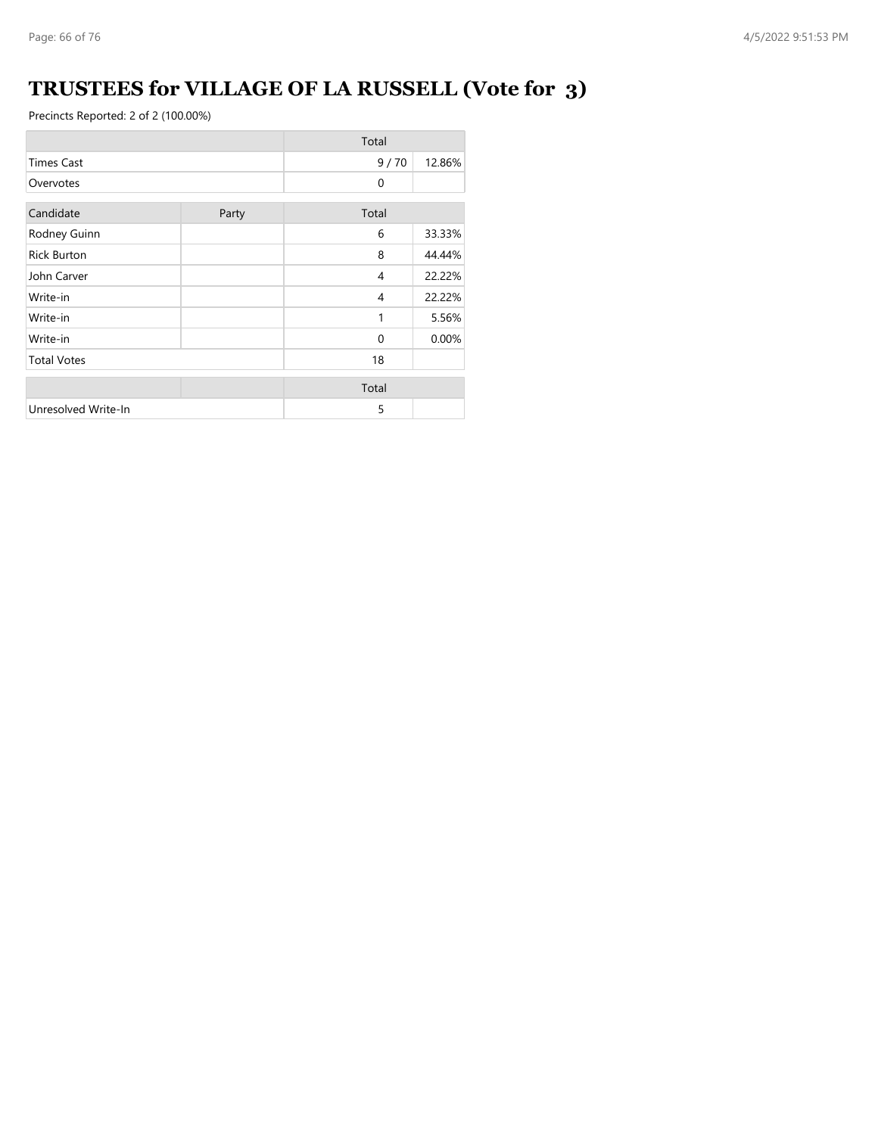## **TRUSTEES for VILLAGE OF LA RUSSELL (Vote for 3)**

|                     |       | Total    |        |
|---------------------|-------|----------|--------|
| <b>Times Cast</b>   |       | 9/70     | 12.86% |
| Overvotes           |       | $\Omega$ |        |
| Candidate           | Party | Total    |        |
| Rodney Guinn        |       | 6        | 33.33% |
| <b>Rick Burton</b>  |       | 8        | 44.44% |
| John Carver         |       | 4        | 22.22% |
| Write-in            |       | 4        | 22.22% |
| Write-in            |       | 1        | 5.56%  |
| Write-in            |       | $\Omega$ | 0.00%  |
| <b>Total Votes</b>  |       | 18       |        |
|                     |       | Total    |        |
| Unresolved Write-In |       | 5        |        |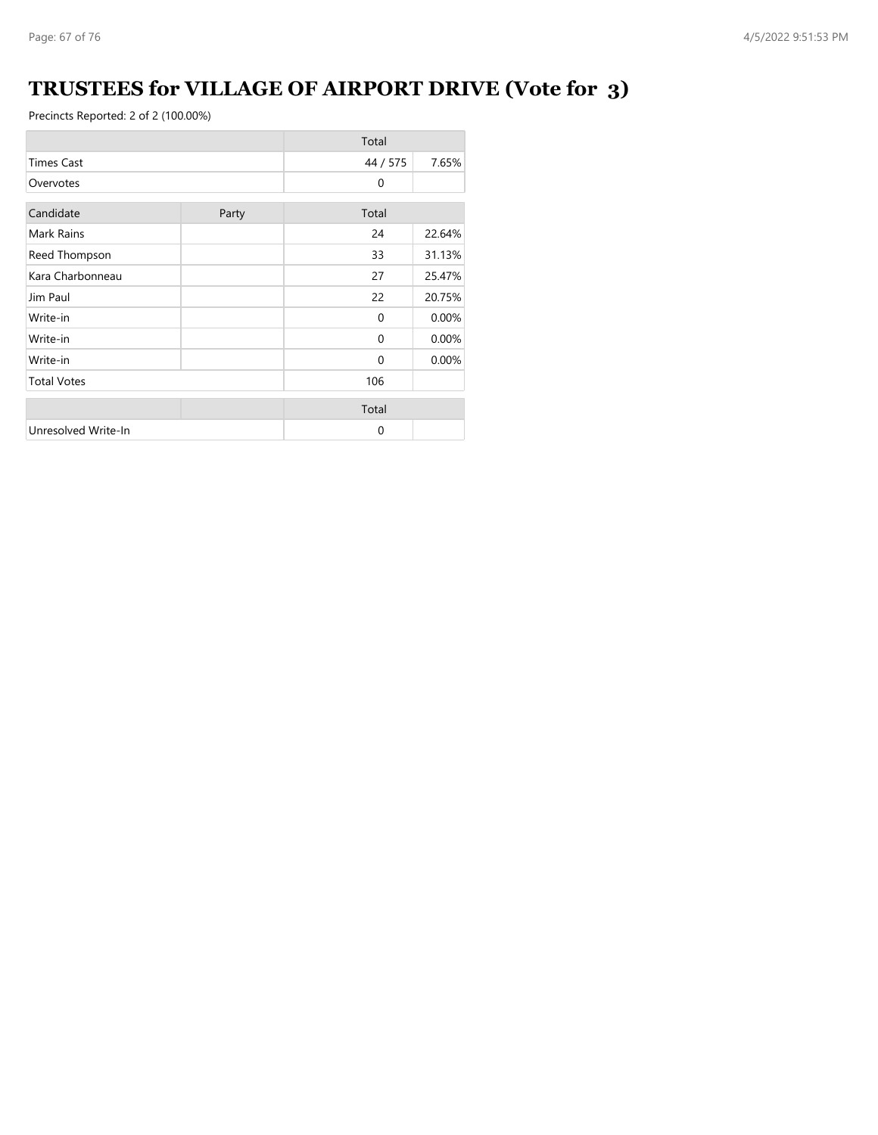## **TRUSTEES for VILLAGE OF AIRPORT DRIVE (Vote for 3)**

|                     |       | Total        |        |
|---------------------|-------|--------------|--------|
| <b>Times Cast</b>   |       | 44 / 575     | 7.65%  |
| Overvotes           |       | $\mathbf{0}$ |        |
| Candidate           | Party | Total        |        |
| Mark Rains          |       | 24           | 22.64% |
| Reed Thompson       |       | 33           | 31.13% |
| Kara Charbonneau    |       | 27           | 25.47% |
| Jim Paul            |       | 22           | 20.75% |
| Write-in            |       | $\mathbf{0}$ | 0.00%  |
| Write-in            |       | $\Omega$     | 0.00%  |
| Write-in            |       | $\Omega$     | 0.00%  |
| <b>Total Votes</b>  |       | 106          |        |
|                     |       | Total        |        |
| Unresolved Write-In |       | 0            |        |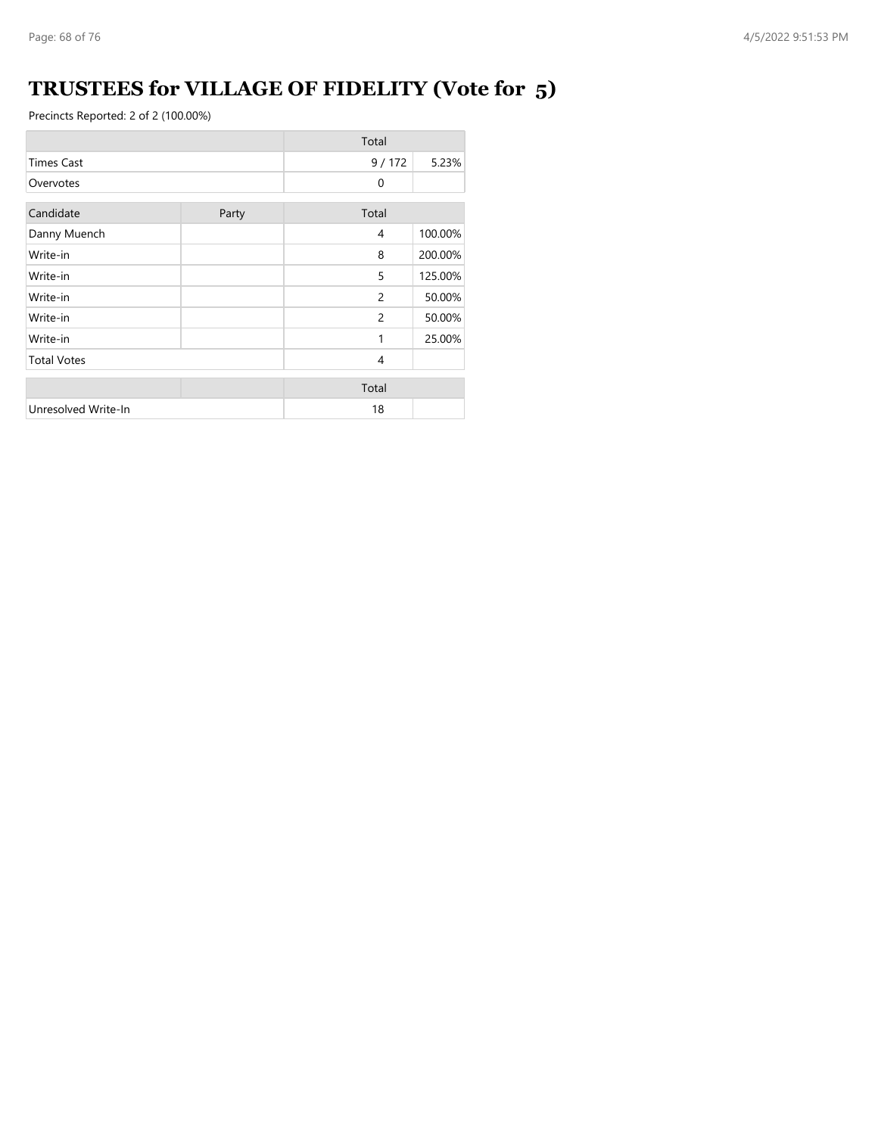## **TRUSTEES for VILLAGE OF FIDELITY (Vote for 5)**

|                     |       | Total          |         |
|---------------------|-------|----------------|---------|
| <b>Times Cast</b>   |       | 9/172          | 5.23%   |
| Overvotes           |       | $\mathbf{0}$   |         |
| Candidate           | Party | Total          |         |
| Danny Muench        |       | 4              | 100.00% |
| Write-in            |       | 8              | 200.00% |
| Write-in            |       | 5              | 125.00% |
| Write-in            |       | $\overline{c}$ | 50.00%  |
| Write-in            |       | 2              | 50.00%  |
| Write-in            |       | 1              | 25.00%  |
| <b>Total Votes</b>  |       | 4              |         |
|                     |       | Total          |         |
| Unresolved Write-In |       | 18             |         |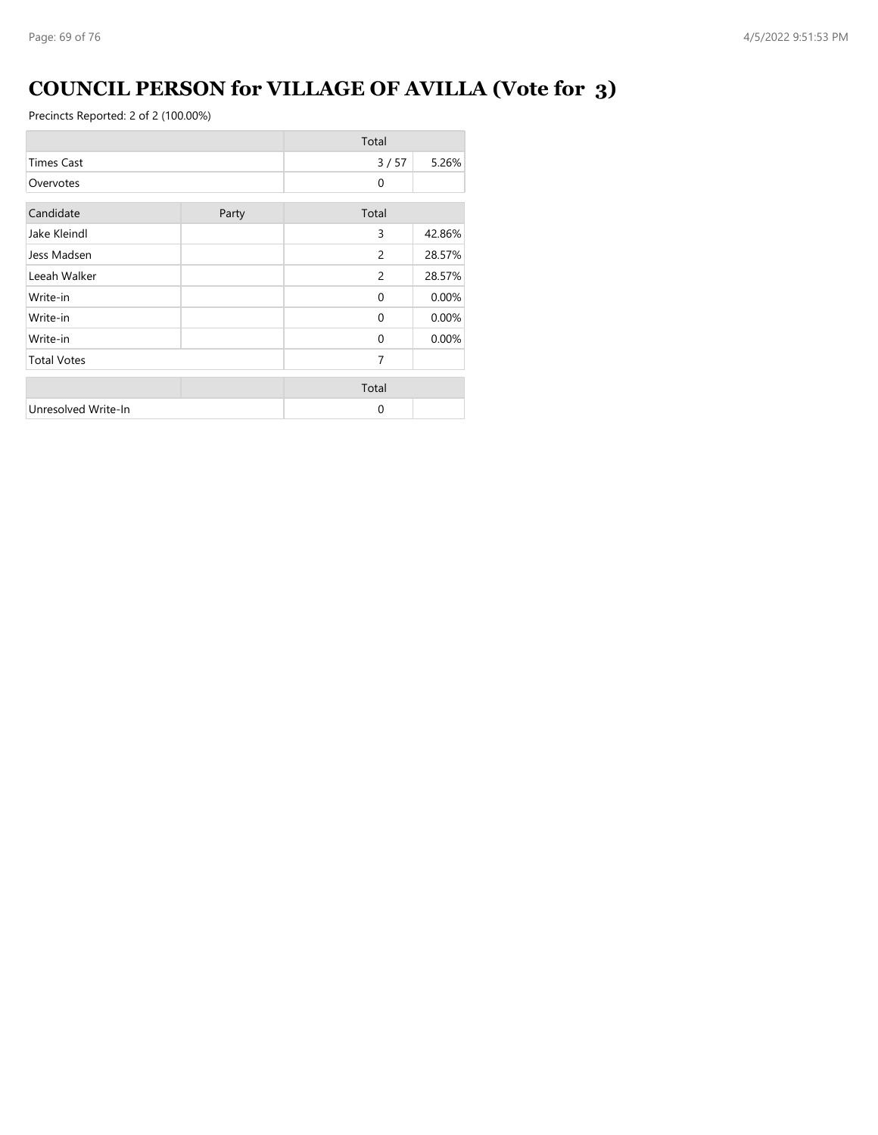## **COUNCIL PERSON for VILLAGE OF AVILLA (Vote for 3)**

|                     |       | Total        |        |
|---------------------|-------|--------------|--------|
| <b>Times Cast</b>   |       | 3/57         | 5.26%  |
| Overvotes           |       | $\mathbf{0}$ |        |
| Candidate           | Party | Total        |        |
| Jake Kleindl        |       | 3            | 42.86% |
| Jess Madsen         |       | 2            | 28.57% |
| Leeah Walker        |       | 2            | 28.57% |
| Write-in            |       | $\Omega$     | 0.00%  |
| Write-in            |       | $\Omega$     | 0.00%  |
| Write-in            |       | $\Omega$     | 0.00%  |
| <b>Total Votes</b>  |       | 7            |        |
|                     |       | Total        |        |
| Unresolved Write-In |       | $\Omega$     |        |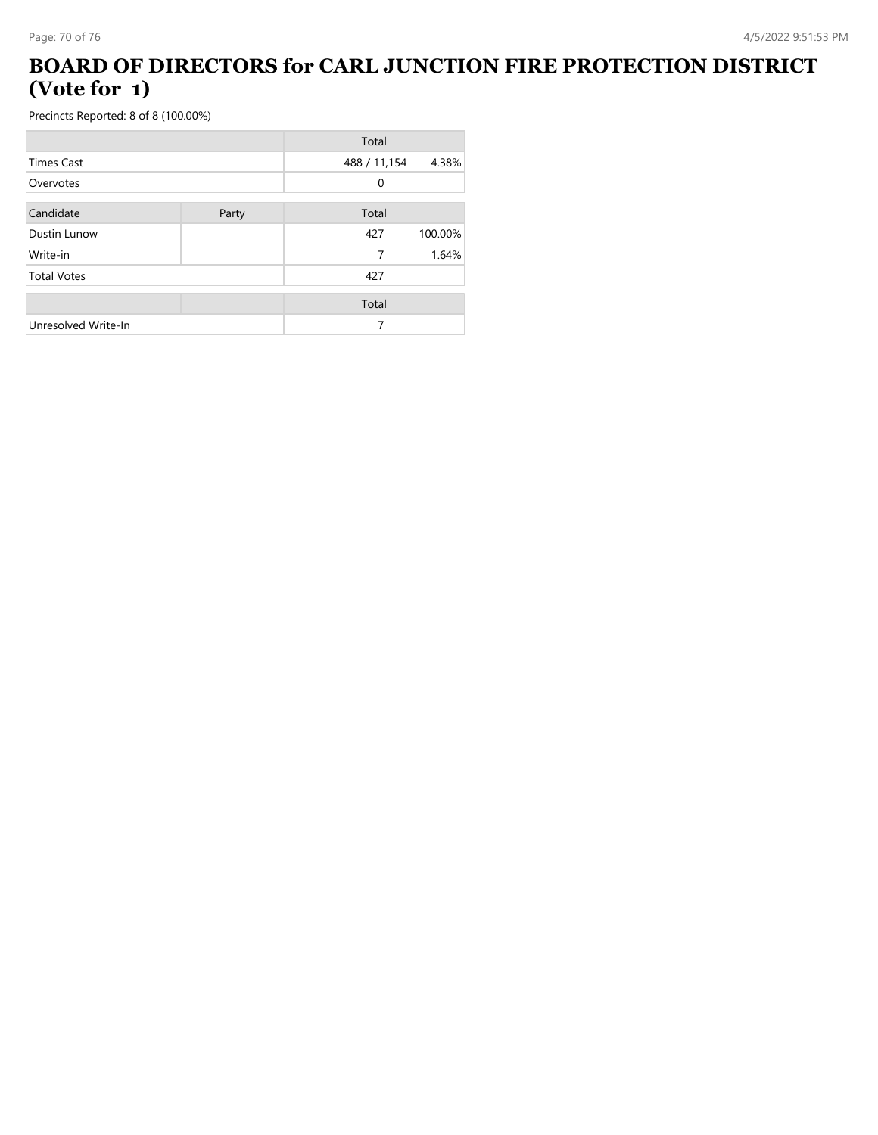#### **BOARD OF DIRECTORS for CARL JUNCTION FIRE PROTECTION DISTRICT (Vote for 1)**

|                     |       | Total        |         |
|---------------------|-------|--------------|---------|
| <b>Times Cast</b>   |       | 488 / 11,154 | 4.38%   |
| Overvotes           |       | 0            |         |
| Candidate           | Party | Total        |         |
| Dustin Lunow        |       | 427          | 100.00% |
| Write-in            |       | 7            | 1.64%   |
| <b>Total Votes</b>  |       | 427          |         |
|                     |       | Total        |         |
| Unresolved Write-In |       | 7            |         |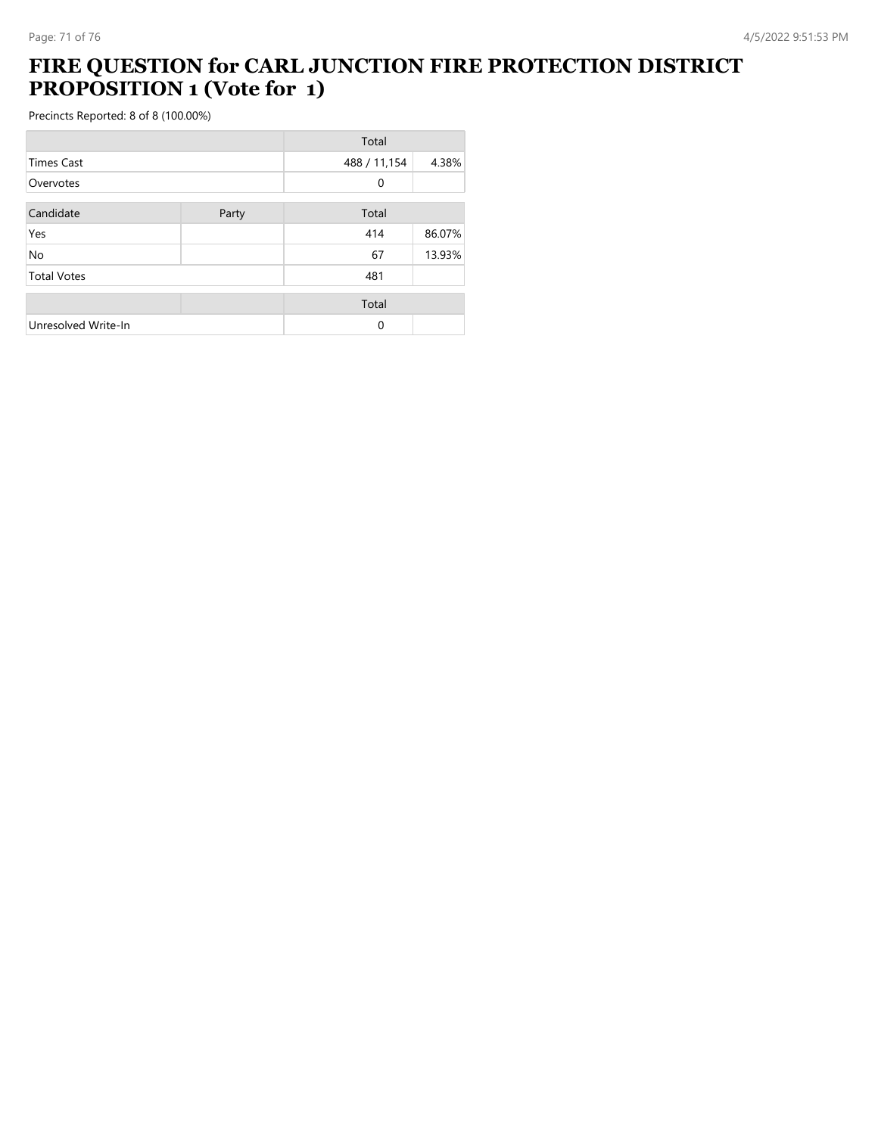#### **FIRE QUESTION for CARL JUNCTION FIRE PROTECTION DISTRICT PROPOSITION 1 (Vote for 1)**

|                     |       | Total        |        |
|---------------------|-------|--------------|--------|
| <b>Times Cast</b>   |       | 488 / 11,154 | 4.38%  |
| Overvotes           |       | 0            |        |
| Candidate           | Party | Total        |        |
| Yes                 |       | 414          | 86.07% |
| <b>No</b>           |       | 67           | 13.93% |
| <b>Total Votes</b>  |       | 481          |        |
|                     |       | Total        |        |
| Unresolved Write-In |       | 0            |        |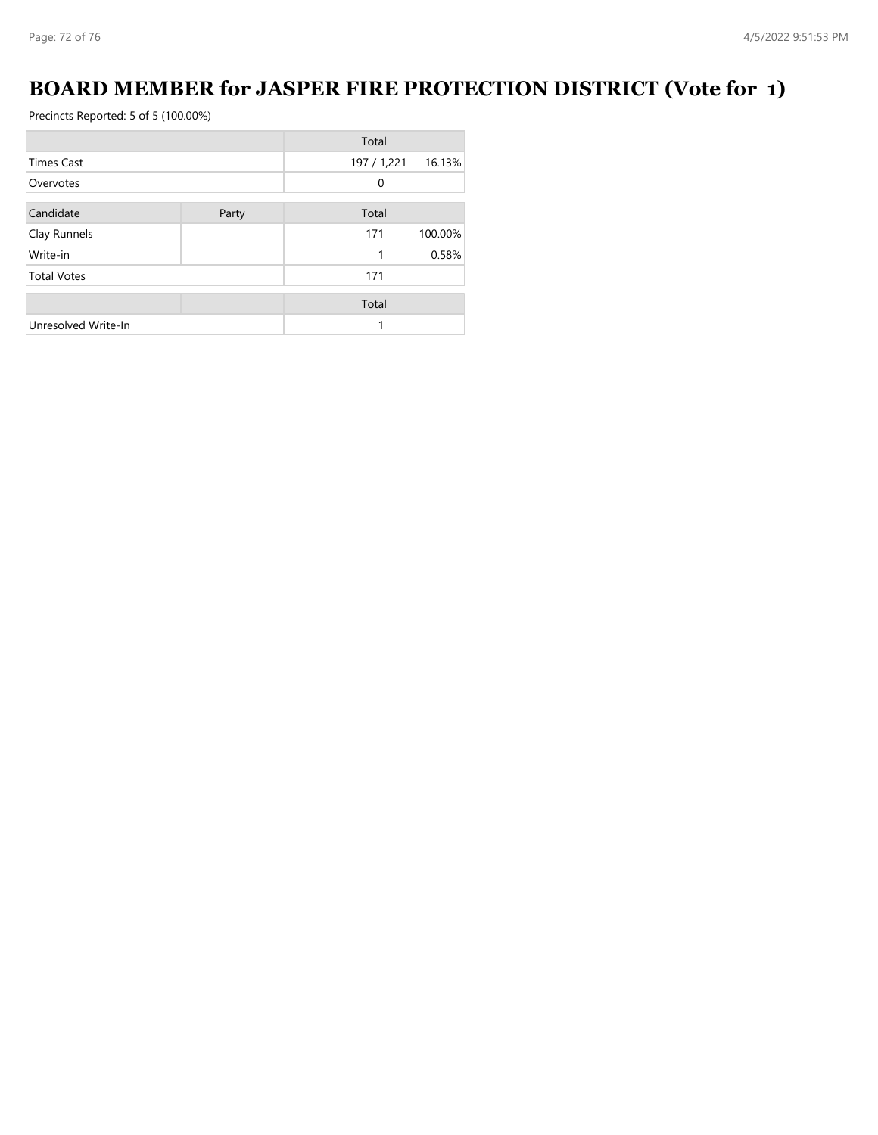### **BOARD MEMBER for JASPER FIRE PROTECTION DISTRICT (Vote for 1)**

|                     |       | Total       |         |
|---------------------|-------|-------------|---------|
| <b>Times Cast</b>   |       | 197 / 1,221 | 16.13%  |
| Overvotes           |       | 0           |         |
| Candidate           | Party | Total       |         |
| Clay Runnels        |       | 171         | 100.00% |
| Write-in            |       |             | 0.58%   |
| <b>Total Votes</b>  |       | 171         |         |
|                     |       | Total       |         |
| Unresolved Write-In |       |             |         |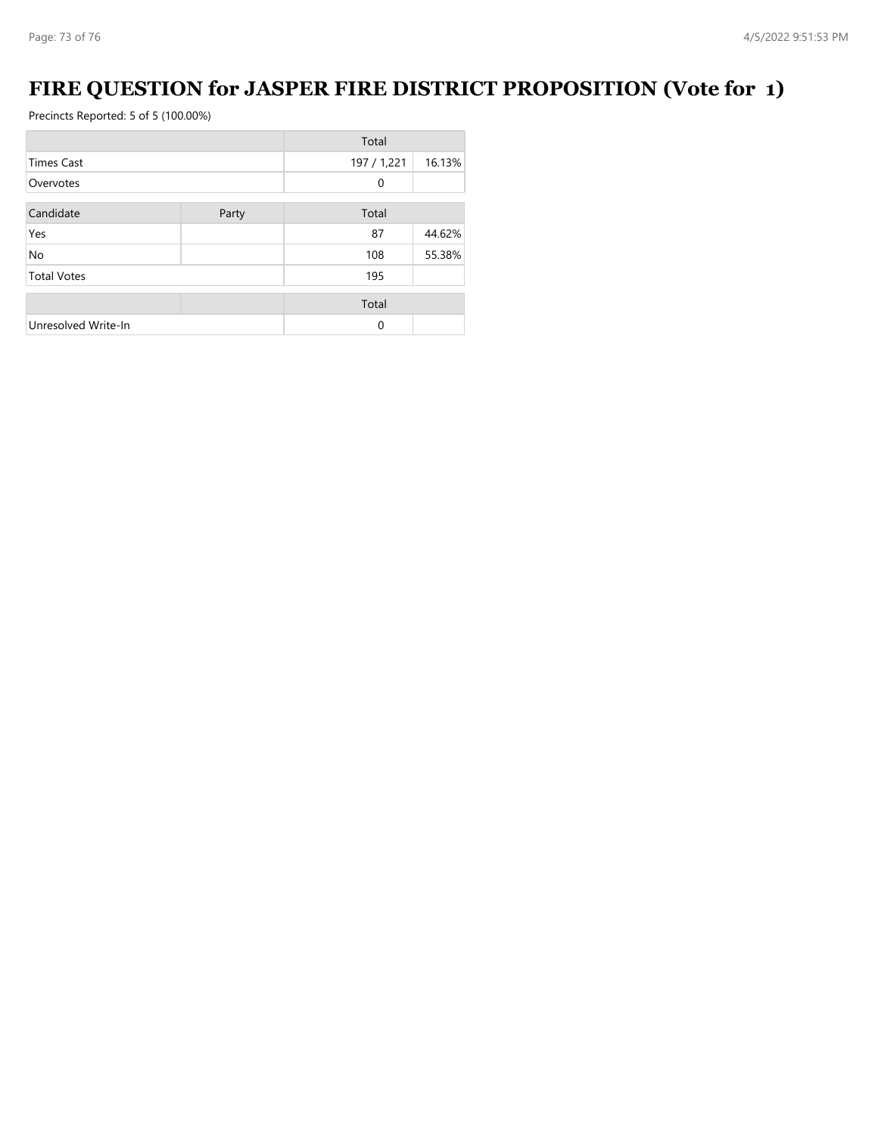## **FIRE QUESTION for JASPER FIRE DISTRICT PROPOSITION (Vote for 1)**

Precincts Reported: 5 of 5 (100.00%)

|                     |       | Total       |        |
|---------------------|-------|-------------|--------|
| <b>Times Cast</b>   |       | 197 / 1,221 | 16.13% |
| Overvotes           |       | $\Omega$    |        |
| Candidate           | Party | Total       |        |
| Yes                 |       | 87          | 44.62% |
| No                  |       | 108         | 55.38% |
| <b>Total Votes</b>  |       | 195         |        |
|                     |       | Total       |        |
| Unresolved Write-In |       | $\Omega$    |        |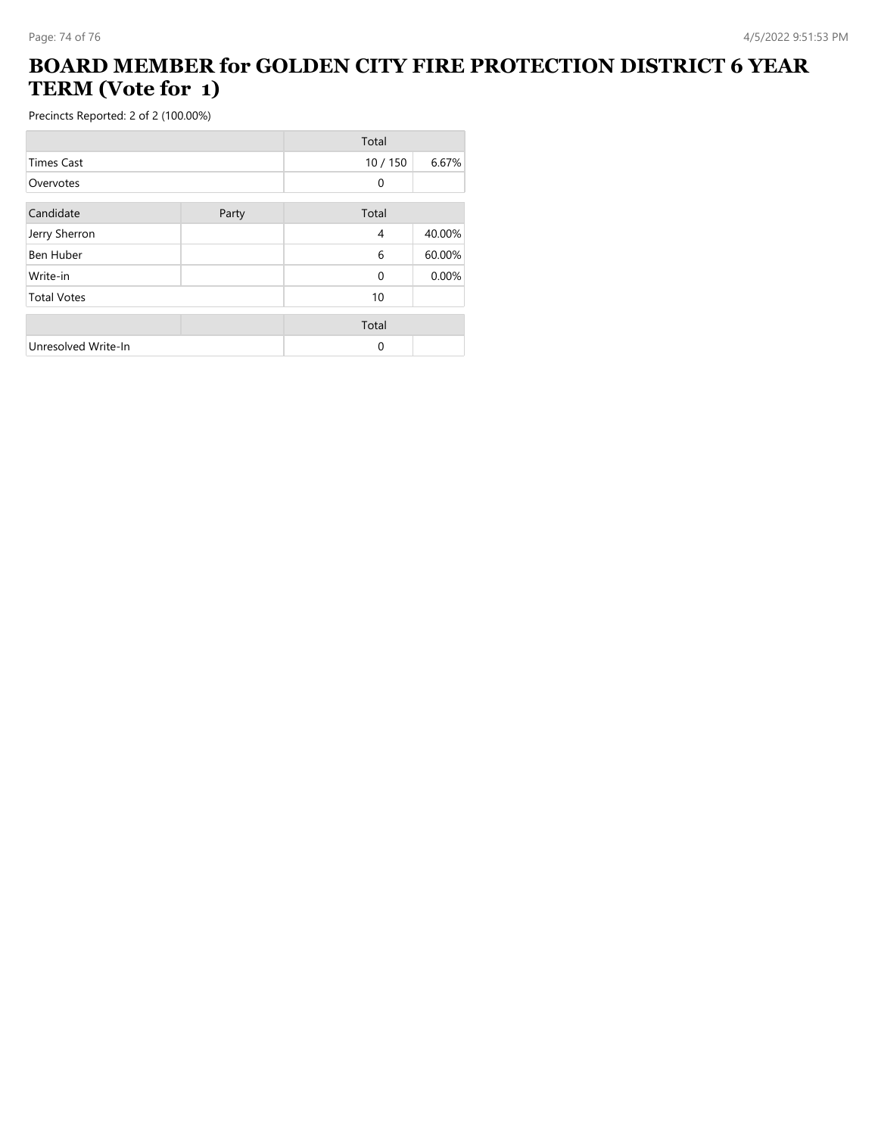## **BOARD MEMBER for GOLDEN CITY FIRE PROTECTION DISTRICT 6 YEAR TERM (Vote for 1)**

Precincts Reported: 2 of 2 (100.00%)

|                     |       | Total        |        |
|---------------------|-------|--------------|--------|
| <b>Times Cast</b>   |       | 10/150       | 6.67%  |
| Overvotes           |       | 0            |        |
| Candidate           | Party | Total        |        |
| Jerry Sherron       |       | 4            | 40.00% |
| <b>Ben Huber</b>    |       | 6            | 60.00% |
| Write-in            |       | $\mathbf{0}$ | 0.00%  |
| <b>Total Votes</b>  |       | 10           |        |
|                     |       | Total        |        |
| Unresolved Write-In |       | 0            |        |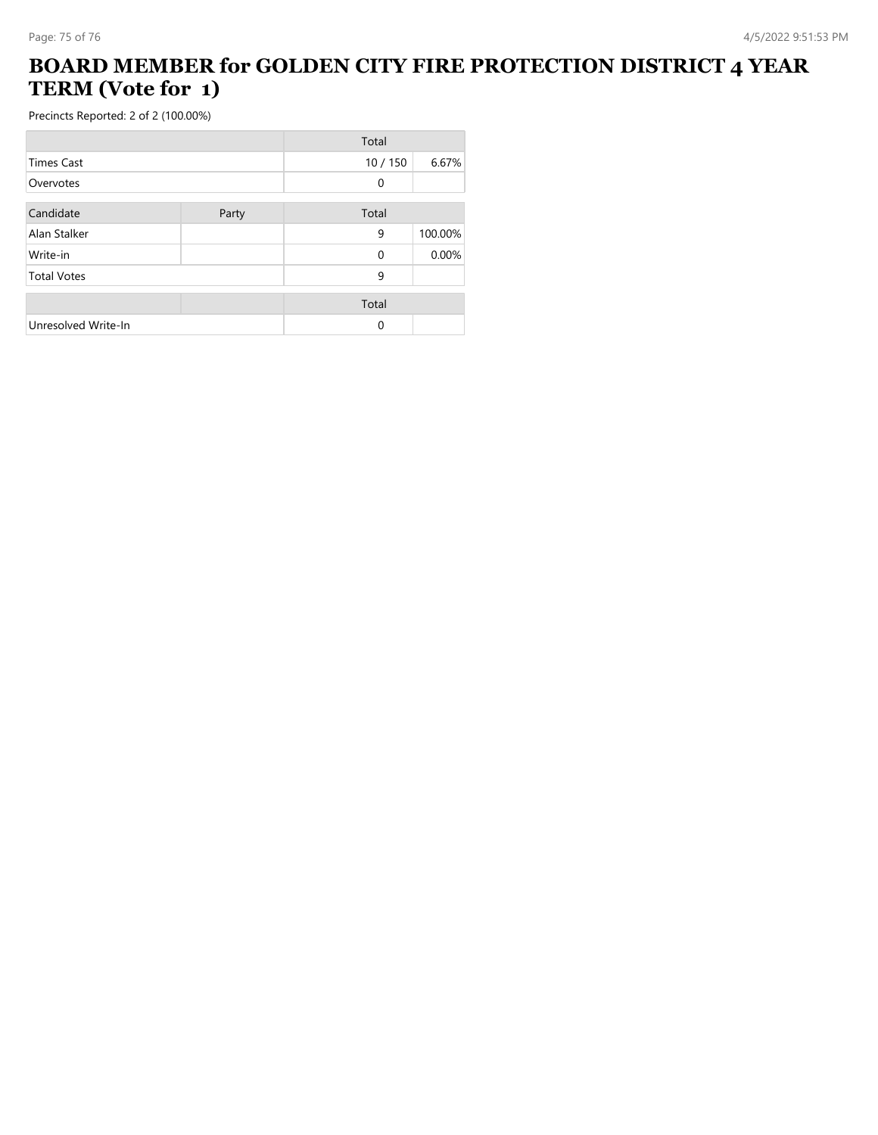## **BOARD MEMBER for GOLDEN CITY FIRE PROTECTION DISTRICT 4 YEAR TERM (Vote for 1)**

Precincts Reported: 2 of 2 (100.00%)

|                     |       | Total    |         |
|---------------------|-------|----------|---------|
| <b>Times Cast</b>   |       | 10/150   | 6.67%   |
| Overvotes           |       | 0        |         |
| Candidate           | Party | Total    |         |
| Alan Stalker        |       | 9        | 100.00% |
| Write-in            |       | $\Omega$ | 0.00%   |
| <b>Total Votes</b>  |       | 9        |         |
|                     |       | Total    |         |
| Unresolved Write-In |       | $\Omega$ |         |